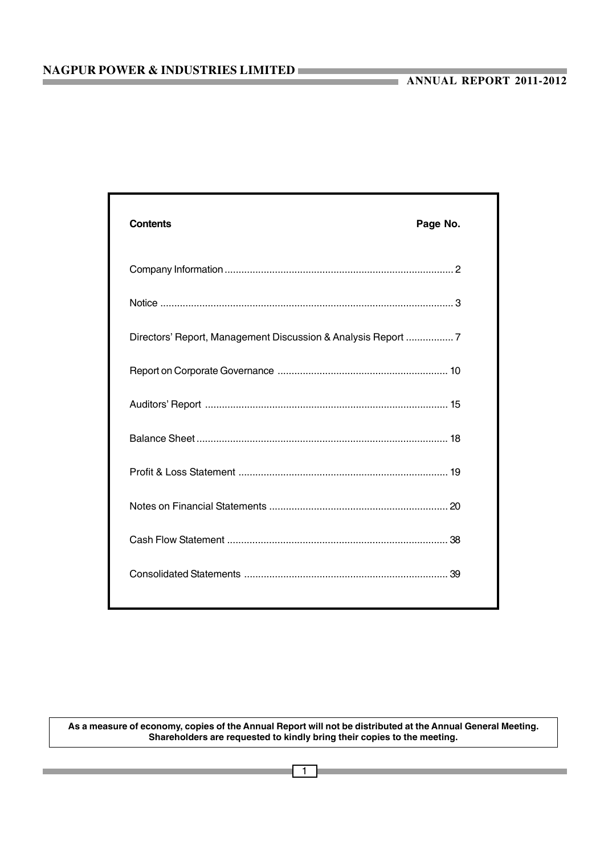| <b>Contents</b> | Page No. |
|-----------------|----------|
|                 |          |
|                 |          |
|                 |          |
|                 |          |
|                 |          |
|                 |          |
|                 |          |
|                 |          |
|                 |          |
|                 |          |
|                 |          |

**As a measure of economy, copies of the Annual Report will not be distributed at the Annual General Meeting. Shareholders are requested to kindly bring their copies to the meeting.**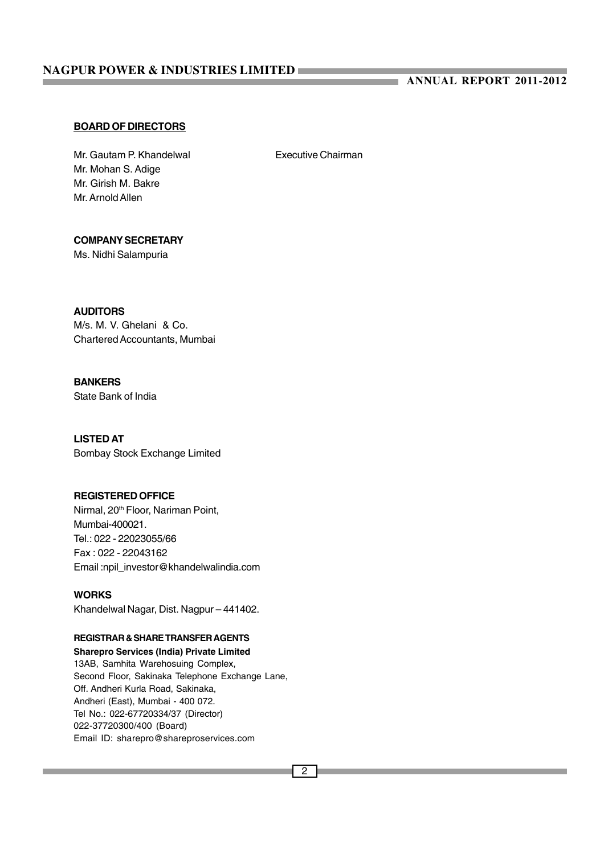### **ANNUAL REPORT 2011-2012**

#### **BOARD OF DIRECTORS**

Mr. Gautam P. Khandelwal **Executive Chairman** Mr. Mohan S. Adige Mr. Girish M. Bakre Mr. Arnold Allen

and in

### **COMPANY SECRETARY**

Ms. Nidhi Salampuria

### **AUDITORS**

M/s. M. V. Ghelani & Co. Chartered Accountants, Mumbai

### **BANKERS**

State Bank of India

### **LISTED AT**

Bombay Stock Exchange Limited

#### **REGISTERED OFFICE**

Nirmal, 20<sup>th</sup> Floor, Nariman Point, Mumbai-400021. Tel.: 022 - 22023055/66 Fax : 022 - 22043162 Email :npil\_investor@khandelwalindia.com

#### **WORKS**

Khandelwal Nagar, Dist. Nagpur – 441402.

#### **REGISTRAR & SHARE TRANSFER AGENTS**

**Sharepro Services (India) Private Limited** 13AB, Samhita Warehosuing Complex, Second Floor, Sakinaka Telephone Exchange Lane, Off. Andheri Kurla Road, Sakinaka, Andheri (East), Mumbai - 400 072. Tel No.: 022-67720334/37 (Director) 022-37720300/400 (Board) Email ID: sharepro@shareproservices.com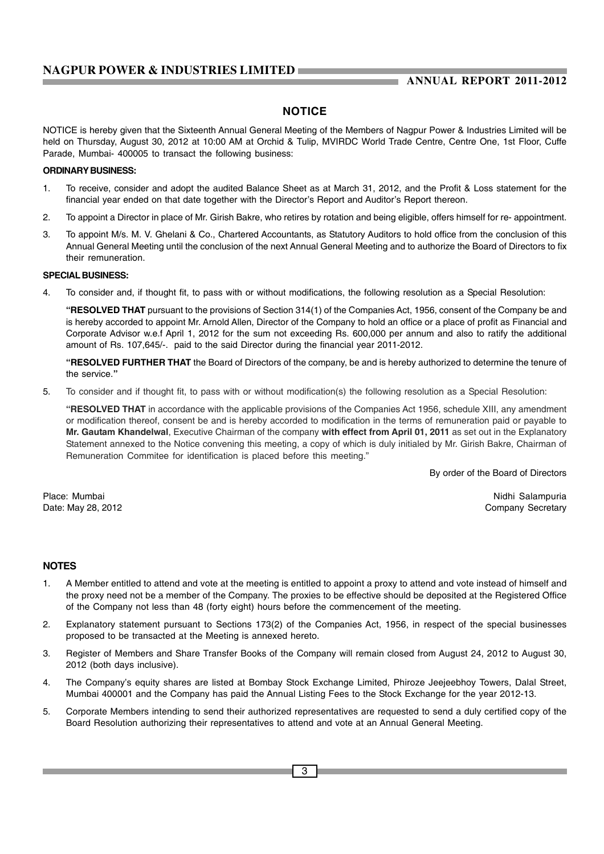### **NOTICE**

NOTICE is hereby given that the Sixteenth Annual General Meeting of the Members of Nagpur Power & Industries Limited will be held on Thursday, August 30, 2012 at 10:00 AM at Orchid & Tulip, MVIRDC World Trade Centre, Centre One, 1st Floor, Cuffe Parade, Mumbai- 400005 to transact the following business:

#### **ORDINARY BUSINESS:**

- 1. To receive, consider and adopt the audited Balance Sheet as at March 31, 2012, and the Profit & Loss statement for the financial year ended on that date together with the Director's Report and Auditor's Report thereon.
- 2. To appoint a Director in place of Mr. Girish Bakre, who retires by rotation and being eligible, offers himself for re- appointment.
- 3. To appoint M/s. M. V. Ghelani & Co., Chartered Accountants, as Statutory Auditors to hold office from the conclusion of this Annual General Meeting until the conclusion of the next Annual General Meeting and to authorize the Board of Directors to fix their remuneration.

#### **SPECIAL BUSINESS:**

4. To consider and, if thought fit, to pass with or without modifications, the following resolution as a Special Resolution:

**"RESOLVED THAT** pursuant to the provisions of Section 314(1) of the Companies Act, 1956, consent of the Company be and is hereby accorded to appoint Mr. Arnold Allen, Director of the Company to hold an office or a place of profit as Financial and Corporate Advisor w.e.f April 1, 2012 for the sum not exceeding Rs. 600,000 per annum and also to ratify the additional amount of Rs. 107,645/-. paid to the said Director during the financial year 2011-2012.

**"RESOLVED FURTHER THAT** the Board of Directors of the company, be and is hereby authorized to determine the tenure of the service.**"**

5. To consider and if thought fit, to pass with or without modification(s) the following resolution as a Special Resolution:

**"RESOLVED THAT** in accordance with the applicable provisions of the Companies Act 1956, schedule XIII, any amendment or modification thereof, consent be and is hereby accorded to modification in the terms of remuneration paid or payable to **Mr. Gautam Khandelwal**, Executive Chairman of the company **with effect from April 01, 2011** as set out in the Explanatory Statement annexed to the Notice convening this meeting, a copy of which is duly initialed by Mr. Girish Bakre, Chairman of Remuneration Commitee for identification is placed before this meeting."

By order of the Board of Directors

Place: Mumbai Nidhi Salampuria Nidhi Salampuria na katika 1999 na katika 1999 na katika 1999 na katika 1999 na katika 1999 na katika 1999 na katika 1999 na katika 1999 na katika 1999 na katika 1999 na katika 1999 na katika Date: May 28, 2012 **Date:** May 28, 2012

#### **NOTES**

- 1. A Member entitled to attend and vote at the meeting is entitled to appoint a proxy to attend and vote instead of himself and the proxy need not be a member of the Company. The proxies to be effective should be deposited at the Registered Office of the Company not less than 48 (forty eight) hours before the commencement of the meeting.
- 2. Explanatory statement pursuant to Sections 173(2) of the Companies Act, 1956, in respect of the special businesses proposed to be transacted at the Meeting is annexed hereto.
- 3. Register of Members and Share Transfer Books of the Company will remain closed from August 24, 2012 to August 30, 2012 (both days inclusive).
- 4. The Company's equity shares are listed at Bombay Stock Exchange Limited, Phiroze Jeejeebhoy Towers, Dalal Street, Mumbai 400001 and the Company has paid the Annual Listing Fees to the Stock Exchange for the year 2012-13.
- 5. Corporate Members intending to send their authorized representatives are requested to send a duly certified copy of the Board Resolution authorizing their representatives to attend and vote at an Annual General Meeting.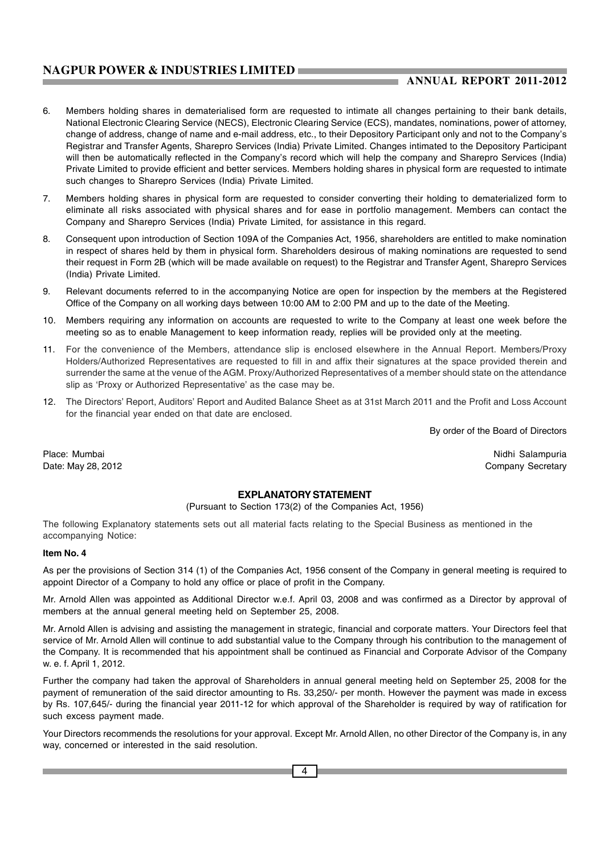### **ANNUAL REPORT 2011-2012**

- 6. Members holding shares in dematerialised form are requested to intimate all changes pertaining to their bank details, National Electronic Clearing Service (NECS), Electronic Clearing Service (ECS), mandates, nominations, power of attorney, change of address, change of name and e-mail address, etc., to their Depository Participant only and not to the Company's Registrar and Transfer Agents, Sharepro Services (India) Private Limited. Changes intimated to the Depository Participant will then be automatically reflected in the Company's record which will help the company and Sharepro Services (India) Private Limited to provide efficient and better services. Members holding shares in physical form are requested to intimate such changes to Sharepro Services (India) Private Limited.
- 7. Members holding shares in physical form are requested to consider converting their holding to dematerialized form to eliminate all risks associated with physical shares and for ease in portfolio management. Members can contact the Company and Sharepro Services (India) Private Limited, for assistance in this regard.
- 8. Consequent upon introduction of Section 109A of the Companies Act, 1956, shareholders are entitled to make nomination in respect of shares held by them in physical form. Shareholders desirous of making nominations are requested to send their request in Form 2B (which will be made available on request) to the Registrar and Transfer Agent, Sharepro Services (India) Private Limited.
- 9. Relevant documents referred to in the accompanying Notice are open for inspection by the members at the Registered Office of the Company on all working days between 10:00 AM to 2:00 PM and up to the date of the Meeting.
- 10. Members requiring any information on accounts are requested to write to the Company at least one week before the meeting so as to enable Management to keep information ready, replies will be provided only at the meeting.
- 11. For the convenience of the Members, attendance slip is enclosed elsewhere in the Annual Report. Members/Proxy Holders/Authorized Representatives are requested to fill in and affix their signatures at the space provided therein and surrender the same at the venue of the AGM. Proxy/Authorized Representatives of a member should state on the attendance slip as 'Proxy or Authorized Representative' as the case may be.
- 12. The Directors' Report, Auditors' Report and Audited Balance Sheet as at 31st March 2011 and the Profit and Loss Account for the financial year ended on that date are enclosed.

By order of the Board of Directors

#### Place: Mumbai Nidhi Salampuria Nidhi Salampuria Date: May 28, 2012 **Date:** May 28, 2012

#### **EXPLANATORY STATEMENT**

#### (Pursuant to Section 173(2) of the Companies Act, 1956)

The following Explanatory statements sets out all material facts relating to the Special Business as mentioned in the accompanying Notice:

#### **Item No. 4**

As per the provisions of Section 314 (1) of the Companies Act, 1956 consent of the Company in general meeting is required to appoint Director of a Company to hold any office or place of profit in the Company.

Mr. Arnold Allen was appointed as Additional Director w.e.f. April 03, 2008 and was confirmed as a Director by approval of members at the annual general meeting held on September 25, 2008.

Mr. Arnold Allen is advising and assisting the management in strategic, financial and corporate matters. Your Directors feel that service of Mr. Arnold Allen will continue to add substantial value to the Company through his contribution to the management of the Company. It is recommended that his appointment shall be continued as Financial and Corporate Advisor of the Company w. e. f. April 1, 2012.

Further the company had taken the approval of Shareholders in annual general meeting held on September 25, 2008 for the payment of remuneration of the said director amounting to Rs. 33,250/- per month. However the payment was made in excess by Rs. 107,645/- during the financial year 2011-12 for which approval of the Shareholder is required by way of ratification for such excess payment made.

Your Directors recommends the resolutions for your approval. Except Mr. Arnold Allen, no other Director of the Company is, in any way, concerned or interested in the said resolution.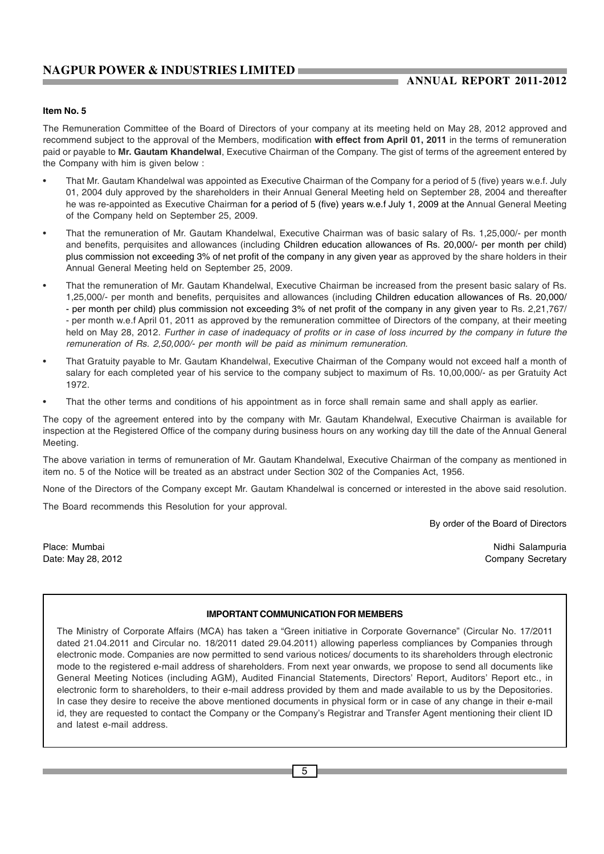### **ANNUAL REPORT 2011-2012**

#### **Item No. 5**

The Remuneration Committee of the Board of Directors of your company at its meeting held on May 28, 2012 approved and recommend subject to the approval of the Members, modification **with effect from April 01, 2011** in the terms of remuneration paid or payable to **Mr. Gautam Khandelwal**, Executive Chairman of the Company. The gist of terms of the agreement entered by the Company with him is given below :

- That Mr. Gautam Khandelwal was appointed as Executive Chairman of the Company for a period of 5 (five) years w.e.f. July 01, 2004 duly approved by the shareholders in their Annual General Meeting held on September 28, 2004 and thereafter he was re-appointed as Executive Chairman for a period of 5 (five) years w.e.f July 1, 2009 at the Annual General Meeting of the Company held on September 25, 2009.
- That the remuneration of Mr. Gautam Khandelwal, Executive Chairman was of basic salary of Rs. 1,25,000/- per month and benefits, perquisites and allowances (including Children education allowances of Rs. 20,000/- per month per child) plus commission not exceeding 3% of net profit of the company in any given year as approved by the share holders in their Annual General Meeting held on September 25, 2009.
- That the remuneration of Mr. Gautam Khandelwal, Executive Chairman be increased from the present basic salary of Rs. 1,25,000/- per month and benefits, perquisites and allowances (including Children education allowances of Rs. 20,000/ - per month per child) plus commission not exceeding 3% of net profit of the company in any given year to Rs. 2,21,767/ - per month w.e.f April 01, 2011 as approved by the remuneration committee of Directors of the company, at their meeting held on May 28, 2012. *Further in case of inadequacy of profits or in case of loss incurred by the company in future the remuneration of Rs. 2,50,000/- per month will be paid as minimum remuneration.*
- That Gratuity payable to Mr. Gautam Khandelwal, Executive Chairman of the Company would not exceed half a month of salary for each completed year of his service to the company subject to maximum of Rs. 10,00,000/- as per Gratuity Act 1972.
- That the other terms and conditions of his appointment as in force shall remain same and shall apply as earlier.

The copy of the agreement entered into by the company with Mr. Gautam Khandelwal, Executive Chairman is available for inspection at the Registered Office of the company during business hours on any working day till the date of the Annual General Meeting.

The above variation in terms of remuneration of Mr. Gautam Khandelwal, Executive Chairman of the company as mentioned in item no. 5 of the Notice will be treated as an abstract under Section 302 of the Companies Act, 1956.

None of the Directors of the Company except Mr. Gautam Khandelwal is concerned or interested in the above said resolution.

The Board recommends this Resolution for your approval.

By order of the Board of Directors

Place: Mumbai Nidhi Salampuria Nidhi Salampuria na katika kwa kutoka wa kutoka wa 1989. Wakati wa kutoka mwaka Date: May 28, 2012 **Date:** May 28, 2012

#### **IMPORTANT COMMUNICATION FOR MEMBERS**

The Ministry of Corporate Affairs (MCA) has taken a "Green initiative in Corporate Governance" (Circular No. 17/2011 dated 21.04.2011 and Circular no. 18/2011 dated 29.04.2011) allowing paperless compliances by Companies through electronic mode. Companies are now permitted to send various notices/ documents to its shareholders through electronic mode to the registered e-mail address of shareholders. From next year onwards, we propose to send all documents like General Meeting Notices (including AGM), Audited Financial Statements, Directors' Report, Auditors' Report etc., in electronic form to shareholders, to their e-mail address provided by them and made available to us by the Depositories. In case they desire to receive the above mentioned documents in physical form or in case of any change in their e-mail id, they are requested to contact the Company or the Company's Registrar and Transfer Agent mentioning their client ID and latest e-mail address.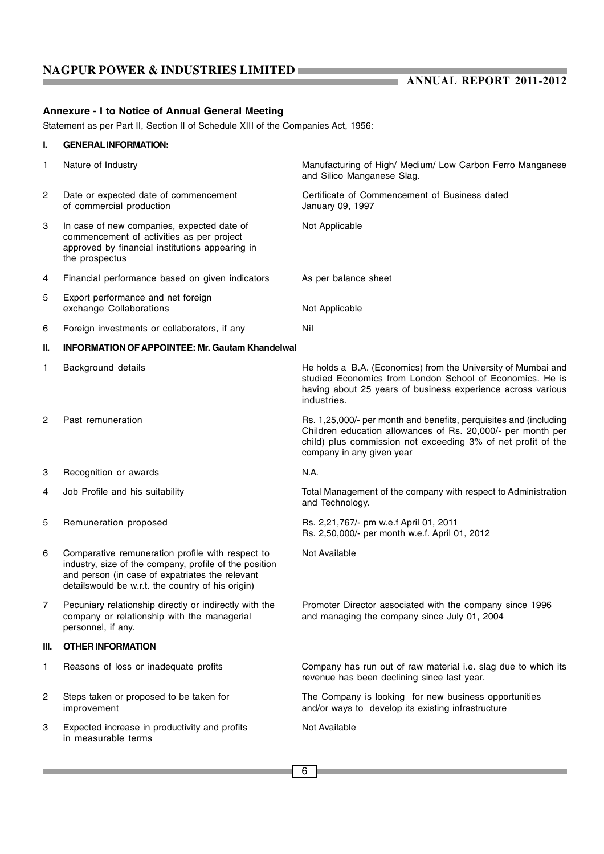**ANNUAL REPORT 2011-2012** 

### **Annexure - I to Notice of Annual General Meeting**

Statement as per Part II, Section II of Schedule XIII of the Companies Act, 1956:

### **I. GENERAL INFORMATION:**

| 1              | Nature of Industry                                                                                                                                                                                                  | Manufacturing of High/ Medium/ Low Carbon Ferro Manganese<br>and Silico Manganese Slag.                                                                                                                                       |
|----------------|---------------------------------------------------------------------------------------------------------------------------------------------------------------------------------------------------------------------|-------------------------------------------------------------------------------------------------------------------------------------------------------------------------------------------------------------------------------|
| 2              | Date or expected date of commencement<br>of commercial production                                                                                                                                                   | Certificate of Commencement of Business dated<br>January 09, 1997                                                                                                                                                             |
| 3              | In case of new companies, expected date of<br>commencement of activities as per project<br>approved by financial institutions appearing in<br>the prospectus                                                        | Not Applicable                                                                                                                                                                                                                |
| 4              | Financial performance based on given indicators                                                                                                                                                                     | As per balance sheet                                                                                                                                                                                                          |
| 5              | Export performance and net foreign<br>exchange Collaborations                                                                                                                                                       | Not Applicable                                                                                                                                                                                                                |
| 6              | Foreign investments or collaborators, if any                                                                                                                                                                        | Nil                                                                                                                                                                                                                           |
| Ш.             | <b>INFORMATION OF APPOINTEE: Mr. Gautam Khandelwal</b>                                                                                                                                                              |                                                                                                                                                                                                                               |
| 1              | Background details                                                                                                                                                                                                  | He holds a B.A. (Economics) from the University of Mumbai and<br>studied Economics from London School of Economics. He is<br>having about 25 years of business experience across various<br>industries.                       |
| 2              | Past remuneration                                                                                                                                                                                                   | Rs. 1,25,000/- per month and benefits, perquisites and (including<br>Children education allowances of Rs. 20,000/- per month per<br>child) plus commission not exceeding 3% of net profit of the<br>company in any given year |
| 3              | Recognition or awards                                                                                                                                                                                               | N.A.                                                                                                                                                                                                                          |
| 4              | Job Profile and his suitability                                                                                                                                                                                     | Total Management of the company with respect to Administration<br>and Technology.                                                                                                                                             |
| 5              | Remuneration proposed                                                                                                                                                                                               | Rs. 2,21,767/- pm w.e.f April 01, 2011<br>Rs. 2,50,000/- per month w.e.f. April 01, 2012                                                                                                                                      |
| 6              | Comparative remuneration profile with respect to<br>industry, size of the company, profile of the position<br>and person (in case of expatriates the relevant<br>details would be w.r.t. the country of his origin) | Not Available                                                                                                                                                                                                                 |
| $\overline{7}$ | Pecuniary relationship directly or indirectly with the<br>company or relationship with the managerial<br>personnel, if any.                                                                                         | Promoter Director associated with the company since 1996<br>and managing the company since July 01, 2004                                                                                                                      |
| Ш.             | <b>OTHER INFORMATION</b>                                                                                                                                                                                            |                                                                                                                                                                                                                               |
| 1              | Reasons of loss or inadequate profits                                                                                                                                                                               | Company has run out of raw material i.e. slag due to which its<br>revenue has been declining since last year.                                                                                                                 |
| 2              | Steps taken or proposed to be taken for<br>improvement                                                                                                                                                              | The Company is looking for new business opportunities<br>and/or ways to develop its existing infrastructure                                                                                                                   |
| 3              | Expected increase in productivity and profits<br>in measurable terms                                                                                                                                                | Not Available                                                                                                                                                                                                                 |
|                |                                                                                                                                                                                                                     |                                                                                                                                                                                                                               |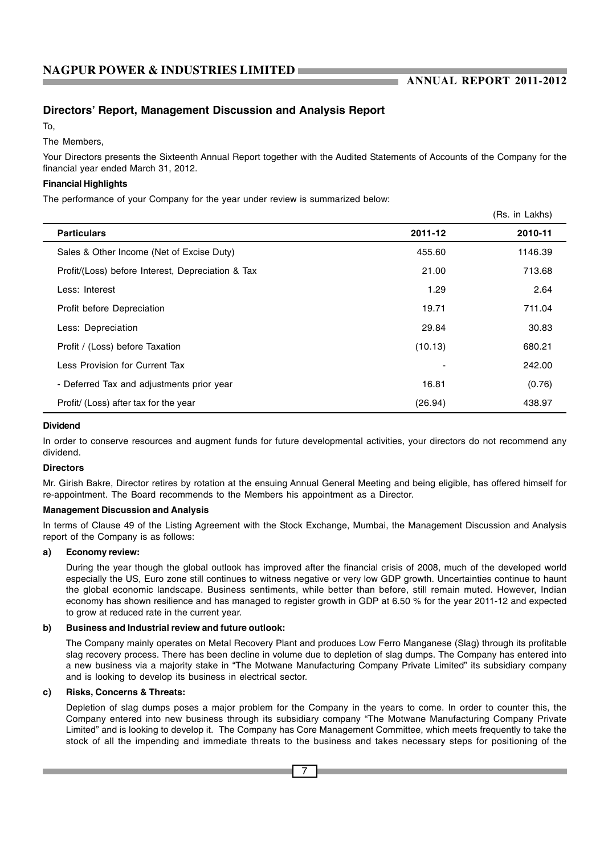### **Directors' Report, Management Discussion and Analysis Report**

To,

The Members,

Your Directors presents the Sixteenth Annual Report together with the Audited Statements of Accounts of the Company for the financial year ended March 31, 2012.

### **Financial Highlights**

The performance of your Company for the year under review is summarized below:

|                                                   |         | (Rs. in Lakhs) |
|---------------------------------------------------|---------|----------------|
| <b>Particulars</b>                                | 2011-12 | 2010-11        |
| Sales & Other Income (Net of Excise Duty)         | 455.60  | 1146.39        |
| Profit/(Loss) before Interest, Depreciation & Tax | 21.00   | 713.68         |
| Less: Interest                                    | 1.29    | 2.64           |
| Profit before Depreciation                        | 19.71   | 711.04         |
| Less: Depreciation                                | 29.84   | 30.83          |
| Profit / (Loss) before Taxation                   | (10.13) | 680.21         |
| Less Provision for Current Tax                    |         | 242.00         |
| - Deferred Tax and adjustments prior year         | 16.81   | (0.76)         |
| Profit/ (Loss) after tax for the year             | (26.94) | 438.97         |

#### **Dividend**

In order to conserve resources and augment funds for future developmental activities, your directors do not recommend any dividend.

#### **Directors**

Mr. Girish Bakre, Director retires by rotation at the ensuing Annual General Meeting and being eligible, has offered himself for re-appointment. The Board recommends to the Members his appointment as a Director.

#### **Management Discussion and Analysis**

In terms of Clause 49 of the Listing Agreement with the Stock Exchange, Mumbai, the Management Discussion and Analysis report of the Company is as follows:

#### **a) Economy review:**

During the year though the global outlook has improved after the financial crisis of 2008, much of the developed world especially the US, Euro zone still continues to witness negative or very low GDP growth. Uncertainties continue to haunt the global economic landscape. Business sentiments, while better than before, still remain muted. However, Indian economy has shown resilience and has managed to register growth in GDP at 6.50 % for the year 2011-12 and expected to grow at reduced rate in the current year.

#### **b) Business and Industrial review and future outlook:**

The Company mainly operates on Metal Recovery Plant and produces Low Ferro Manganese (Slag) through its profitable slag recovery process. There has been decline in volume due to depletion of slag dumps. The Company has entered into a new business via a majority stake in "The Motwane Manufacturing Company Private Limited" its subsidiary company and is looking to develop its business in electrical sector.

#### **c) Risks, Concerns & Threats:**

Depletion of slag dumps poses a major problem for the Company in the years to come. In order to counter this, the Company entered into new business through its subsidiary company "The Motwane Manufacturing Company Private Limited" and is looking to develop it. The Company has Core Management Committee, which meets frequently to take the stock of all the impending and immediate threats to the business and takes necessary steps for positioning of the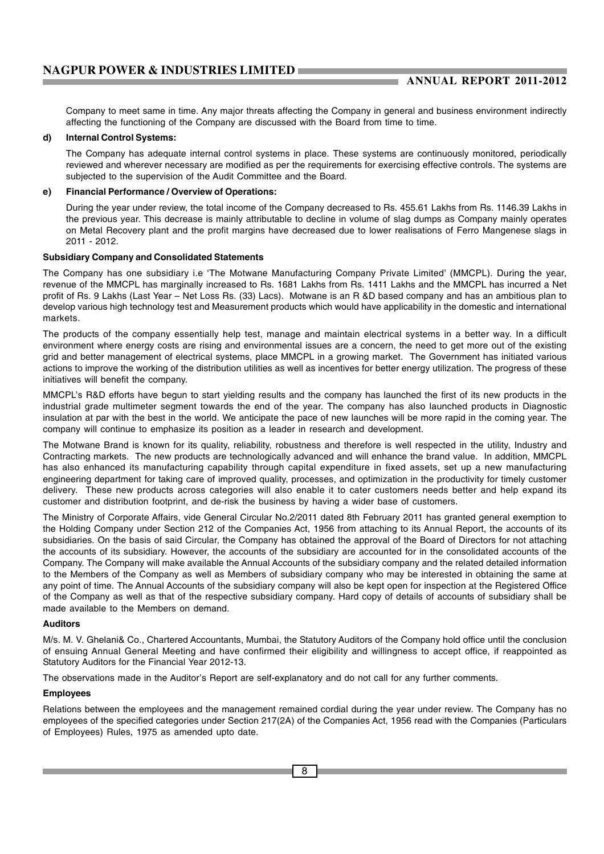Company to meet same in time. Any major threats affecting the Company in general and business environment indirectly affecting the functioning of the Company are discussed with the Board from time to time.

#### **d) Internal Control Systems:**

The Company has adequate internal control systems in place. These systems are continuously monitored, periodically reviewed and wherever necessary are modified as per the requirements for exercising effective controls. The systems are subjected to the supervision of the Audit Committee and the Board.

#### **e) Financial Performance / Overview of Operations:**

During the year under review, the total income of the Company decreased to Rs. 455.61 Lakhs from Rs. 1146.39 Lakhs in the previous year. This decrease is mainly attributable to decline in volume of slag dumps as Company mainly operates on Metal Recovery plant and the profit margins have decreased due to lower realisations of Ferro Mangenese slags in 2011 - 2012.

#### **Subsidiary Company and Consolidated Statements**

The Company has one subsidiary i.e 'The Motwane Manufacturing Company Private Limited' (MMCPL). During the year, revenue of the MMCPL has marginally increased to Rs. 1681 Lakhs from Rs. 1411 Lakhs and the MMCPL has incurred a Net profit of Rs. 9 Lakhs (Last Year – Net Loss Rs. (33) Lacs). Motwane is an R &D based company and has an ambitious plan to develop various high technology test and Measurement products which would have applicability in the domestic and international markets.

The products of the company essentially help test, manage and maintain electrical systems in a better way. In a difficult environment where energy costs are rising and environmental issues are a concern, the need to get more out of the existing grid and better management of electrical systems, place MMCPL in a growing market. The Government has initiated various actions to improve the working of the distribution utilities as well as incentives for better energy utilization. The progress of these initiatives will benefit the company.

MMCPL's R&D efforts have begun to start yielding results and the company has launched the first of its new products in the industrial grade multimeter segment towards the end of the year. The company has also launched products in Diagnostic insulation at par with the best in the world. We anticipate the pace of new launches will be more rapid in the coming year. The company will continue to emphasize its position as a leader in research and development.

The Motwane Brand is known for its quality, reliability, robustness and therefore is well respected in the utility, Industry and Contracting markets. The new products are technologically advanced and will enhance the brand value. In addition, MMCPL has also enhanced its manufacturing capability through capital expenditure in fixed assets, set up a new manufacturing engineering department for taking care of improved quality, processes, and optimization in the productivity for timely customer delivery. These new products across categories will also enable it to cater customers needs better and help expand its customer and distribution footprint, and de-risk the business by having a wider base of customers.

The Ministry of Corporate Affairs, vide General Circular No.2/2011 dated 8th February 2011 has granted general exemption to the Holding Company under Section 212 of the Companies Act, 1956 from attaching to its Annual Report, the accounts of its subsidiaries. On the basis of said Circular, the Company has obtained the approval of the Board of Directors for not attaching the accounts of its subsidiary. However, the accounts of the subsidiary are accounted for in the consolidated accounts of the Company. The Company will make available the Annual Accounts of the subsidiary company and the related detailed information to the Members of the Company as well as Members of subsidiary company who may be interested in obtaining the same at any point of time. The Annual Accounts of the subsidiary company will also be kept open for inspection at the Registered Office of the Company as well as that of the respective subsidiary company. Hard copy of details of accounts of subsidiary shall be made available to the Members on demand.

#### **Auditors**

M/s. M. V. Ghelani& Co., Chartered Accountants, Mumbai, the Statutory Auditors of the Company hold office until the conclusion of ensuing Annual General Meeting and have confirmed their eligibility and willingness to accept office, if reappointed as Statutory Auditors for the Financial Year 2012-13.

The observations made in the Auditor's Report are self-explanatory and do not call for any further comments.

#### **Employees**

Relations between the employees and the management remained cordial during the year under review. The Company has no employees of the specified categories under Section 217(2A) of the Companies Act, 1956 read with the Companies (Particulars of Employees) Rules, 1975 as amended upto date.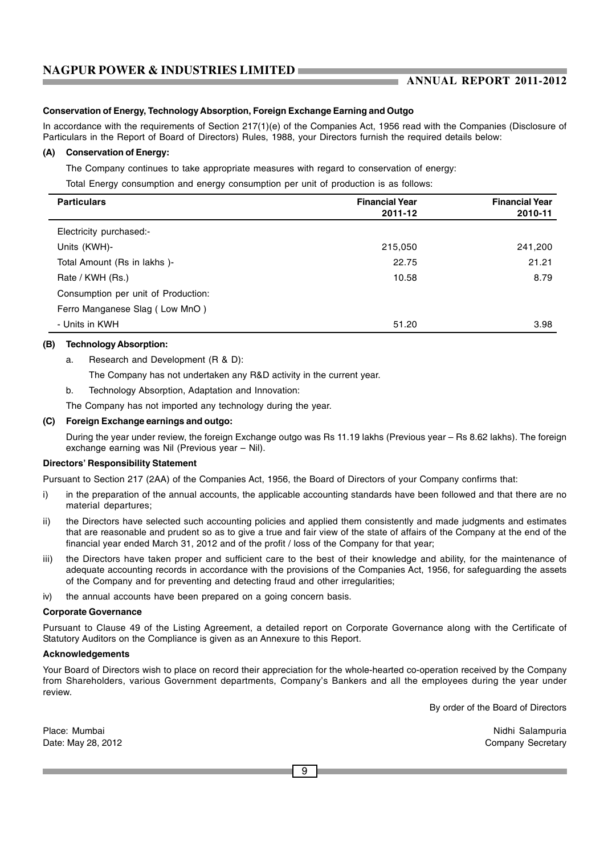### **ANNUAL REPORT 2011-2012**

#### **Conservation of Energy, Technology Absorption, Foreign Exchange Earning and Outgo**

In accordance with the requirements of Section 217(1)(e) of the Companies Act, 1956 read with the Companies (Disclosure of Particulars in the Report of Board of Directors) Rules, 1988, your Directors furnish the required details below:

#### **(A) Conservation of Energy:**

The Company continues to take appropriate measures with regard to conservation of energy:

Total Energy consumption and energy consumption per unit of production is as follows:

| <b>Particulars</b>                  | <b>Financial Year</b><br>2011-12 | <b>Financial Year</b><br>2010-11 |
|-------------------------------------|----------------------------------|----------------------------------|
| Electricity purchased:-             |                                  |                                  |
| Units (KWH)-                        | 215,050                          | 241,200                          |
| Total Amount (Rs in lakhs)-         | 22.75                            | 21.21                            |
| Rate / KWH (Rs.)                    | 10.58                            | 8.79                             |
| Consumption per unit of Production: |                                  |                                  |
| Ferro Manganese Slag (Low MnO)      |                                  |                                  |
| - Units in KWH                      | 51.20                            | 3.98                             |

#### **(B) Technology Absorption:**

a. Research and Development (R & D):

The Company has not undertaken any R&D activity in the current year.

b. Technology Absorption, Adaptation and Innovation:

The Company has not imported any technology during the year.

#### **(C) Foreign Exchange earnings and outgo:**

During the year under review, the foreign Exchange outgo was Rs 11.19 lakhs (Previous year – Rs 8.62 lakhs). The foreign exchange earning was Nil (Previous year – Nil).

#### **Directors' Responsibility Statement**

Pursuant to Section 217 (2AA) of the Companies Act, 1956, the Board of Directors of your Company confirms that:

- i) in the preparation of the annual accounts, the applicable accounting standards have been followed and that there are no material departures;
- ii) the Directors have selected such accounting policies and applied them consistently and made judgments and estimates that are reasonable and prudent so as to give a true and fair view of the state of affairs of the Company at the end of the financial year ended March 31, 2012 and of the profit / loss of the Company for that year;
- iii) the Directors have taken proper and sufficient care to the best of their knowledge and ability, for the maintenance of adequate accounting records in accordance with the provisions of the Companies Act, 1956, for safeguarding the assets of the Company and for preventing and detecting fraud and other irregularities;
- iv) the annual accounts have been prepared on a going concern basis.

#### **Corporate Governance**

Pursuant to Clause 49 of the Listing Agreement, a detailed report on Corporate Governance along with the Certificate of Statutory Auditors on the Compliance is given as an Annexure to this Report.

#### **Acknowledgements**

Your Board of Directors wish to place on record their appreciation for the whole-hearted co-operation received by the Company from Shareholders, various Government departments, Company's Bankers and all the employees during the year under review.

By order of the Board of Directors

Place: Mumbai Nidhi Salampuria Nidhi Salampuria Date: May 28, 2012 **Date:** May 28, 2012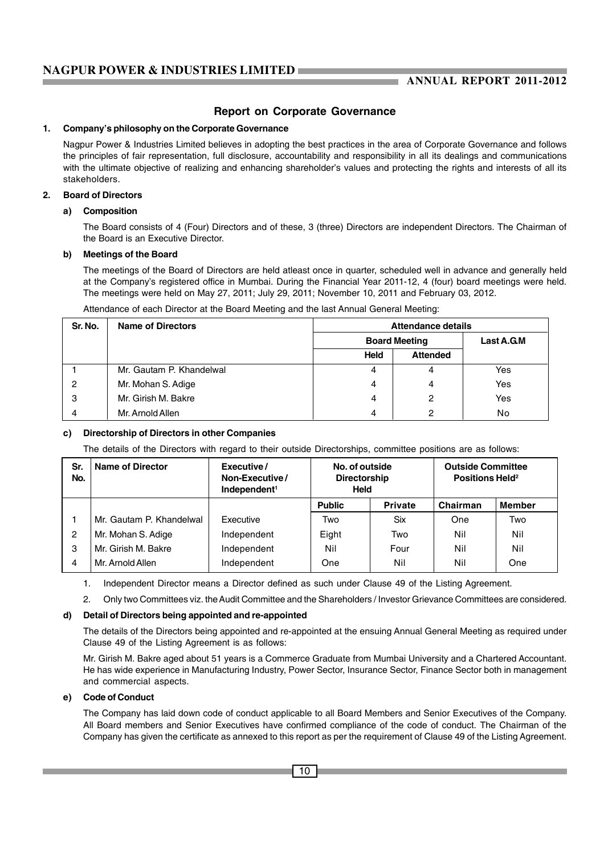### **Report on Corporate Governance**

#### **1. Company's philosophy on the Corporate Governance**

Nagpur Power & Industries Limited believes in adopting the best practices in the area of Corporate Governance and follows the principles of fair representation, full disclosure, accountability and responsibility in all its dealings and communications with the ultimate objective of realizing and enhancing shareholder's values and protecting the rights and interests of all its stakeholders.

#### **2. Board of Directors**

#### **a) Composition**

The Board consists of 4 (Four) Directors and of these, 3 (three) Directors are independent Directors. The Chairman of the Board is an Executive Director.

#### **b) Meetings of the Board**

The meetings of the Board of Directors are held atleast once in quarter, scheduled well in advance and generally held at the Company's registered office in Mumbai. During the Financial Year 2011-12, 4 (four) board meetings were held. The meetings were held on May 27, 2011; July 29, 2011; November 10, 2011 and February 03, 2012.

| Sr. No. | <b>Name of Directors</b> |      | <b>Attendance details</b> |            |
|---------|--------------------------|------|---------------------------|------------|
|         |                          |      | <b>Board Meeting</b>      | Last A.G.M |
|         |                          | Held | <b>Attended</b>           |            |
|         | Mr. Gautam P. Khandelwal | 4    | 4                         | Yes        |
| -2      | Mr. Mohan S. Adige       | 4    | 4                         | Yes        |
| 3       | Mr. Girish M. Bakre      | 4    | 2                         | Yes        |
| 4       | Mr. Arnold Allen         | 4    | ົ                         | No         |

#### **c) Directorship of Directors in other Companies**

The details of the Directors with regard to their outside Directorships, committee positions are as follows:

| Sr.<br>No.     | Name of Director         | Executive/<br>Non-Executive/<br>Independent <sup>1</sup> | No. of outside<br><b>Directorship</b><br><b>Held</b> |                | <b>Outside Committee</b><br>Positions Held <sup>2</sup> |               |
|----------------|--------------------------|----------------------------------------------------------|------------------------------------------------------|----------------|---------------------------------------------------------|---------------|
|                |                          |                                                          | <b>Public</b>                                        | <b>Private</b> | Chairman                                                | <b>Member</b> |
|                | Mr. Gautam P. Khandelwal | Executive                                                | Two                                                  | Six            | One                                                     | Two           |
| $\overline{2}$ | Mr. Mohan S. Adige       | Independent                                              | Eight                                                | Two            | Nil                                                     | Nil           |
| 3              | Mr. Girish M. Bakre      | Independent                                              | Nil                                                  | Four           | Nil                                                     | Nil           |
| 4              | Mr. Arnold Allen         | Independent                                              | One                                                  | Nil            | Nil                                                     | One           |

1. Independent Director means a Director defined as such under Clause 49 of the Listing Agreement.

2. Only two Committees viz. the Audit Committee and the Shareholders / Investor Grievance Committees are considered.

#### **d) Detail of Directors being appointed and re-appointed**

The details of the Directors being appointed and re-appointed at the ensuing Annual General Meeting as required under Clause 49 of the Listing Agreement is as follows:

Mr. Girish M. Bakre aged about 51 years is a Commerce Graduate from Mumbai University and a Chartered Accountant. He has wide experience in Manufacturing Industry, Power Sector, Insurance Sector, Finance Sector both in management and commercial aspects.

#### **e) Code of Conduct**

The Company has laid down code of conduct applicable to all Board Members and Senior Executives of the Company. All Board members and Senior Executives have confirmed compliance of the code of conduct. The Chairman of the Company has given the certificate as annexed to this report as per the requirement of Clause 49 of the Listing Agreement.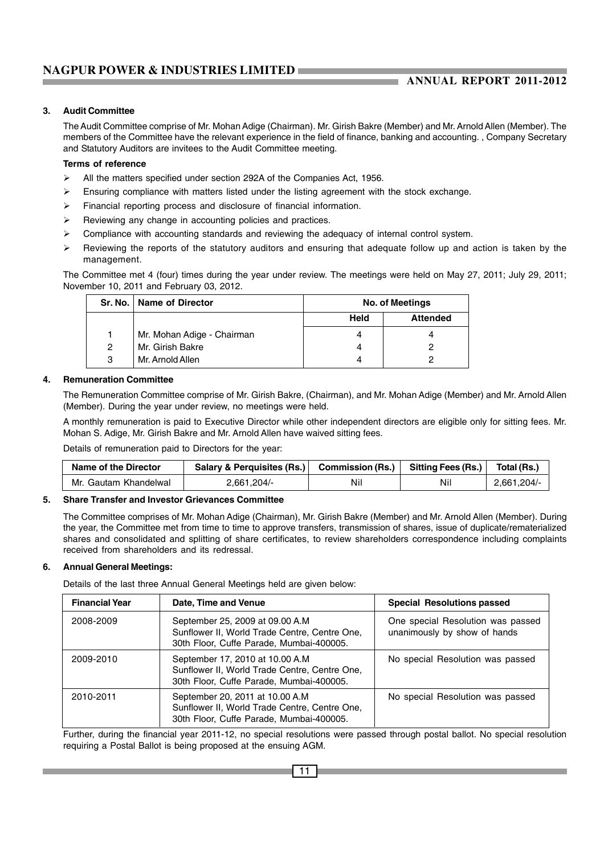#### **3. Audit Committee**

The Audit Committee comprise of Mr. Mohan Adige (Chairman). Mr. Girish Bakre (Member) and Mr. Arnold Allen (Member). The members of the Committee have the relevant experience in the field of finance, banking and accounting. , Company Secretary and Statutory Auditors are invitees to the Audit Committee meeting.

#### **Terms of reference**

- $\triangleright$ All the matters specified under section 292A of the Companies Act, 1956.
- $\triangleright$ Ensuring compliance with matters listed under the listing agreement with the stock exchange.
- $\blacktriangleright$ Financial reporting process and disclosure of financial information.
- $\blacktriangleright$ Reviewing any change in accounting policies and practices.
- $\blacktriangleright$ Compliance with accounting standards and reviewing the adequacy of internal control system.
- $\blacktriangleright$  Reviewing the reports of the statutory auditors and ensuring that adequate follow up and action is taken by the management.

The Committee met 4 (four) times during the year under review. The meetings were held on May 27, 2011; July 29, 2011; November 10, 2011 and February 03, 2012.

|   | Sr. No.   Name of Director |      | No. of Meetings |
|---|----------------------------|------|-----------------|
|   |                            | Held | <b>Attended</b> |
|   | Mr. Mohan Adige - Chairman |      |                 |
| 2 | Mr. Girish Bakre           |      |                 |
| 3 | Mr. Arnold Allen           |      |                 |

#### **4. Remuneration Committee**

The Remuneration Committee comprise of Mr. Girish Bakre, (Chairman), and Mr. Mohan Adige (Member) and Mr. Arnold Allen (Member). During the year under review, no meetings were held.

A monthly remuneration is paid to Executive Director while other independent directors are eligible only for sitting fees. Mr. Mohan S. Adige, Mr. Girish Bakre and Mr. Arnold Allen have waived sitting fees.

Details of remuneration paid to Directors for the year:

| Name of the Director  | Salary & Perquisites (Rs.) Commission (Rs.) |     | Sitting Fees (Rs.) | Total (Rs.) |
|-----------------------|---------------------------------------------|-----|--------------------|-------------|
| Mr. Gautam Khandelwal | $2.661.204/-$                               | Nil | Nil                | 2.661.204/  |

#### **5. Share Transfer and Investor Grievances Committee**

The Committee comprises of Mr. Mohan Adige (Chairman), Mr. Girish Bakre (Member) and Mr. Arnold Allen (Member). During the year, the Committee met from time to time to approve transfers, transmission of shares, issue of duplicate/rematerialized shares and consolidated and splitting of share certificates, to review shareholders correspondence including complaints received from shareholders and its redressal.

#### **6. Annual General Meetings:**

Details of the last three Annual General Meetings held are given below:

| <b>Financial Year</b> | Date, Time and Venue                                                                                                         | <b>Special Resolutions passed</b>                                 |
|-----------------------|------------------------------------------------------------------------------------------------------------------------------|-------------------------------------------------------------------|
| 2008-2009             | September 25, 2009 at 09.00 A.M<br>Sunflower II, World Trade Centre, Centre One,<br>30th Floor, Cuffe Parade, Mumbai-400005. | One special Resolution was passed<br>unanimously by show of hands |
| 2009-2010             | September 17, 2010 at 10.00 A.M<br>Sunflower II, World Trade Centre, Centre One,<br>30th Floor, Cuffe Parade, Mumbai-400005. | No special Resolution was passed                                  |
| 2010-2011             | September 20, 2011 at 10.00 A.M<br>Sunflower II, World Trade Centre, Centre One,<br>30th Floor, Cuffe Parade, Mumbai-400005. | No special Resolution was passed                                  |

Further, during the financial year 2011-12, no special resolutions were passed through postal ballot. No special resolution requiring a Postal Ballot is being proposed at the ensuing AGM.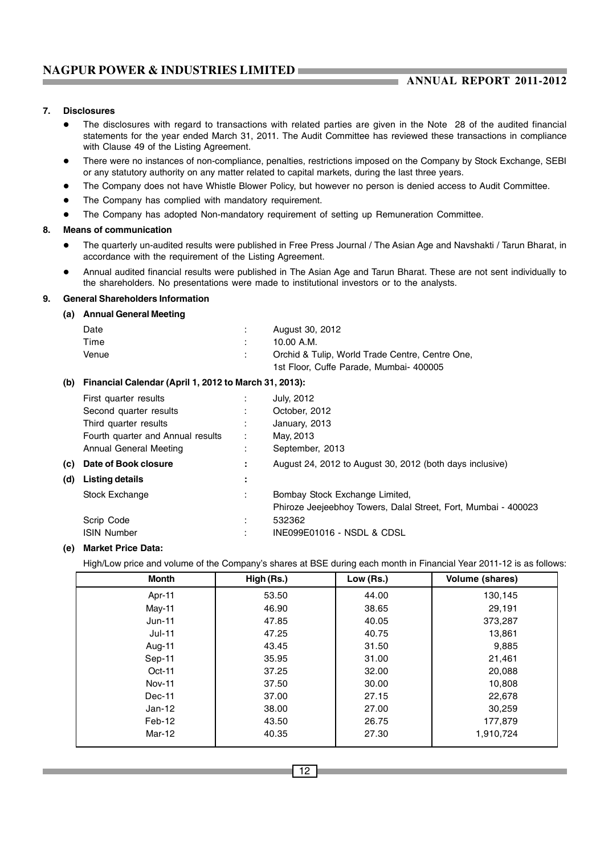#### **7. Disclosures**

- $\bullet$  The disclosures with regard to transactions with related parties are given in the Note 28 of the audited financial statements for the year ended March 31, 2011. The Audit Committee has reviewed these transactions in compliance with Clause 49 of the Listing Agreement.
- $\bullet$  There were no instances of non-compliance, penalties, restrictions imposed on the Company by Stock Exchange, SEBI or any statutory authority on any matter related to capital markets, during the last three years.
- $\bullet$ The Company does not have Whistle Blower Policy, but however no person is denied access to Audit Committee.
- $\bullet$ The Company has complied with mandatory requirement.
- $\bullet$ The Company has adopted Non-mandatory requirement of setting up Remuneration Committee.

#### **8. Means of communication**

- $\bullet$  The quarterly un-audited results were published in Free Press Journal / The Asian Age and Navshakti / Tarun Bharat, in accordance with the requirement of the Listing Agreement.
- $\bullet$  Annual audited financial results were published in The Asian Age and Tarun Bharat. These are not sent individually to the shareholders. No presentations were made to institutional investors or to the analysts.

#### **9. General Shareholders Information**

| (a) Annual General Meeting |                                                 |
|----------------------------|-------------------------------------------------|
| Date                       | August 30, 2012                                 |
| Time                       | 10.00 A.M.                                      |
| Venue                      | Orchid & Tulip, World Trade Centre, Centre One, |
|                            | 1st Floor, Cuffe Parade, Mumbai- 400005         |

#### **(b) Financial Calendar (April 1, 2012 to March 31, 2013):**

|     | First quarter results             | $\blacksquare$    | July, 2012                                                     |
|-----|-----------------------------------|-------------------|----------------------------------------------------------------|
|     | Second quarter results            | ٠<br>$\mathbf{r}$ | October, 2012                                                  |
|     | Third quarter results             | ÷                 | January, 2013                                                  |
|     | Fourth quarter and Annual results | ÷                 | May, 2013                                                      |
|     | Annual General Meeting            | ÷                 | September, 2013                                                |
| (c) | Date of Book closure              | ÷.                | August 24, 2012 to August 30, 2012 (both days inclusive)       |
| (d) | Listing details                   | ÷                 |                                                                |
|     | Stock Exchange                    | ÷                 | Bombay Stock Exchange Limited,                                 |
|     |                                   |                   | Phiroze Jeejeebhoy Towers, Dalal Street, Fort, Mumbai - 400023 |
|     | Scrip Code                        | ٠<br>٠.           | 532362                                                         |
|     | <b>ISIN Number</b>                | ٠<br>$\mathbf{r}$ | INE099E01016 - NSDL & CDSL                                     |
|     |                                   |                   |                                                                |

### **(e) Market Price Data:**

High/Low price and volume of the Company's shares at BSE during each month in Financial Year 2011-12 is as follows:

| Month         | High (Rs.) | Low (Rs.) | Volume (shares) |
|---------------|------------|-----------|-----------------|
| Apr-11        | 53.50      | 44.00     | 130,145         |
| May-11        | 46.90      | 38.65     | 29,191          |
| $Jun-11$      | 47.85      | 40.05     | 373,287         |
| Jul-11        | 47.25      | 40.75     | 13,861          |
| Aug-11        | 43.45      | 31.50     | 9,885           |
| Sep-11        | 35.95      | 31.00     | 21,461          |
| $Oct-11$      | 37.25      | 32.00     | 20,088          |
| <b>Nov-11</b> | 37.50      | 30.00     | 10,808          |
| Dec-11        | 37.00      | 27.15     | 22,678          |
| $Jan-12$      | 38.00      | 27.00     | 30,259          |
| Feb-12        | 43.50      | 26.75     | 177,879         |
| Mar-12        | 40.35      | 27.30     | 1,910,724       |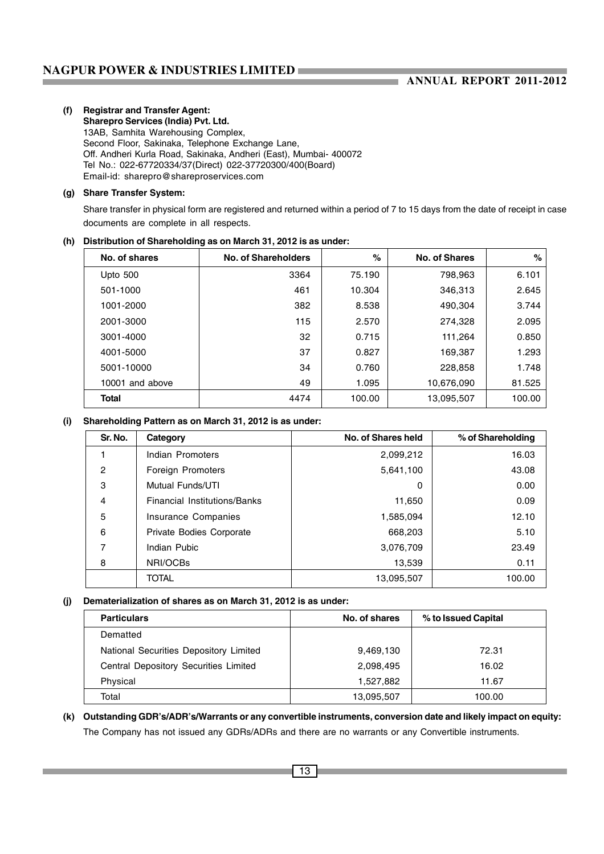#### **(f) Registrar and Transfer Agent: Sharepro Services (India) Pvt. Ltd.** 13AB, Samhita Warehousing Complex, Second Floor, Sakinaka, Telephone Exchange Lane, Off. Andheri Kurla Road, Sakinaka, Andheri (East), Mumbai- 400072 Tel No.: 022-67720334/37(Direct) 022-37720300/400(Board) Email-id: sharepro@shareproservices.com

### **(g) Share Transfer System:**

Share transfer in physical form are registered and returned within a period of 7 to 15 days from the date of receipt in case documents are complete in all respects.

### **(h) Distribution of Shareholding as on March 31, 2012 is as under:**

| No. of shares      | No. of Shareholders | $\%$   | No. of Shares | %      |
|--------------------|---------------------|--------|---------------|--------|
| Upto 500           | 3364                | 75.190 | 798,963       | 6.101  |
| 501-1000           | 461                 | 10.304 | 346.313       | 2.645  |
| 1001-2000          | 382                 | 8.538  | 490,304       | 3.744  |
| 2001-3000          | 115                 | 2.570  | 274,328       | 2.095  |
| 3001-4000          | 32                  | 0.715  | 111,264       | 0.850  |
| 4001-5000          | 37                  | 0.827  | 169,387       | 1.293  |
| 5001-10000         | 34                  | 0.760  | 228,858       | 1.748  |
| 10001<br>and above | 49                  | 1.095  | 10,676,090    | 81.525 |
| Total              | 4474                | 100.00 | 13,095,507    | 100.00 |

### **(i) Shareholding Pattern as on March 31, 2012 is as under:**

| Sr. No. | Category                     | No. of Shares held | % of Shareholding |
|---------|------------------------------|--------------------|-------------------|
|         | Indian Promoters             | 2,099,212          | 16.03             |
| 2       | Foreign Promoters            | 5,641,100          | 43.08             |
| 3       | Mutual Funds/UTI             | 0                  | 0.00              |
| 4       | Financial Institutions/Banks | 11.650             | 0.09              |
| 5       | Insurance Companies          | 1,585,094          | 12.10             |
| 6       | Private Bodies Corporate     | 668,203            | 5.10              |
| 7       | Indian Pubic                 | 3,076,709          | 23.49             |
| 8       | NRI/OCBs                     | 13,539             | 0.11              |
|         | <b>TOTAL</b>                 | 13,095,507         | 100.00            |

### **(j) Dematerialization of shares as on March 31, 2012 is as under:**

| <b>Particulars</b>                     | No. of shares | % to Issued Capital |
|----------------------------------------|---------------|---------------------|
| Dematted                               |               |                     |
| National Securities Depository Limited | 9,469,130     | 72.31               |
| Central Depository Securities Limited  | 2,098,495     | 16.02               |
| Physical                               | 1,527,882     | 11.67               |
| Total                                  | 13,095,507    | 100.00              |

**(k) Outstanding GDR's/ADR's/Warrants or any convertible instruments, conversion date and likely impact on equity:** The Company has not issued any GDRs/ADRs and there are no warrants or any Convertible instruments.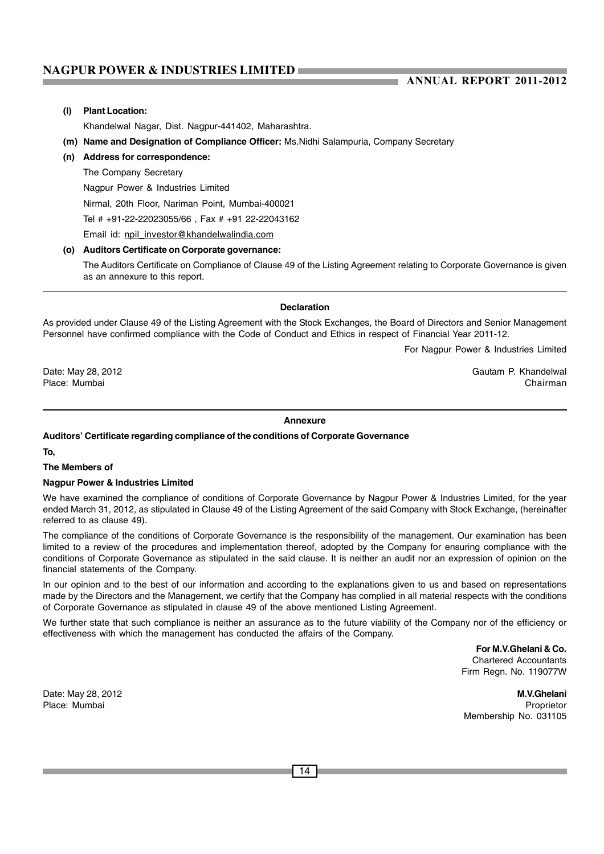### **ANNUAL REPORT 2011-2012**

#### **(l) Plant Location:**

Khandelwal Nagar, Dist. Nagpur-441402, Maharashtra.

- **(m) Name and Designation of Compliance Officer:** Ms.Nidhi Salampuria, Company Secretary
- **(n) Address for correspondence:**
- The Company Secretary

Nagpur Power & Industries Limited

Nirmal, 20th Floor, Nariman Point, Mumbai-400021

Tel # +91-22-22023055/66 , Fax # +91 22-22043162

Email id: npil\_investor@khandelwalindia.com

#### **(o) Auditors Certificate on Corporate governance:**

The Auditors Certificate on Compliance of Clause 49 of the Listing Agreement relating to Corporate Governance is given as an annexure to this report.

#### **Declaration**

As provided under Clause 49 of the Listing Agreement with the Stock Exchanges, the Board of Directors and Senior Management Personnel have confirmed compliance with the Code of Conduct and Ethics in respect of Financial Year 2011-12.

For Nagpur Power & Industries Limited

Date: May 28, 2012 **Date: May 28, 2012** Gautam P. Khandelwal Gautam P. Khandelwal Gautam P. Khandelwal Gautam P. Khandelwal Gautam P. Khandelwal Gautam P. Khandelwal Gautam P. Khandelwal Gautam S. Chairman Gautam Gautam B. Place: Mumbai Chairman

#### **Annexure**

#### **Auditors' Certificate regarding compliance of the conditions of Corporate Governance**

**To,**

#### **The Members of**

#### **Nagpur Power & Industries Limited**

We have examined the compliance of conditions of Corporate Governance by Nagpur Power & Industries Limited, for the year ended March 31, 2012, as stipulated in Clause 49 of the Listing Agreement of the said Company with Stock Exchange, (hereinafter referred to as clause 49).

The compliance of the conditions of Corporate Governance is the responsibility of the management. Our examination has been limited to a review of the procedures and implementation thereof, adopted by the Company for ensuring compliance with the conditions of Corporate Governance as stipulated in the said clause. It is neither an audit nor an expression of opinion on the financial statements of the Company.

In our opinion and to the best of our information and according to the explanations given to us and based on representations made by the Directors and the Management, we certify that the Company has complied in all material respects with the conditions of Corporate Governance as stipulated in clause 49 of the above mentioned Listing Agreement.

We further state that such compliance is neither an assurance as to the future viability of the Company nor of the efficiency or effectiveness with which the management has conducted the affairs of the Company.

> **For M.V.Ghelani & Co.** Chartered Accountants Firm Regn. No. 119077W

Date: May 28, 2012 **M.V.Ghelani** Place: Mumbai Proprietor Membership No. 031105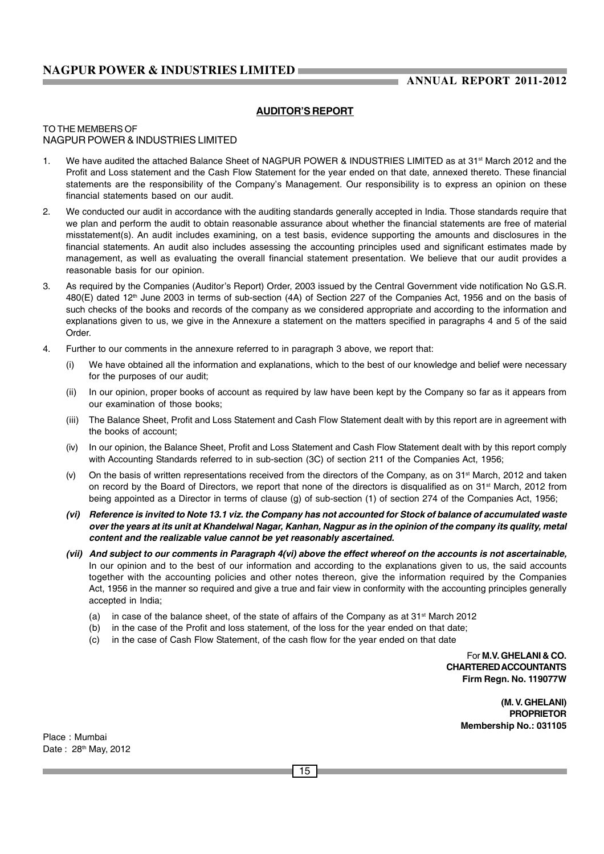### **AUDITOR'S REPORT**

#### TO THE MEMBERS OF NAGPUR POWER & INDUSTRIES LIMITED

- 1. We have audited the attached Balance Sheet of NAGPUR POWER & INDUSTRIES LIMITED as at 31<sup>st</sup> March 2012 and the Profit and Loss statement and the Cash Flow Statement for the year ended on that date, annexed thereto. These financial statements are the responsibility of the Company's Management. Our responsibility is to express an opinion on these financial statements based on our audit.
- 2. We conducted our audit in accordance with the auditing standards generally accepted in India. Those standards require that we plan and perform the audit to obtain reasonable assurance about whether the financial statements are free of material misstatement(s). An audit includes examining, on a test basis, evidence supporting the amounts and disclosures in the financial statements. An audit also includes assessing the accounting principles used and significant estimates made by management, as well as evaluating the overall financial statement presentation. We believe that our audit provides a reasonable basis for our opinion.
- 3. As required by the Companies (Auditor's Report) Order, 2003 issued by the Central Government vide notification No G.S.R. 480(E) dated 12<sup>th</sup> June 2003 in terms of sub-section (4A) of Section 227 of the Companies Act, 1956 and on the basis of such checks of the books and records of the company as we considered appropriate and according to the information and explanations given to us, we give in the Annexure a statement on the matters specified in paragraphs 4 and 5 of the said **Order**
- 4. Further to our comments in the annexure referred to in paragraph 3 above, we report that:
	- (i) We have obtained all the information and explanations, which to the best of our knowledge and belief were necessary for the purposes of our audit;
	- (ii) In our opinion, proper books of account as required by law have been kept by the Company so far as it appears from our examination of those books;
	- (iii) The Balance Sheet, Profit and Loss Statement and Cash Flow Statement dealt with by this report are in agreement with the books of account;
	- (iv) In our opinion, the Balance Sheet, Profit and Loss Statement and Cash Flow Statement dealt with by this report comply with Accounting Standards referred to in sub-section (3C) of section 211 of the Companies Act, 1956;
	- $(v)$  On the basis of written representations received from the directors of the Company, as on 31<sup>st</sup> March, 2012 and taken on record by the Board of Directors, we report that none of the directors is disqualified as on 31<sup>st</sup> March, 2012 from being appointed as a Director in terms of clause (g) of sub-section (1) of section 274 of the Companies Act, 1956;
	- *(vi) Reference is invited to Note 13.1 viz. the Company has not accounted for Stock of balance of accumulated waste over the years at its unit at Khandelwal Nagar, Kanhan, Nagpur as in the opinion of the company its quality, metal content and the realizable value cannot be yet reasonably ascertained.*
	- *(vii) And subject to our comments in Paragraph 4(vi) above the effect whereof on the accounts is not ascertainable,* In our opinion and to the best of our information and according to the explanations given to us, the said accounts together with the accounting policies and other notes thereon, give the information required by the Companies Act, 1956 in the manner so required and give a true and fair view in conformity with the accounting principles generally accepted in India;
		- (a) in case of the balance sheet, of the state of affairs of the Company as at  $31<sup>st</sup>$  March 2012
		- (b) in the case of the Profit and loss statement, of the loss for the year ended on that date;
		- (c) in the case of Cash Flow Statement, of the cash flow for the year ended on that date

For **M.V. GHELANI & CO. CHARTERED ACCOUNTANTS Firm Regn. No. 119077W**

> **(M. V. GHELANI) PROPRIETOR Membership No.: 031105**

Place : Mumbai Date: 28<sup>th</sup> May, 2012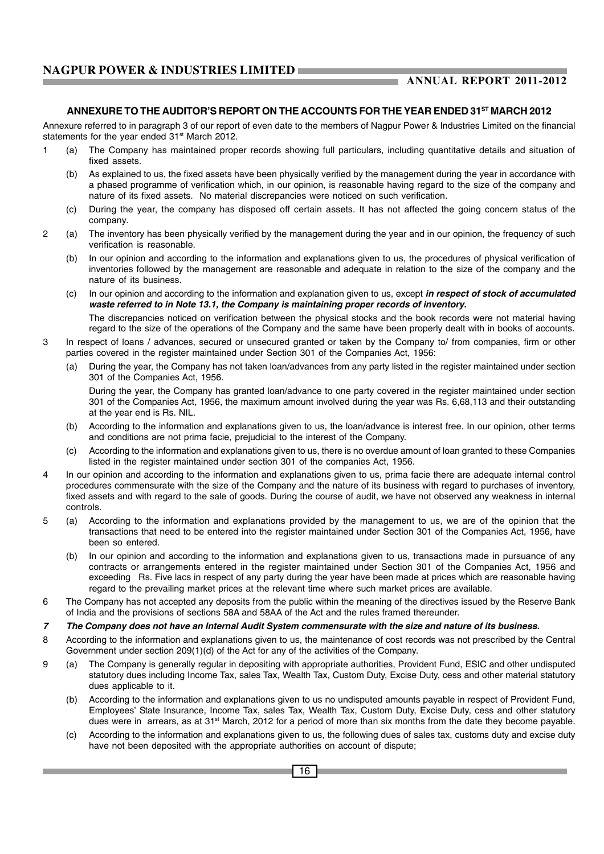#### **ANNEXURE TO THE AUDITOR'S REPORT ON THE ACCOUNTS FOR THE YEAR ENDED 31ST MARCH 2012**

Annexure referred to in paragraph 3 of our report of even date to the members of Nagpur Power & Industries Limited on the financial statements for the year ended 31<sup>st</sup> March 2012.

- 1 (a) The Company has maintained proper records showing full particulars, including quantitative details and situation of fixed assets.
	- (b) As explained to us, the fixed assets have been physically verified by the management during the year in accordance with a phased programme of verification which, in our opinion, is reasonable having regard to the size of the company and nature of its fixed assets. No material discrepancies were noticed on such verification.
	- (c) During the year, the company has disposed off certain assets. It has not affected the going concern status of the company.
- 2 (a) The inventory has been physically verified by the management during the year and in our opinion, the frequency of such verification is reasonable.
	- (b) In our opinion and according to the information and explanations given to us, the procedures of physical verification of inventories followed by the management are reasonable and adequate in relation to the size of the company and the nature of its business.
	- (c) In our opinion and according to the information and explanation given to us, except *in respect of stock of accumulated waste referred to in Note 13.1, the Company is maintaining proper records of inventory.* The discrepancies noticed on verification between the physical stocks and the book records were not material having regard to the size of the operations of the Company and the same have been properly dealt with in books of accounts.
- 3 In respect of loans / advances, secured or unsecured granted or taken by the Company to/ from companies, firm or other parties covered in the register maintained under Section 301 of the Companies Act, 1956:
	- (a) During the year, the Company has not taken loan/advances from any party listed in the register maintained under section 301 of the Companies Act, 1956.

During the year, the Company has granted loan/advance to one party covered in the register maintained under section 301 of the Companies Act, 1956, the maximum amount involved during the year was Rs. 6,68,113 and their outstanding at the year end is Rs. NIL.

- (b) According to the information and explanations given to us, the loan/advance is interest free. In our opinion, other terms and conditions are not prima facie, prejudicial to the interest of the Company.
- (c) According to the information and explanations given to us, there is no overdue amount of loan granted to these Companies listed in the register maintained under section 301 of the companies Act, 1956.
- 4 In our opinion and according to the information and explanations given to us, prima facie there are adequate internal control procedures commensurate with the size of the Company and the nature of its business with regard to purchases of inventory, fixed assets and with regard to the sale of goods. During the course of audit, we have not observed any weakness in internal controls.
- 5 (a) According to the information and explanations provided by the management to us, we are of the opinion that the transactions that need to be entered into the register maintained under Section 301 of the Companies Act, 1956, have been so entered.
	- (b) In our opinion and according to the information and explanations given to us, transactions made in pursuance of any contracts or arrangements entered in the register maintained under Section 301 of the Companies Act, 1956 and exceeding Rs. Five lacs in respect of any party during the year have been made at prices which are reasonable having regard to the prevailing market prices at the relevant time where such market prices are available.
- 6 The Company has not accepted any deposits from the public within the meaning of the directives issued by the Reserve Bank of India and the provisions of sections 58A and 58AA of the Act and the rules framed thereunder.

#### *7 The Company does not have an Internal Audit System commensurate with the size and nature of its business.*

- 8 According to the information and explanations given to us, the maintenance of cost records was not prescribed by the Central Government under section 209(1)(d) of the Act for any of the activities of the Company.
- 9 (a) The Company is generally regular in depositing with appropriate authorities, Provident Fund, ESIC and other undisputed statutory dues including Income Tax, sales Tax, Wealth Tax, Custom Duty, Excise Duty, cess and other material statutory dues applicable to it.
	- (b) According to the information and explanations given to us no undisputed amounts payable in respect of Provident Fund, Employees' State Insurance, Income Tax, sales Tax, Wealth Tax, Custom Duty, Excise Duty, cess and other statutory dues were in arrears, as at 31<sup>st</sup> March, 2012 for a period of more than six months from the date they become payable.
	- (c) According to the information and explanations given to us, the following dues of sales tax, customs duty and excise duty have not been deposited with the appropriate authorities on account of dispute;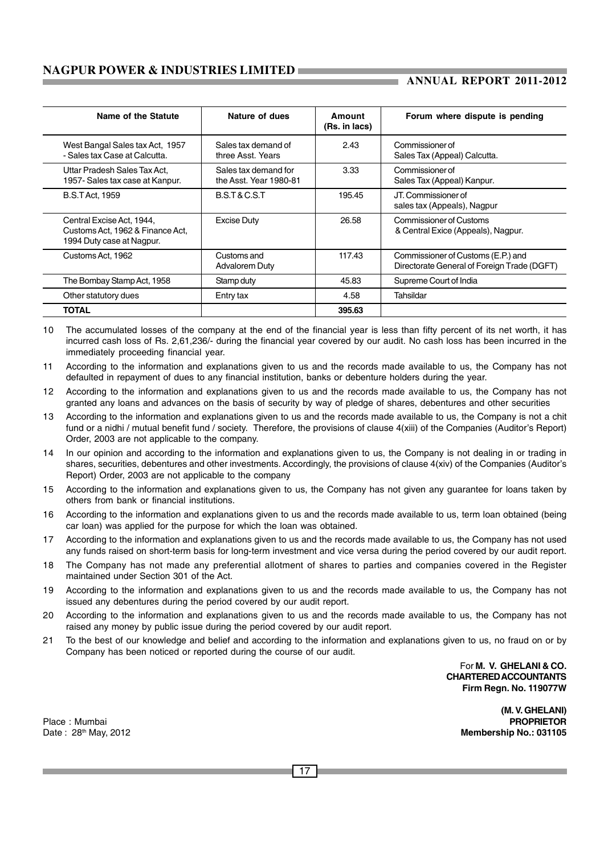### **ANNUAL REPORT 2011-2012**

| Name of the Statute                                                                        | Nature of dues                                 | Amount<br>(Rs. in lacs) | Forum where dispute is pending                                                    |
|--------------------------------------------------------------------------------------------|------------------------------------------------|-------------------------|-----------------------------------------------------------------------------------|
| West Bangal Sales tax Act, 1957<br>- Sales tax Case at Calcutta.                           | Sales tax demand of<br>three Asst. Years       | 2.43                    | Commissioner of<br>Sales Tax (Appeal) Calcutta.                                   |
| Uttar Pradesh Sales Tax Act.<br>1957- Sales tax case at Kanpur.                            | Sales tax demand for<br>the Asst. Year 1980-81 | 3.33                    | Commissioner of<br>Sales Tax (Appeal) Kanpur.                                     |
| <b>B.S.T Act. 1959</b>                                                                     | B.S.T&C.S.T                                    | 195.45                  | JT. Commissioner of<br>sales tax (Appeals), Nagpur                                |
| Central Excise Act, 1944,<br>Customs Act, 1962 & Finance Act,<br>1994 Duty case at Nagpur. | <b>Excise Duty</b>                             | 26.58                   | Commissioner of Customs<br>& Central Exice (Appeals), Nagpur.                     |
| Customs Act, 1962                                                                          | Customs and<br><b>Advalorem Duty</b>           | 117.43                  | Commissioner of Customs (E.P.) and<br>Directorate General of Foreign Trade (DGFT) |
| The Bombay Stamp Act, 1958                                                                 | Stamp duty                                     | 45.83                   | Supreme Court of India                                                            |
| Other statutory dues                                                                       | Entry tax                                      | 4.58                    | Tahsildar                                                                         |
| <b>TOTAL</b>                                                                               |                                                | 395.63                  |                                                                                   |

10 The accumulated losses of the company at the end of the financial year is less than fifty percent of its net worth, it has incurred cash loss of Rs. 2,61,236/- during the financial year covered by our audit. No cash loss has been incurred in the immediately proceeding financial year.

- 11 According to the information and explanations given to us and the records made available to us, the Company has not defaulted in repayment of dues to any financial institution, banks or debenture holders during the year.
- 12 According to the information and explanations given to us and the records made available to us, the Company has not granted any loans and advances on the basis of security by way of pledge of shares, debentures and other securities
- 13 According to the information and explanations given to us and the records made available to us, the Company is not a chit fund or a nidhi / mutual benefit fund / society. Therefore, the provisions of clause 4(xiii) of the Companies (Auditor's Report) Order, 2003 are not applicable to the company.
- 14 In our opinion and according to the information and explanations given to us, the Company is not dealing in or trading in shares, securities, debentures and other investments. Accordingly, the provisions of clause 4(xiv) of the Companies (Auditor's Report) Order, 2003 are not applicable to the company
- 15 According to the information and explanations given to us, the Company has not given any guarantee for loans taken by others from bank or financial institutions.
- 16 According to the information and explanations given to us and the records made available to us, term loan obtained (being car loan) was applied for the purpose for which the loan was obtained.
- 17 According to the information and explanations given to us and the records made available to us, the Company has not used any funds raised on short-term basis for long-term investment and vice versa during the period covered by our audit report.
- 18 The Company has not made any preferential allotment of shares to parties and companies covered in the Register maintained under Section 301 of the Act.
- 19 According to the information and explanations given to us and the records made available to us, the Company has not issued any debentures during the period covered by our audit report.
- 20 According to the information and explanations given to us and the records made available to us, the Company has not raised any money by public issue during the period covered by our audit report.
- 21 To the best of our knowledge and belief and according to the information and explanations given to us, no fraud on or by Company has been noticed or reported during the course of our audit.

For **M. V. GHELANI & CO. CHARTERED ACCOUNTANTS Firm Regn. No. 119077W**

**(M. V. GHELANI)** Place : Mumbai **PROPRIETOR** Date : 28th May, 2012 **Membership No.: 031105**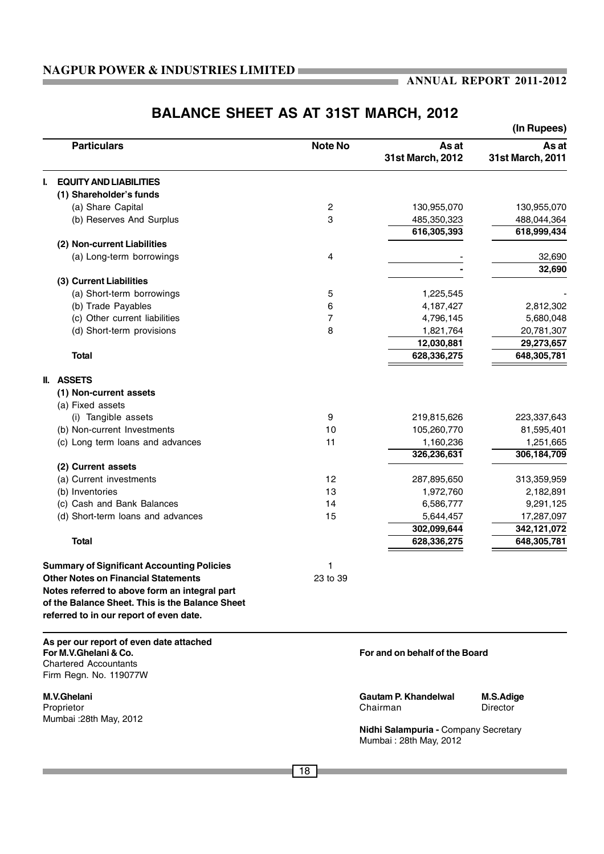### **ANNUAL REPORT 2011-2012**

# **BALANCE SHEET AS AT 31ST MARCH, 2012**

|                                                                                                                                             |                |                                                                | (In Rupees)               |
|---------------------------------------------------------------------------------------------------------------------------------------------|----------------|----------------------------------------------------------------|---------------------------|
| <b>Particulars</b>                                                                                                                          | <b>Note No</b> | As at<br>31st March, 2012                                      | As at<br>31st March, 2011 |
| <b>EQUITY AND LIABILITIES</b>                                                                                                               |                |                                                                |                           |
| (1) Shareholder's funds                                                                                                                     |                |                                                                |                           |
| (a) Share Capital                                                                                                                           | 2              | 130,955,070                                                    | 130,955,070               |
| (b) Reserves And Surplus                                                                                                                    | 3              | 485,350,323                                                    | 488,044,364               |
|                                                                                                                                             |                | 616,305,393                                                    | 618,999,434               |
| (2) Non-current Liabilities                                                                                                                 |                |                                                                |                           |
| (a) Long-term borrowings                                                                                                                    | 4              |                                                                | 32,690                    |
|                                                                                                                                             |                |                                                                | 32,690                    |
| (3) Current Liabilities                                                                                                                     |                |                                                                |                           |
| (a) Short-term borrowings                                                                                                                   | 5              | 1,225,545                                                      |                           |
| (b) Trade Payables                                                                                                                          | 6              | 4,187,427                                                      | 2,812,302                 |
| (c) Other current liabilities                                                                                                               | 7              | 4,796,145                                                      | 5,680,048                 |
| (d) Short-term provisions                                                                                                                   | 8              | 1,821,764                                                      | 20,781,307                |
|                                                                                                                                             |                | 12,030,881                                                     | 29,273,657                |
| <b>Total</b>                                                                                                                                |                | 628,336,275                                                    | 648,305,781               |
| <b>II. ASSETS</b>                                                                                                                           |                |                                                                |                           |
| (1) Non-current assets                                                                                                                      |                |                                                                |                           |
| (a) Fixed assets                                                                                                                            |                |                                                                |                           |
| (i) Tangible assets                                                                                                                         | 9              | 219,815,626                                                    | 223,337,643               |
| (b) Non-current Investments                                                                                                                 | 10             | 105,260,770                                                    | 81,595,401                |
| (c) Long term loans and advances                                                                                                            | 11             | 1,160,236                                                      | 1,251,665                 |
|                                                                                                                                             |                | 326,236,631                                                    | 306,184,709               |
| (2) Current assets                                                                                                                          |                |                                                                |                           |
| (a) Current investments                                                                                                                     | 12             | 287,895,650                                                    | 313,359,959               |
| (b) Inventories<br>(c) Cash and Bank Balances                                                                                               | 13<br>14       | 1,972,760<br>6,586,777                                         | 2,182,891                 |
| (d) Short-term loans and advances                                                                                                           | 15             |                                                                | 9,291,125                 |
|                                                                                                                                             |                | 5,644,457<br>302,099,644                                       | 17,287,097<br>342,121,072 |
| <b>Total</b>                                                                                                                                |                | 628,336,275                                                    | 648,305,781               |
|                                                                                                                                             |                |                                                                |                           |
| <b>Summary of Significant Accounting Policies</b>                                                                                           | 1              |                                                                |                           |
| <b>Other Notes on Financial Statements</b>                                                                                                  | 23 to 39       |                                                                |                           |
| Notes referred to above form an integral part<br>of the Balance Sheet. This is the Balance Sheet<br>referred to in our report of even date. |                |                                                                |                           |
| As per our report of even date attached<br>For M.V.Ghelani & Co.<br><b>Chartered Accountants</b><br>Firm Regn. No. 119077W                  |                | For and on behalf of the Board                                 |                           |
|                                                                                                                                             |                |                                                                |                           |
| M.V.Ghelani<br>Proprietor                                                                                                                   |                | <b>Gautam P. Khandelwal</b><br>Chairman                        | M.S.Adige<br>Director     |
| Mumbai : 28th May, 2012                                                                                                                     |                | Nidhi Salampuria - Company Secretary<br>Mumbai: 28th May, 2012 |                           |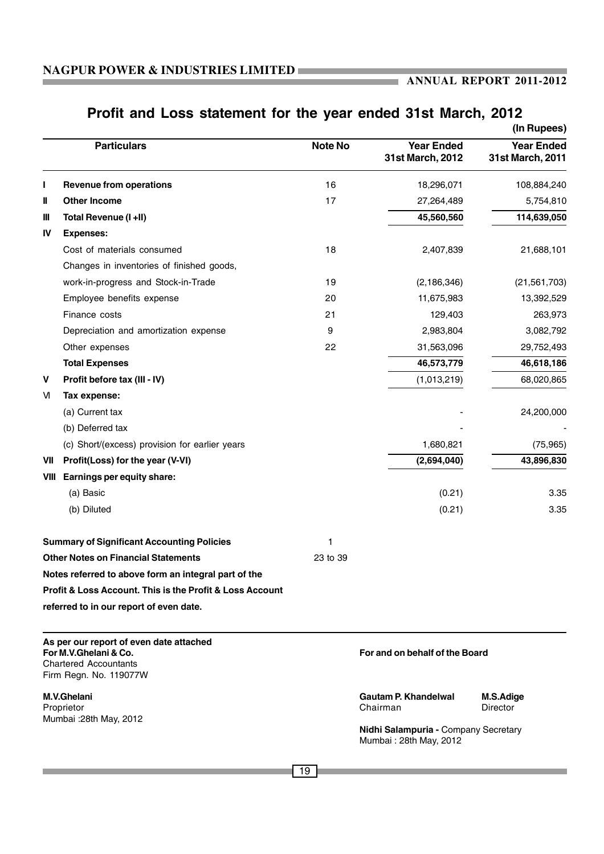ı.

# **Profit and Loss statement for the year ended 31st March, 2012**

|             |                                                                                                                            |                |                                       | (In Rupees)                           |
|-------------|----------------------------------------------------------------------------------------------------------------------------|----------------|---------------------------------------|---------------------------------------|
|             | <b>Particulars</b>                                                                                                         | <b>Note No</b> | <b>Year Ended</b><br>31st March, 2012 | <b>Year Ended</b><br>31st March, 2011 |
| ı           | <b>Revenue from operations</b>                                                                                             | 16             | 18,296,071                            | 108,884,240                           |
| Ш           | <b>Other Income</b>                                                                                                        | 17             | 27,264,489                            | 5,754,810                             |
| Ш           | Total Revenue (I +II)                                                                                                      |                | 45,560,560                            | 114,639,050                           |
| IV          | <b>Expenses:</b>                                                                                                           |                |                                       |                                       |
|             | Cost of materials consumed                                                                                                 | 18             | 2,407,839                             | 21,688,101                            |
|             | Changes in inventories of finished goods,                                                                                  |                |                                       |                                       |
|             | work-in-progress and Stock-in-Trade                                                                                        | 19             | (2, 186, 346)                         | (21, 561, 703)                        |
|             | Employee benefits expense                                                                                                  | 20             | 11,675,983                            | 13,392,529                            |
|             | Finance costs                                                                                                              | 21             | 129,403                               | 263,973                               |
|             | Depreciation and amortization expense                                                                                      | 9              | 2,983,804                             | 3,082,792                             |
|             | Other expenses                                                                                                             | 22             | 31,563,096                            | 29,752,493                            |
|             | <b>Total Expenses</b>                                                                                                      |                | 46,573,779                            | 46,618,186                            |
| $\mathbf v$ | Profit before tax (III - IV)                                                                                               |                | (1,013,219)                           | 68,020,865                            |
| M           | Tax expense:                                                                                                               |                |                                       |                                       |
|             | (a) Current tax                                                                                                            |                |                                       | 24,200,000                            |
|             | (b) Deferred tax                                                                                                           |                |                                       |                                       |
|             | (c) Short/(excess) provision for earlier years                                                                             |                | 1,680,821                             | (75, 965)                             |
| VII         | Profit(Loss) for the year (V-VI)                                                                                           |                | (2,694,040)                           | 43,896,830                            |
| VIII        | Earnings per equity share:                                                                                                 |                |                                       |                                       |
|             | (a) Basic                                                                                                                  |                | (0.21)                                | 3.35                                  |
|             | (b) Diluted                                                                                                                |                | (0.21)                                | 3.35                                  |
|             | <b>Summary of Significant Accounting Policies</b>                                                                          | 1              |                                       |                                       |
|             | <b>Other Notes on Financial Statements</b>                                                                                 | 23 to 39       |                                       |                                       |
|             | Notes referred to above form an integral part of the                                                                       |                |                                       |                                       |
|             | <b>Profit &amp; Loss Account. This is the Profit &amp; Loss Account</b>                                                    |                |                                       |                                       |
|             | referred to in our report of even date.                                                                                    |                |                                       |                                       |
|             | As per our report of even date attached<br>For M.V.Ghelani & Co.<br><b>Chartered Accountants</b><br>Firm Regn. No. 119077W |                | For and on behalf of the Board        |                                       |
|             | M.V.Ghelani                                                                                                                |                | <b>Gautam P. Khandelwal</b>           | M.S.Adige                             |

Mumbai :28th May, 2012

Proprietor Chairman Director

**Nidhi Salampuria -** Company Secretary Mumbai : 28th May, 2012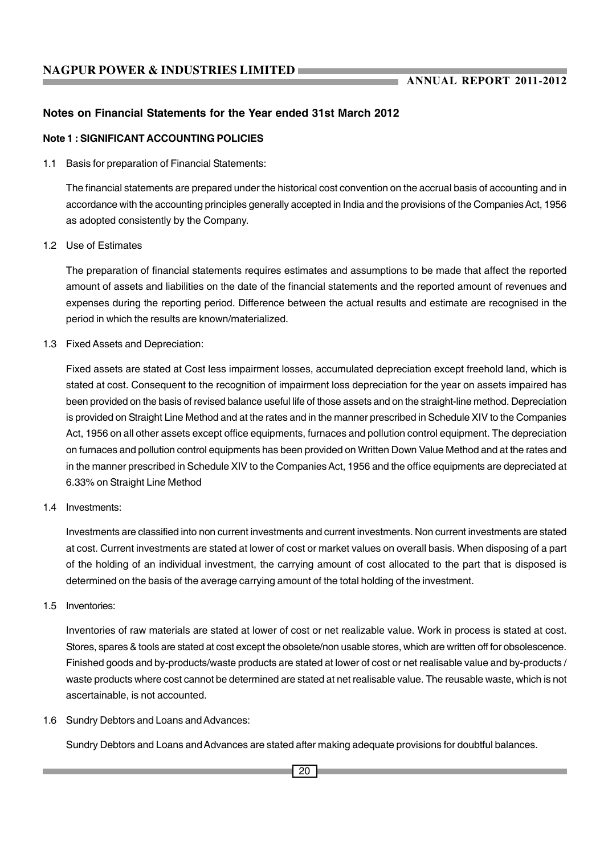### **Notes on Financial Statements for the Year ended 31st March 2012**

### **Note 1 : SIGNIFICANT ACCOUNTING POLICIES**

1.1 Basis for preparation of Financial Statements:

The financial statements are prepared under the historical cost convention on the accrual basis of accounting and in accordance with the accounting principles generally accepted in India and the provisions of the Companies Act, 1956 as adopted consistently by the Company.

1.2 Use of Estimates

The preparation of financial statements requires estimates and assumptions to be made that affect the reported amount of assets and liabilities on the date of the financial statements and the reported amount of revenues and expenses during the reporting period. Difference between the actual results and estimate are recognised in the period in which the results are known/materialized.

1.3 Fixed Assets and Depreciation:

Fixed assets are stated at Cost less impairment losses, accumulated depreciation except freehold land, which is stated at cost. Consequent to the recognition of impairment loss depreciation for the year on assets impaired has been provided on the basis of revised balance useful life of those assets and on the straight-line method. Depreciation is provided on Straight Line Method and at the rates and in the manner prescribed in Schedule XIV to the Companies Act, 1956 on all other assets except office equipments, furnaces and pollution control equipment. The depreciation on furnaces and pollution control equipments has been provided on Written Down Value Method and at the rates and in the manner prescribed in Schedule XIV to the Companies Act, 1956 and the office equipments are depreciated at 6.33% on Straight Line Method

1.4 Investments:

Investments are classified into non current investments and current investments. Non current investments are stated at cost. Current investments are stated at lower of cost or market values on overall basis. When disposing of a part of the holding of an individual investment, the carrying amount of cost allocated to the part that is disposed is determined on the basis of the average carrying amount of the total holding of the investment.

1.5 Inventories:

Inventories of raw materials are stated at lower of cost or net realizable value. Work in process is stated at cost. Stores, spares & tools are stated at cost except the obsolete/non usable stores, which are written off for obsolescence. Finished goods and by-products/waste products are stated at lower of cost or net realisable value and by-products / waste products where cost cannot be determined are stated at net realisable value. The reusable waste, which is not ascertainable, is not accounted.

1.6 Sundry Debtors and Loans and Advances:

Sundry Debtors and Loans and Advances are stated after making adequate provisions for doubtful balances.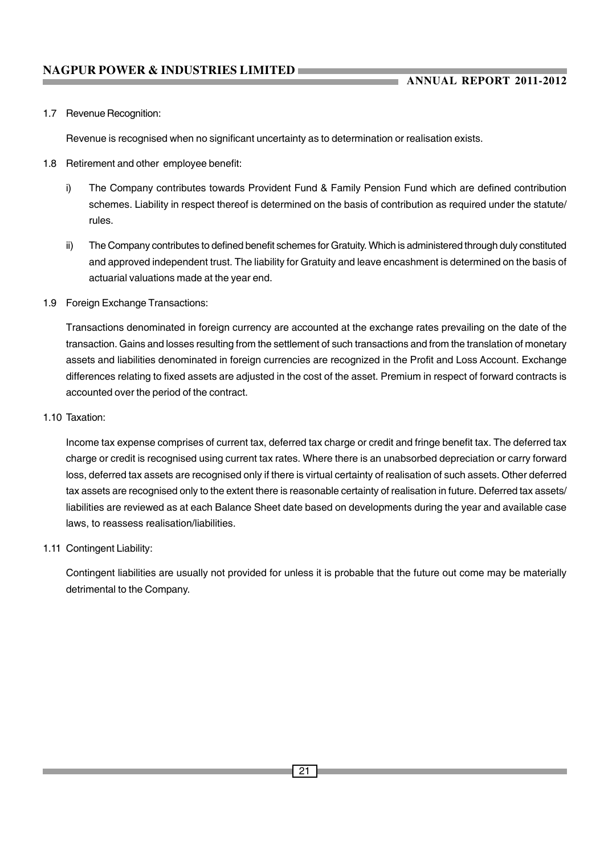### 1.7 Revenue Recognition:

Revenue is recognised when no significant uncertainty as to determination or realisation exists.

- 1.8 Retirement and other employee benefit:
	- i) The Company contributes towards Provident Fund & Family Pension Fund which are defined contribution schemes. Liability in respect thereof is determined on the basis of contribution as required under the statute/ rules.
	- ii) The Company contributes to defined benefit schemes for Gratuity. Which is administered through duly constituted and approved independent trust. The liability for Gratuity and leave encashment is determined on the basis of actuarial valuations made at the year end.
- 1.9 Foreign Exchange Transactions:

Transactions denominated in foreign currency are accounted at the exchange rates prevailing on the date of the transaction. Gains and losses resulting from the settlement of such transactions and from the translation of monetary assets and liabilities denominated in foreign currencies are recognized in the Profit and Loss Account. Exchange differences relating to fixed assets are adjusted in the cost of the asset. Premium in respect of forward contracts is accounted over the period of the contract.

### 1.10 Taxation:

Income tax expense comprises of current tax, deferred tax charge or credit and fringe benefit tax. The deferred tax charge or credit is recognised using current tax rates. Where there is an unabsorbed depreciation or carry forward loss, deferred tax assets are recognised only if there is virtual certainty of realisation of such assets. Other deferred tax assets are recognised only to the extent there is reasonable certainty of realisation in future. Deferred tax assets/ liabilities are reviewed as at each Balance Sheet date based on developments during the year and available case laws, to reassess realisation/liabilities.

### 1.11 Contingent Liability:

Contingent liabilities are usually not provided for unless it is probable that the future out come may be materially detrimental to the Company.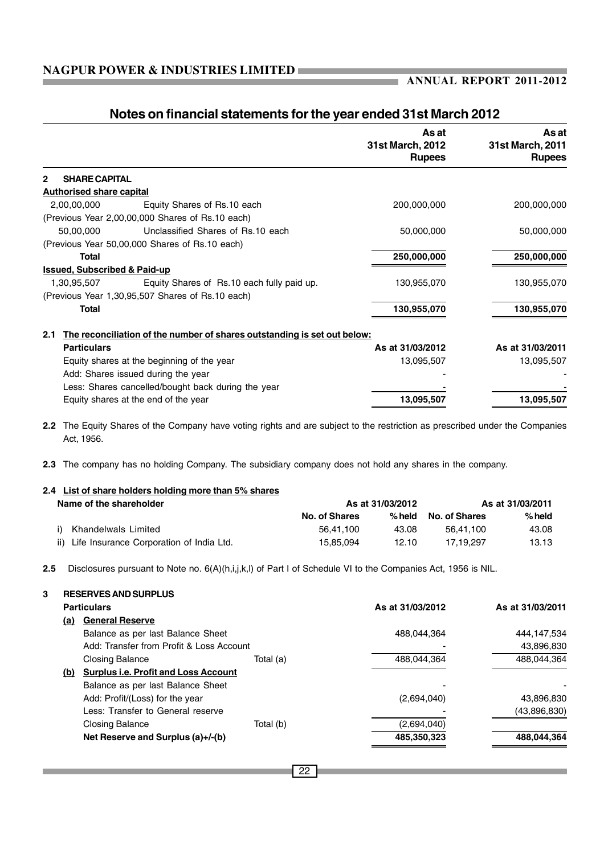ı.

|                                                  |                                                                                                                              | As at<br>31st March, 2012<br><b>Rupees</b> | As at<br>31st March, 2011<br><b>Rupees</b> |
|--------------------------------------------------|------------------------------------------------------------------------------------------------------------------------------|--------------------------------------------|--------------------------------------------|
| <b>SHARE CAPITAL</b><br>$\overline{2}$           |                                                                                                                              |                                            |                                            |
| <b>Authorised share capital</b>                  |                                                                                                                              |                                            |                                            |
| 2,00,00,000                                      | Equity Shares of Rs.10 each                                                                                                  | 200,000,000                                | 200,000,000                                |
| (Previous Year 2,00,00,000 Shares of Rs.10 each) |                                                                                                                              |                                            |                                            |
| 50,00,000                                        | Unclassified Shares of Rs.10 each                                                                                            | 50,000,000                                 | 50,000,000                                 |
| (Previous Year 50,00,000 Shares of Rs.10 each)   |                                                                                                                              |                                            |                                            |
| <b>Total</b>                                     |                                                                                                                              | 250,000,000                                | 250,000,000                                |
| <b>Issued, Subscribed &amp; Paid-up</b>          |                                                                                                                              |                                            |                                            |
| 1.30.95.507                                      | Equity Shares of Rs.10 each fully paid up.                                                                                   | 130,955,070                                | 130,955,070                                |
| (Previous Year 1,30,95,507 Shares of Rs.10 each) |                                                                                                                              |                                            |                                            |
| <b>Total</b>                                     |                                                                                                                              | 130,955,070                                | 130,955,070                                |
| 2.1                                              | The reconciliation of the number of shares outstanding is set out below:                                                     |                                            |                                            |
| <b>Particulars</b>                               |                                                                                                                              | As at 31/03/2012                           | As at 31/03/2011                           |
| Equity shares at the beginning of the year       |                                                                                                                              | 13,095,507                                 | 13,095,507                                 |
| Add: Shares issued during the year               |                                                                                                                              |                                            |                                            |
|                                                  | Less: Shares cancelled/bought back during the year                                                                           |                                            |                                            |
| Equity shares at the end of the year             |                                                                                                                              | 13,095,507                                 | 13,095,507                                 |
|                                                  | 2.2 The Equity Shares of the Company have voting rights and are subject to the restriction as prescribed under the Companies |                                            |                                            |

### **Notes on financial statements for the year ended 31st March 2012**

**2.3** The company has no holding Company. The subsidiary company does not hold any shares in the company.

# **2.4 List of share holders holding more than 5% shares**

Act, 1956.

| As at 31/03/2012<br>Name of the shareholder  |               |          | As at 31/03/2011 |          |
|----------------------------------------------|---------------|----------|------------------|----------|
|                                              | No. of Shares | $%$ held | No. of Shares    | $%$ held |
| Khandelwals Limited                          | 56.41.100     | 43.08    | 56.41.100        | 43.08    |
| ii) Life Insurance Corporation of India Ltd. | 15.85.094     | 12.10    | 17.19.297        | 13.13    |

**2.5** Disclosures pursuant to Note no. 6(A)(h,i,j,k,l) of Part I of Schedule VI to the Companies Act, 1956 is NIL.

| 3 | <b>RESERVES AND SURPLUS</b>                        |           |                  |                  |
|---|----------------------------------------------------|-----------|------------------|------------------|
|   | <b>Particulars</b>                                 |           | As at 31/03/2012 | As at 31/03/2011 |
|   | <b>General Reserve</b><br>(a)                      |           |                  |                  |
|   | Balance as per last Balance Sheet                  |           | 488.044.364      | 444,147,534      |
|   | Add: Transfer from Profit & Loss Account           |           |                  | 43,896,830       |
|   | <b>Closing Balance</b>                             | Total (a) | 488,044,364      | 488.044.364      |
|   | <b>Surplus i.e. Profit and Loss Account</b><br>(b) |           |                  |                  |
|   | Balance as per last Balance Sheet                  |           |                  |                  |
|   | Add: Profit/(Loss) for the year                    |           | (2,694,040)      | 43,896,830       |
|   | Less: Transfer to General reserve                  |           |                  | (43,896,830)     |
|   | <b>Closing Balance</b>                             | Total (b) | (2,694,040)      |                  |
|   | Net Reserve and Surplus (a)+/-(b)                  |           | 485,350,323      | 488,044,364      |
|   |                                                    |           |                  |                  |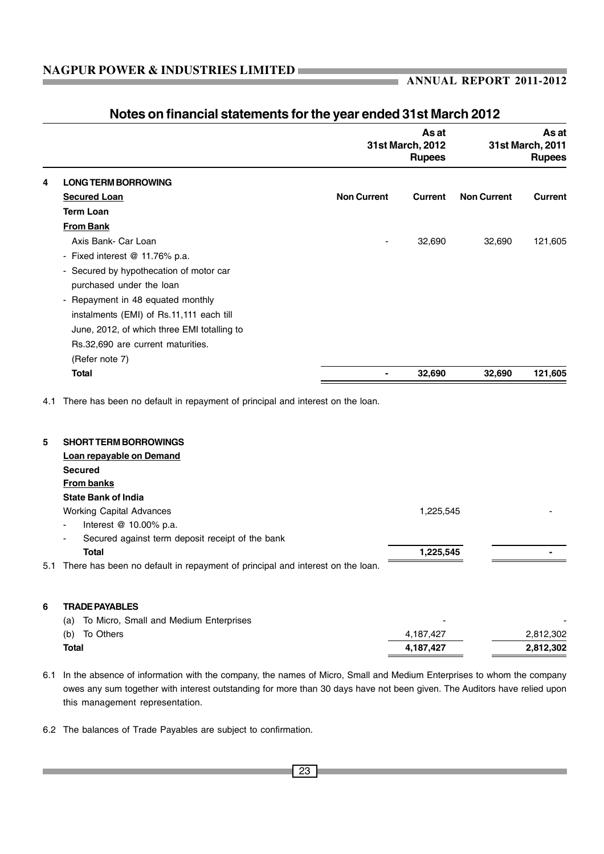|     |                                                                               |                    | As at<br>31st March, 2012<br><b>Rupees</b> |                    | As at<br>31st March, 2011<br><b>Rupees</b> |
|-----|-------------------------------------------------------------------------------|--------------------|--------------------------------------------|--------------------|--------------------------------------------|
| 4   | <b>LONG TERM BORROWING</b>                                                    |                    |                                            |                    |                                            |
|     | <b>Secured Loan</b>                                                           | <b>Non Current</b> | <b>Current</b>                             | <b>Non Current</b> | Current                                    |
|     | <b>Term Loan</b>                                                              |                    |                                            |                    |                                            |
|     | <b>From Bank</b>                                                              |                    |                                            |                    |                                            |
|     | Axis Bank- Car Loan                                                           |                    | 32,690                                     | 32,690             | 121,605                                    |
|     | - Fixed interest @ 11.76% p.a.                                                |                    |                                            |                    |                                            |
|     | - Secured by hypothecation of motor car                                       |                    |                                            |                    |                                            |
|     | purchased under the loan                                                      |                    |                                            |                    |                                            |
|     | - Repayment in 48 equated monthly                                             |                    |                                            |                    |                                            |
|     | instalments (EMI) of Rs.11,111 each till                                      |                    |                                            |                    |                                            |
|     | June, 2012, of which three EMI totalling to                                   |                    |                                            |                    |                                            |
|     | Rs.32,690 are current maturities.                                             |                    |                                            |                    |                                            |
|     | (Refer note 7)                                                                |                    |                                            |                    |                                            |
|     | <b>Total</b>                                                                  | $\blacksquare$     | 32,690                                     | 32,690             | 121,605                                    |
| 4.1 | There has been no default in repayment of principal and interest on the loan. |                    |                                            |                    |                                            |
| 5   | <b>SHORT TERM BORROWINGS</b>                                                  |                    |                                            |                    |                                            |
|     | Loan repayable on Demand                                                      |                    |                                            |                    |                                            |
|     | <b>Secured</b>                                                                |                    |                                            |                    |                                            |
|     | <b>From banks</b>                                                             |                    |                                            |                    |                                            |
|     | <b>State Bank of India</b>                                                    |                    |                                            |                    |                                            |

## **Notes on financial statements for the year ended 31st March 2012**

|   | <b>Secured</b>                                                                    |           |                |  |
|---|-----------------------------------------------------------------------------------|-----------|----------------|--|
|   | From banks                                                                        |           |                |  |
|   | <b>State Bank of India</b>                                                        |           |                |  |
|   | <b>Working Capital Advances</b>                                                   | 1,225,545 |                |  |
|   | Interest $@$ 10.00% p.a.                                                          |           |                |  |
|   | Secured against term deposit receipt of the bank                                  |           |                |  |
|   | <b>Total</b>                                                                      | 1,225,545 | $\blacksquare$ |  |
|   | 5.1 There has been no default in repayment of principal and interest on the loan. |           |                |  |
|   |                                                                                   |           |                |  |
|   |                                                                                   |           |                |  |
| 6 | <b>TRADE PAYABLES</b>                                                             |           |                |  |

| <b>Total</b>                                  | 4.187.427      | 2,812,302 |
|-----------------------------------------------|----------------|-----------|
| (b)<br>To Others                              | 4,187,427      | 2,812,302 |
| To Micro, Small and Medium Enterprises<br>(a) | $\blacksquare$ | -         |

6.1 In the absence of information with the company, the names of Micro, Small and Medium Enterprises to whom the company owes any sum together with interest outstanding for more than 30 days have not been given. The Auditors have relied upon this management representation.

6.2 The balances of Trade Payables are subject to confirmation.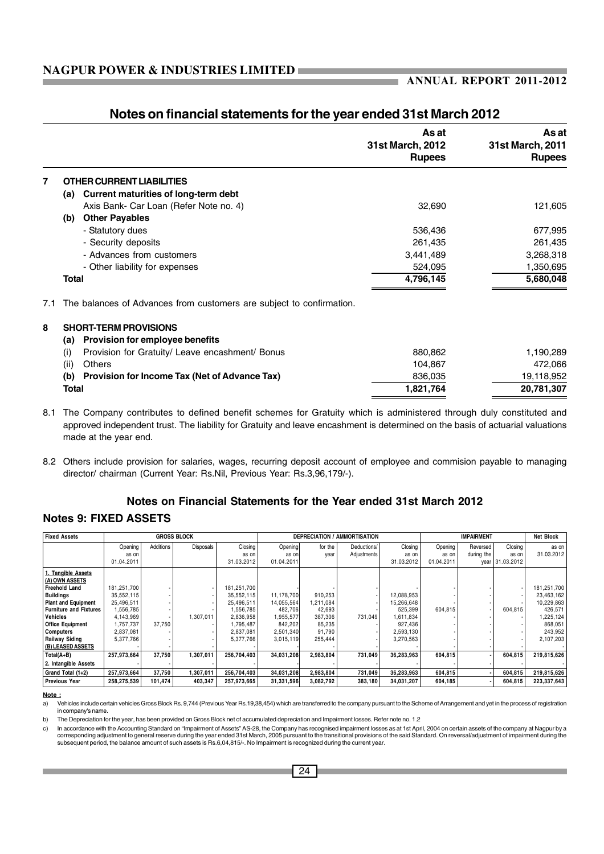|      |                                                                      | As at<br>31st March, 2012<br><b>Rupees</b> | As at<br>31st March, 2011<br><b>Rupees</b> |
|------|----------------------------------------------------------------------|--------------------------------------------|--------------------------------------------|
| 7    | <b>OTHER CURRENT LIABILITIES</b>                                     |                                            |                                            |
| (a)  | Current maturities of long-term debt                                 |                                            |                                            |
|      | Axis Bank- Car Loan (Refer Note no. 4)                               | 32,690                                     | 121,605                                    |
| (b)  | <b>Other Payables</b>                                                |                                            |                                            |
|      | - Statutory dues                                                     | 536,436                                    | 677,995                                    |
|      | - Security deposits                                                  | 261,435                                    | 261,435                                    |
|      | - Advances from customers                                            | 3,441,489                                  | 3,268,318                                  |
|      | - Other liability for expenses                                       | 524,095                                    | 1,350,695                                  |
|      | Total                                                                | 4,796,145                                  | 5,680,048                                  |
| 7.1  | The balances of Advances from customers are subject to confirmation. |                                            |                                            |
| 8    | <b>SHORT-TERM PROVISIONS</b>                                         |                                            |                                            |
| (a)  | Provision for employee benefits                                      |                                            |                                            |
| (i)  | Provision for Gratuity/ Leave encashment/ Bonus                      | 880,862                                    | 1,190,289                                  |
| (ii) | Others                                                               | 104,867                                    | 472,066                                    |
| (b)  | Provision for Income Tax (Net of Advance Tax)                        | 836,035                                    | 19,118,952                                 |
|      | Total                                                                | 1,821,764                                  | 20,781,307                                 |

### **Notes on financial statements for the year ended 31st March 2012**

8.1 The Company contributes to defined benefit schemes for Gratuity which is administered through duly constituted and approved independent trust. The liability for Gratuity and leave encashment is determined on the basis of actuarial valuations made at the year end.

8.2 Others include provision for salaries, wages, recurring deposit account of employee and commision payable to managing director/ chairman (Current Year: Rs.Nil, Previous Year: Rs.3,96,179/-).

### **Notes on Financial Statements for the Year ended 31st March 2012**

### **Notes 9: FIXED ASSETS**

| <b>Fixed Assets</b>           |             |                  | <b>GROSS BLOCK</b> |             |            |           | <b>DEPRECIATION / AMMORTISATION</b> |            |            | <b>IMPAIRMENT</b> |            | <b>Net Block</b> |
|-------------------------------|-------------|------------------|--------------------|-------------|------------|-----------|-------------------------------------|------------|------------|-------------------|------------|------------------|
|                               | Opening     | <b>Additions</b> | Disposals          | Closing     | Opening    | for the   | Deductions/                         | Closing    | Opening    | Reversed          | Closing    | as on            |
|                               | as on       |                  |                    | as on       | as on      | vear      | Adjustments                         | as on      | as on      | during the        | as on      | 31.03.2012       |
|                               | 01.04.2011  |                  |                    | 31.03.2012  | 01.04.2011 |           |                                     | 31.03.2012 | 01.04.2011 | vear              | 31.03.2012 |                  |
| 1. Tangible Assets            |             |                  |                    |             |            |           |                                     |            |            |                   |            |                  |
| (A) OWN ASSETS                |             |                  |                    |             |            |           |                                     |            |            |                   |            |                  |
| <b>Freehold Land</b>          | 181,251,700 |                  |                    | 181,251,700 |            |           |                                     |            |            |                   |            | 181,251,700      |
| <b>Buildings</b>              | 35,552,115  |                  |                    | 35.552.115  | 11.178.700 | 910.253   |                                     | 12,088,953 |            |                   |            | 23,463,162       |
| <b>Plant and Equipment</b>    | 25,496,511  |                  |                    | 25.496.511  | 14,055,564 | 1.211.084 |                                     | 15.266.648 |            |                   |            | 10,229,863       |
| <b>Furniture and Fixtures</b> | .556,785    |                  |                    | 1,556,785   | 482.706    | 42,693    |                                     | 525,399    | 604.815    |                   | 604.815    | 426,571          |
| Vehicles                      | 4,143,969   |                  | 1.307.011          | 2.836.958   | 1,955,577  | 387,306   | 731.049                             | 1.611.834  |            |                   |            | 1,225,124        |
| <b>Office Equipment</b>       | .757.737    | 37.750           |                    | 1,795,487   | 842,202    | 85,235    |                                     | 927.436    |            |                   |            | 868.051          |
| Computers                     | 2,837,081   |                  |                    | 2.837.081   | 2,501,340  | 91.790    |                                     | 2,593,130  |            |                   |            | 243.952          |
| Railway Siding                | 5,377,766   |                  |                    | 5.377.766   | 3,015,119  | 255,444   |                                     | 3,270,563  |            |                   |            | 2,107,203        |
| (B) LEASED ASSETS             |             |                  |                    |             |            |           |                                     |            |            |                   |            |                  |
| $Total(A+B)$                  | 257.973.664 | 37.750           | 1.307.011          | 256.704.403 | 34.031.208 | 2.983.804 | 731.049                             | 36.283.963 | 604.815    |                   | 604.815    | 219,815,626      |
| 2. Intangible Assets          |             |                  |                    |             |            |           |                                     |            |            |                   |            |                  |
| Grand Total (1+2)             | 257,973,664 | 37,750           | 1,307,011          | 256,704,403 | 34,031,208 | 2,983,804 | 731,049                             | 36,283,963 | 604,815    |                   | 604,815    | 219,815,626      |
| <b>Previous Year</b>          | 258,275,539 | 101,474          | 403,347            | 257,973,665 | 31,331,596 | 3,082,792 | 383,180                             | 34,031,207 | 604,185    |                   | 604,815    | 223,337,643      |

**Note :**

b) The Depreciation for the year, has been provided on Gross Block net of accumulated depreciation and Impairment losses. Refer note no. 1.2

c) In accordance with the Accounting Standard on "Impairment of Assets" AS-28, the Company has recognised impairment losses as at 1st April, 2004 on certain assets of the company at Nagpur by a<br>corresponding adjustment to subsequent period, the balance amount of such assets is Rs.6,04,815/-. No Impairment is recognized during the current year.

a) Vehicles include certain vehicles Gross Block Rs. 9,744 (Previous Year Rs.19,38,454) which are transferred to the company pursuant to the Scheme of Arrangement and yet in the process of registration in company's name.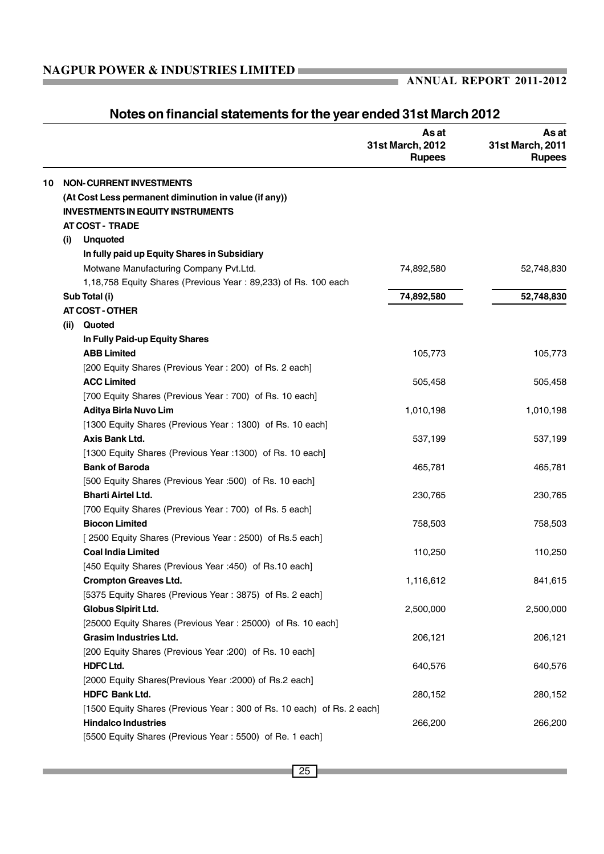|    |                |                                                                        | As at<br>31st March, 2012<br><b>Rupees</b> | As at<br>31st March, 2011<br><b>Rupees</b> |
|----|----------------|------------------------------------------------------------------------|--------------------------------------------|--------------------------------------------|
| 10 |                | <b>NON-CURRENT INVESTMENTS</b>                                         |                                            |                                            |
|    |                | (At Cost Less permanent diminution in value (if any))                  |                                            |                                            |
|    |                | <b>INVESTMENTS IN EQUITY INSTRUMENTS</b>                               |                                            |                                            |
|    |                | <b>AT COST - TRADE</b>                                                 |                                            |                                            |
|    | (i)            | <b>Unquoted</b>                                                        |                                            |                                            |
|    |                | In fully paid up Equity Shares in Subsidiary                           |                                            |                                            |
|    |                | Motwane Manufacturing Company Pvt.Ltd.                                 | 74,892,580                                 | 52,748,830                                 |
|    |                | 1,18,758 Equity Shares (Previous Year: 89,233) of Rs. 100 each         |                                            |                                            |
|    | Sub Total (i)  |                                                                        | 74,892,580                                 | 52,748,830                                 |
|    |                | <b>AT COST - OTHER</b>                                                 |                                            |                                            |
|    | Quoted<br>(ii) |                                                                        |                                            |                                            |
|    |                | In Fully Paid-up Equity Shares                                         |                                            |                                            |
|    |                | <b>ABB Limited</b>                                                     | 105,773                                    | 105,773                                    |
|    |                | [200 Equity Shares (Previous Year: 200) of Rs. 2 each]                 |                                            |                                            |
|    |                | <b>ACC Limited</b>                                                     | 505,458                                    | 505,458                                    |
|    |                | [700 Equity Shares (Previous Year: 700) of Rs. 10 each]                |                                            |                                            |
|    |                | <b>Aditya Birla Nuvo Lim</b>                                           | 1,010,198                                  | 1,010,198                                  |
|    |                | [1300 Equity Shares (Previous Year: 1300) of Rs. 10 each]              |                                            |                                            |
|    |                | Axis Bank Ltd.                                                         | 537,199                                    | 537,199                                    |
|    |                | [1300 Equity Shares (Previous Year : 1300) of Rs. 10 each]             |                                            |                                            |
|    |                | <b>Bank of Baroda</b>                                                  | 465,781                                    | 465,781                                    |
|    |                | [500 Equity Shares (Previous Year :500) of Rs. 10 each]                |                                            |                                            |
|    |                | <b>Bharti Airtel Ltd.</b>                                              | 230,765                                    | 230,765                                    |
|    |                | [700 Equity Shares (Previous Year: 700) of Rs. 5 each]                 |                                            |                                            |
|    |                | <b>Biocon Limited</b>                                                  | 758,503                                    | 758,503                                    |
|    |                | [2500 Equity Shares (Previous Year: 2500) of Rs.5 each]                |                                            |                                            |
|    |                | <b>Coal India Limited</b>                                              | 110,250                                    | 110,250                                    |
|    |                | [450 Equity Shares (Previous Year : 450) of Rs.10 each]                |                                            |                                            |
|    |                | <b>Crompton Greaves Ltd.</b>                                           | 1,116,612                                  | 841,615                                    |
|    |                | [5375 Equity Shares (Previous Year: 3875) of Rs. 2 each]               |                                            |                                            |
|    |                | Globus Sipirit Ltd.                                                    | 2,500,000                                  | 2,500,000                                  |
|    |                | [25000 Equity Shares (Previous Year: 25000) of Rs. 10 each]            |                                            |                                            |
|    |                | <b>Grasim Industries Ltd.</b>                                          | 206,121                                    | 206,121                                    |
|    |                | [200 Equity Shares (Previous Year : 200) of Rs. 10 each]               |                                            |                                            |
|    |                | <b>HDFC Ltd.</b>                                                       | 640,576                                    | 640,576                                    |
|    |                | [2000 Equity Shares(Previous Year : 2000) of Rs.2 each]                |                                            |                                            |
|    |                | <b>HDFC Bank Ltd.</b>                                                  | 280,152                                    | 280,152                                    |
|    |                | [1500 Equity Shares (Previous Year: 300 of Rs. 10 each) of Rs. 2 each] |                                            |                                            |
|    |                | <b>Hindalco Industries</b>                                             | 266,200                                    | 266,200                                    |
|    |                | [5500 Equity Shares (Previous Year: 5500) of Re. 1 each]               |                                            |                                            |

# **Notes on financial statements for the year ended 31st March 2012**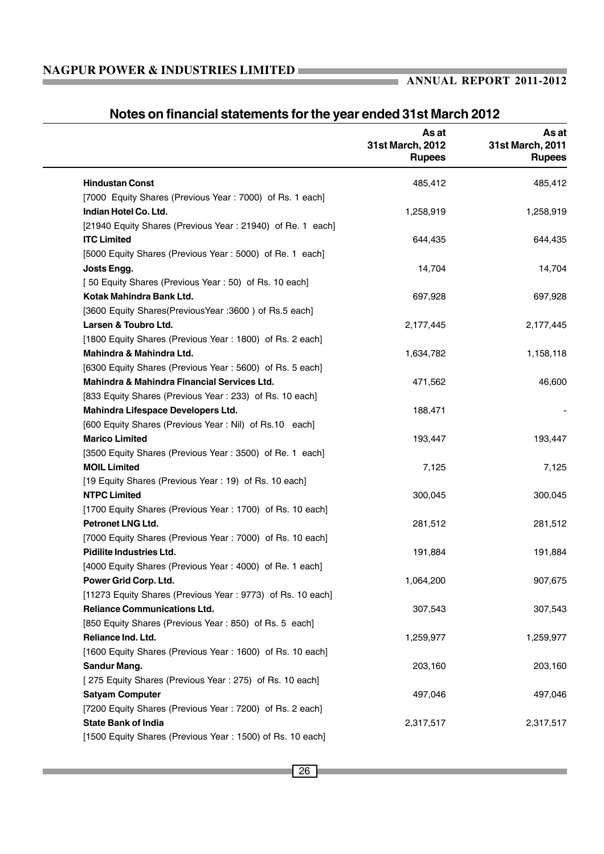### **ANNUAL REPORT 2011-2012**

a a

|                                                            | As at<br>31st March, 2012<br><b>Rupees</b> | As at<br>31st March, 2011<br><b>Rupees</b> |
|------------------------------------------------------------|--------------------------------------------|--------------------------------------------|
| <b>Hindustan Const</b>                                     | 485,412                                    | 485,412                                    |
| [7000 Equity Shares (Previous Year: 7000) of Rs. 1 each]   |                                            |                                            |
| Indian Hotel Co. Ltd.                                      | 1,258,919                                  | 1,258,919                                  |
| [21940 Equity Shares (Previous Year: 21940) of Re. 1 each] |                                            |                                            |
| <b>ITC Limited</b>                                         | 644,435                                    | 644,435                                    |
| [5000 Equity Shares (Previous Year: 5000) of Re. 1 each]   |                                            |                                            |
| Josts Engg.                                                | 14,704                                     | 14,704                                     |
| [50 Equity Shares (Previous Year: 50) of Rs. 10 each]      |                                            |                                            |
| Kotak Mahindra Bank Ltd.                                   | 697,928                                    | 697,928                                    |
| [3600 Equity Shares(PreviousYear : 3600) of Rs.5 each]     |                                            |                                            |
| Larsen & Toubro Ltd.                                       | 2,177,445                                  | 2,177,445                                  |
| [1800 Equity Shares (Previous Year: 1800) of Rs. 2 each]   |                                            |                                            |
| Mahindra & Mahindra Ltd.                                   | 1,634,782                                  | 1,158,118                                  |
| [6300 Equity Shares (Previous Year: 5600) of Rs. 5 each]   |                                            |                                            |
| Mahindra & Mahindra Financial Services Ltd.                | 471,562                                    | 46,600                                     |
| [833 Equity Shares (Previous Year: 233) of Rs. 10 each]    |                                            |                                            |
| Mahindra Lifespace Developers Ltd.                         | 188,471                                    |                                            |
| [600 Equity Shares (Previous Year: Nil) of Rs.10 each]     |                                            |                                            |
| <b>Marico Limited</b>                                      | 193,447                                    | 193,447                                    |
| [3500 Equity Shares (Previous Year: 3500) of Re. 1 each]   |                                            |                                            |
| <b>MOIL Limited</b>                                        | 7,125                                      | 7,125                                      |
| [19 Equity Shares (Previous Year: 19) of Rs. 10 each]      |                                            |                                            |
| <b>NTPC Limited</b>                                        | 300,045                                    | 300,045                                    |
| [1700 Equity Shares (Previous Year: 1700) of Rs. 10 each]  |                                            |                                            |
| Petronet LNG Ltd.                                          | 281,512                                    | 281,512                                    |
| [7000 Equity Shares (Previous Year: 7000) of Rs. 10 each]  |                                            |                                            |
| <b>Pidilite Industries Ltd.</b>                            | 191,884                                    | 191,884                                    |
| [4000 Equity Shares (Previous Year: 4000) of Re. 1 each]   |                                            |                                            |
| Power Grid Corp. Ltd.                                      | 1,064,200                                  | 907,675                                    |
| [11273 Equity Shares (Previous Year: 9773) of Rs. 10 each] |                                            |                                            |
| <b>Reliance Communications Ltd.</b>                        | 307,543                                    | 307,543                                    |
| [850 Equity Shares (Previous Year: 850) of Rs. 5 each]     |                                            |                                            |
| Reliance Ind. Ltd.                                         | 1,259,977                                  | 1,259,977                                  |
| [1600 Equity Shares (Previous Year: 1600) of Rs. 10 each]  |                                            |                                            |
| Sandur Mang.                                               | 203,160                                    | 203,160                                    |
| [275 Equity Shares (Previous Year: 275) of Rs. 10 each]    |                                            |                                            |
| <b>Satyam Computer</b>                                     | 497,046                                    | 497,046                                    |
| [7200 Equity Shares (Previous Year: 7200) of Rs. 2 each]   |                                            |                                            |
| <b>State Bank of India</b>                                 | 2,317,517                                  | 2,317,517                                  |
| [1500 Equity Shares (Previous Year: 1500) of Rs. 10 each]  |                                            |                                            |

## **Notes on financial statements for the year ended 31st March 2012**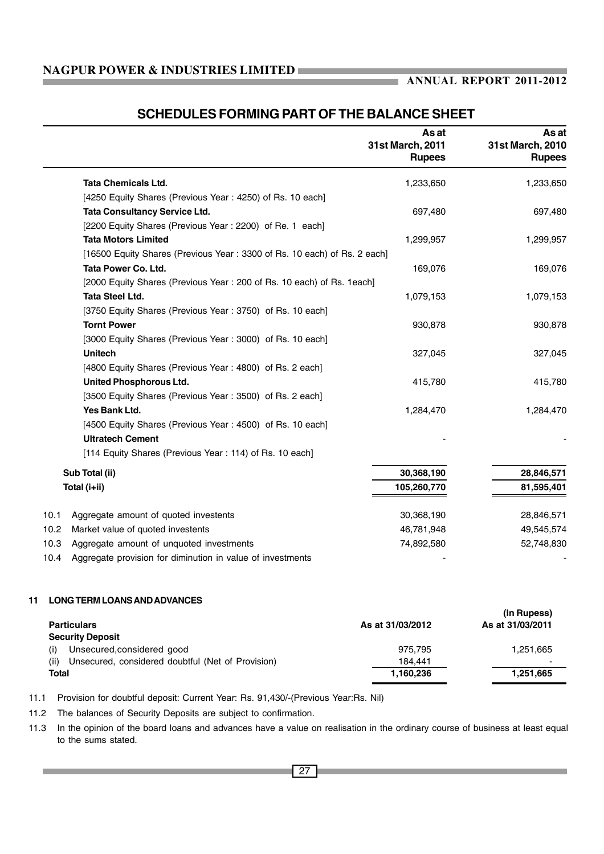### **ANNUAL REPORT 2011-2012**

m.

### **SCHEDULES FORMING PART OF THE BALANCE SHEET**

|                   |                                                                          | As at<br>31st March, 2011<br><b>Rupees</b> | As at<br>31st March, 2010<br><b>Rupees</b> |
|-------------------|--------------------------------------------------------------------------|--------------------------------------------|--------------------------------------------|
|                   | <b>Tata Chemicals Ltd.</b>                                               | 1,233,650                                  | 1,233,650                                  |
|                   | [4250 Equity Shares (Previous Year: 4250) of Rs. 10 each]                |                                            |                                            |
|                   | <b>Tata Consultancy Service Ltd.</b>                                     | 697,480                                    | 697,480                                    |
|                   | [2200 Equity Shares (Previous Year: 2200) of Re. 1 each]                 |                                            |                                            |
|                   | <b>Tata Motors Limited</b>                                               | 1,299,957                                  | 1,299,957                                  |
|                   | [16500 Equity Shares (Previous Year: 3300 of Rs. 10 each) of Rs. 2 each] |                                            |                                            |
|                   | Tata Power Co. Ltd.                                                      | 169,076                                    | 169,076                                    |
|                   | [2000 Equity Shares (Previous Year: 200 of Rs. 10 each) of Rs. 1each]    |                                            |                                            |
|                   | <b>Tata Steel Ltd.</b>                                                   | 1,079,153                                  | 1,079,153                                  |
|                   | [3750 Equity Shares (Previous Year: 3750) of Rs. 10 each]                |                                            |                                            |
|                   | <b>Tornt Power</b>                                                       | 930,878                                    | 930,878                                    |
|                   | [3000 Equity Shares (Previous Year: 3000) of Rs. 10 each]                |                                            |                                            |
|                   | <b>Unitech</b>                                                           | 327,045                                    | 327,045                                    |
|                   | [4800 Equity Shares (Previous Year: 4800) of Rs. 2 each]                 |                                            |                                            |
|                   | United Phosphorous Ltd.                                                  | 415,780                                    | 415,780                                    |
|                   | [3500 Equity Shares (Previous Year: 3500) of Rs. 2 each]                 |                                            |                                            |
|                   | Yes Bank Ltd.                                                            | 1,284,470                                  | 1,284,470                                  |
|                   | [4500 Equity Shares (Previous Year: 4500) of Rs. 10 each]                |                                            |                                            |
|                   | <b>Ultratech Cement</b>                                                  |                                            |                                            |
|                   | [114 Equity Shares (Previous Year: 114) of Rs. 10 each]                  |                                            |                                            |
|                   | Sub Total (ii)                                                           | 30,368,190                                 | 28,846,571                                 |
|                   | Total (i+ii)                                                             | 105,260,770                                | 81,595,401                                 |
| 10.1              | Aggregate amount of quoted investents                                    | 30,368,190                                 | 28,846,571                                 |
| 10.2 <sub>1</sub> | Market value of quoted investents                                        | 46,781,948                                 | 49,545,574                                 |
| 10.3              | Aggregate amount of unquoted investments                                 | 74,892,580                                 | 52,748,830                                 |
| 10.4              | Aggregate provision for diminution in value of investments               |                                            |                                            |
| 11                | <b>LONG TERM LOANS AND ADVANCES</b>                                      |                                            |                                            |
|                   | <b>Particulars</b>                                                       | As at 31/03/2012                           | (In Rupess)<br>As at 31/03/2011            |

| <b>Security Deposit</b>                                   |           |           |
|-----------------------------------------------------------|-----------|-----------|
| Unsecured, considered good                                | 975.795   | 1.251.665 |
| Unsecured, considered doubtful (Net of Provision)<br>(ii) | 184.441   | -         |
| Total                                                     | 1.160.236 | 1.251.665 |

11.1 Provision for doubtful deposit: Current Year: Rs. 91,430/-(Previous Year:Rs. Nil)

11.2 The balances of Security Deposits are subject to confirmation.

11.3 In the opinion of the board loans and advances have a value on realisation in the ordinary course of business at least equal to the sums stated.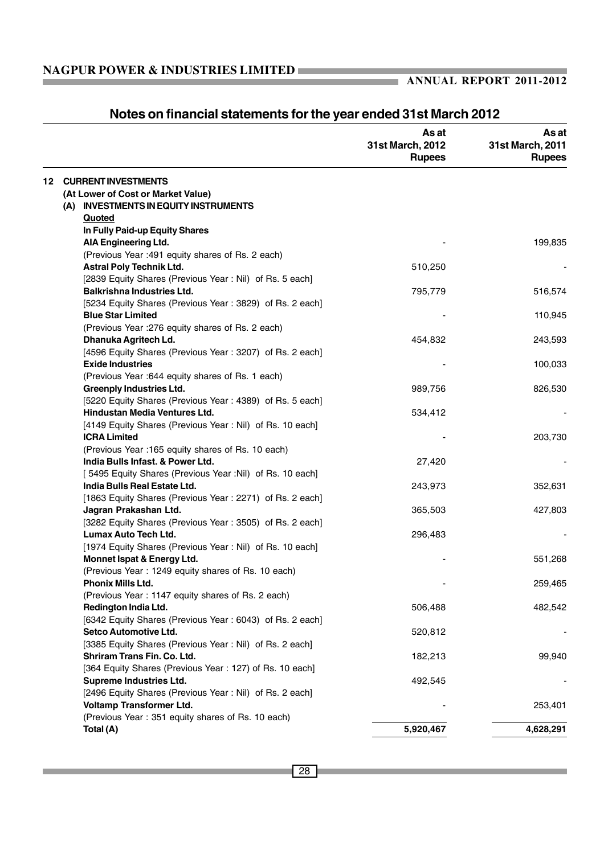|    |                                                          | As at<br>31st March, 2012<br><b>Rupees</b> | As at<br>31st March, 2011<br><b>Rupees</b> |
|----|----------------------------------------------------------|--------------------------------------------|--------------------------------------------|
| 12 | <b>CURRENT INVESTMENTS</b>                               |                                            |                                            |
|    | (At Lower of Cost or Market Value)                       |                                            |                                            |
|    | (A) INVESTMENTS IN EQUITY INSTRUMENTS                    |                                            |                                            |
|    | Quoted                                                   |                                            |                                            |
|    | In Fully Paid-up Equity Shares                           |                                            |                                            |
|    | AIA Engineering Ltd.                                     |                                            | 199,835                                    |
|    | (Previous Year : 491 equity shares of Rs. 2 each)        |                                            |                                            |
|    | <b>Astral Poly Technik Ltd.</b>                          | 510,250                                    |                                            |
|    | [2839 Equity Shares (Previous Year: Nil) of Rs. 5 each]  |                                            |                                            |
|    | <b>Balkrishna Industries Ltd.</b>                        | 795,779                                    | 516,574                                    |
|    | [5234 Equity Shares (Previous Year: 3829) of Rs. 2 each] |                                            |                                            |
|    | <b>Blue Star Limited</b>                                 |                                            | 110,945                                    |
|    | (Previous Year : 276 equity shares of Rs. 2 each)        |                                            |                                            |
|    | Dhanuka Agritech Ld.                                     | 454,832                                    | 243,593                                    |
|    | [4596 Equity Shares (Previous Year: 3207) of Rs. 2 each] |                                            |                                            |
|    | <b>Exide Industries</b>                                  |                                            | 100,033                                    |
|    | (Previous Year : 644 equity shares of Rs. 1 each)        |                                            |                                            |
|    | <b>Greenply Industries Ltd.</b>                          | 989,756                                    | 826,530                                    |
|    | [5220 Equity Shares (Previous Year: 4389) of Rs. 5 each] |                                            |                                            |
|    | <b>Hindustan Media Ventures Ltd.</b>                     | 534,412                                    |                                            |
|    | [4149 Equity Shares (Previous Year: Nil) of Rs. 10 each] |                                            |                                            |
|    | <b>ICRA Limited</b>                                      |                                            | 203,730                                    |
|    | (Previous Year : 165 equity shares of Rs. 10 each)       |                                            |                                            |
|    | India Bulls Infast. & Power Ltd.                         | 27,420                                     |                                            |
|    | [5495 Equity Shares (Previous Year :Nil) of Rs. 10 each] |                                            |                                            |
|    | India Bulls Real Estate Ltd.                             | 243,973                                    | 352,631                                    |
|    | [1863 Equity Shares (Previous Year: 2271) of Rs. 2 each] |                                            |                                            |
|    | Jagran Prakashan Ltd.                                    | 365,503                                    | 427,803                                    |
|    | [3282 Equity Shares (Previous Year: 3505) of Rs. 2 each] |                                            |                                            |
|    | Lumax Auto Tech Ltd.                                     | 296,483                                    |                                            |
|    | [1974 Equity Shares (Previous Year: Nil) of Rs. 10 each] |                                            |                                            |
|    | Monnet Ispat & Energy Ltd.                               |                                            | 551,268                                    |
|    | (Previous Year: 1249 equity shares of Rs. 10 each)       |                                            |                                            |
|    | Phonix Mills Ltd.                                        |                                            | 259,465                                    |
|    | (Previous Year: 1147 equity shares of Rs. 2 each)        |                                            |                                            |
|    | Redington India Ltd.                                     | 506,488                                    | 482,542                                    |
|    | [6342 Equity Shares (Previous Year: 6043) of Rs. 2 each] |                                            |                                            |
|    | Setco Automotive Ltd.                                    | 520,812                                    |                                            |
|    | [3385 Equity Shares (Previous Year: Nil) of Rs. 2 each]  |                                            |                                            |
|    | Shriram Trans Fin. Co. Ltd.                              | 182,213                                    | 99,940                                     |
|    | [364 Equity Shares (Previous Year: 127) of Rs. 10 each]  |                                            |                                            |
|    | <b>Supreme Industries Ltd.</b>                           | 492,545                                    |                                            |
|    | [2496 Equity Shares (Previous Year: Nil) of Rs. 2 each]  |                                            |                                            |
|    | Voltamp Transformer Ltd.                                 |                                            | 253,401                                    |
|    | (Previous Year: 351 equity shares of Rs. 10 each)        |                                            |                                            |
|    | Total (A)                                                | 5,920,467                                  | 4,628,291                                  |

# **Notes on financial statements for the year ended 31st March 2012**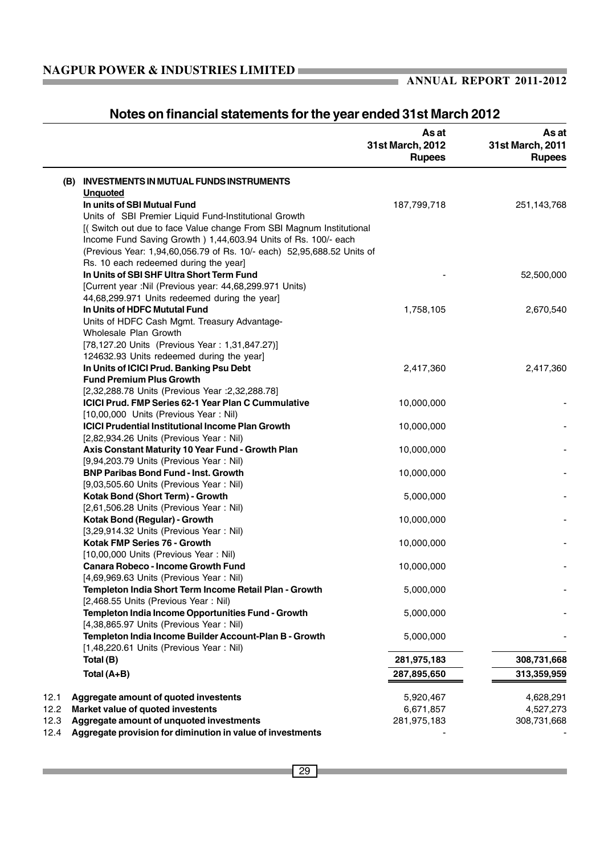# **Notes on financial statements for the year ended 31st March 2012**

|      |                                                                                                   | As at<br>31st March, 2012<br><b>Rupees</b> | As at<br>31st March, 2011<br><b>Rupees</b> |
|------|---------------------------------------------------------------------------------------------------|--------------------------------------------|--------------------------------------------|
|      | (B) INVESTMENTS IN MUTUAL FUNDS INSTRUMENTS                                                       |                                            |                                            |
|      | <b>Unquoted</b>                                                                                   |                                            |                                            |
|      | In units of SBI Mutual Fund                                                                       | 187,799,718                                | 251,143,768                                |
|      | Units of SBI Premier Liquid Fund-Institutional Growth                                             |                                            |                                            |
|      | [(Switch out due to face Value change From SBI Magnum Institutional                               |                                            |                                            |
|      | Income Fund Saving Growth ) 1,44,603.94 Units of Rs. 100/- each                                   |                                            |                                            |
|      | (Previous Year: 1,94,60,056.79 of Rs. 10/- each) 52,95,688.52 Units of                            |                                            |                                            |
|      | Rs. 10 each redeemed during the year]                                                             |                                            |                                            |
|      | In Units of SBI SHF Ultra Short Term Fund                                                         |                                            | 52,500,000                                 |
|      | [Current year :Nil (Previous year: 44,68,299.971 Units)                                           |                                            |                                            |
|      | 44,68,299.971 Units redeemed during the year]                                                     |                                            |                                            |
|      | In Units of HDFC Mututal Fund                                                                     | 1,758,105                                  | 2,670,540                                  |
|      | Units of HDFC Cash Mgmt. Treasury Advantage-<br>Wholesale Plan Growth                             |                                            |                                            |
|      | [78,127.20 Units (Previous Year: 1,31,847.27)]                                                    |                                            |                                            |
|      | 124632.93 Units redeemed during the year]                                                         |                                            |                                            |
|      | In Units of ICICI Prud. Banking Psu Debt                                                          | 2,417,360                                  | 2,417,360                                  |
|      | <b>Fund Premium Plus Growth</b>                                                                   |                                            |                                            |
|      | [2,32,288.78 Units (Previous Year : 2,32,288.78]                                                  |                                            |                                            |
|      | ICICI Prud. FMP Series 62-1 Year Plan C Cummulative                                               | 10,000,000                                 |                                            |
|      | [10,00,000 Units (Previous Year: Nil)                                                             |                                            |                                            |
|      | <b>ICICI Prudential Institutional Income Plan Growth</b>                                          | 10,000,000                                 |                                            |
|      | [2,82,934.26 Units (Previous Year: Nil)                                                           |                                            |                                            |
|      | Axis Constant Maturity 10 Year Fund - Growth Plan                                                 | 10,000,000                                 |                                            |
|      | [9,94,203.79 Units (Previous Year: Nil)                                                           |                                            |                                            |
|      | <b>BNP Paribas Bond Fund - Inst. Growth</b>                                                       | 10,000,000                                 |                                            |
|      | [9,03,505.60 Units (Previous Year: Nil)                                                           |                                            |                                            |
|      | Kotak Bond (Short Term) - Growth                                                                  | 5,000,000                                  |                                            |
|      | [2,61,506.28 Units (Previous Year: Nil)                                                           |                                            |                                            |
|      | Kotak Bond (Regular) - Growth                                                                     | 10,000,000                                 |                                            |
|      | [3,29,914.32 Units (Previous Year: Nil)                                                           |                                            |                                            |
|      | Kotak FMP Series 76 - Growth                                                                      | 10,000,000                                 |                                            |
|      | [10,00,000 Units (Previous Year: Nil)                                                             |                                            |                                            |
|      | Canara Robeco - Income Growth Fund                                                                | 10,000,000                                 |                                            |
|      | [4,69,969.63 Units (Previous Year: Nil)<br>Templeton India Short Term Income Retail Plan - Growth | 5,000,000                                  |                                            |
|      | [2,468.55 Units (Previous Year: Nil)                                                              |                                            |                                            |
|      | Templeton India Income Opportunities Fund - Growth                                                | 5,000,000                                  |                                            |
|      | [4,38,865.97 Units (Previous Year: Nil)                                                           |                                            |                                            |
|      | Templeton India Income Builder Account-Plan B - Growth                                            | 5,000,000                                  |                                            |
|      | [1,48,220.61 Units (Previous Year: Nil)                                                           |                                            |                                            |
|      | Total (B)                                                                                         | 281,975,183                                | 308,731,668                                |
|      | Total (A+B)                                                                                       | 287,895,650                                | 313,359,959                                |
|      |                                                                                                   |                                            |                                            |
| 12.1 | Aggregate amount of quoted investents                                                             | 5,920,467                                  | 4,628,291                                  |
| 12.2 | Market value of quoted investents                                                                 | 6,671,857                                  | 4,527,273                                  |
| 12.3 | Aggregate amount of unquoted investments                                                          | 281,975,183                                | 308,731,668                                |
| 12.4 | Aggregate provision for diminution in value of investments                                        |                                            |                                            |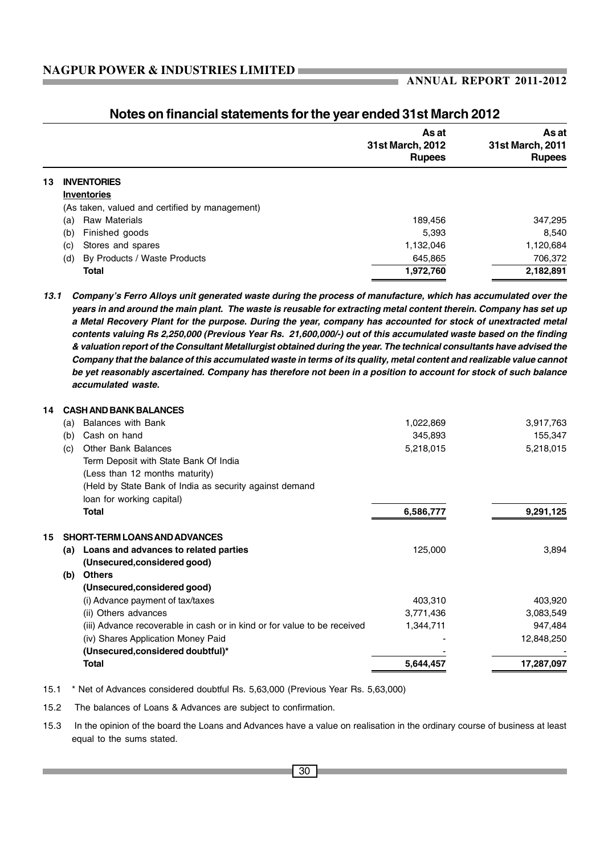|    |                                                | As at<br>31st March, 2012<br><b>Rupees</b> | As at<br>31st March, 2011<br><b>Rupees</b> |
|----|------------------------------------------------|--------------------------------------------|--------------------------------------------|
| 13 | <b>INVENTORIES</b>                             |                                            |                                            |
|    | <b>Inventories</b>                             |                                            |                                            |
|    | (As taken, valued and certified by management) |                                            |                                            |
|    | <b>Raw Materials</b><br>(a)                    | 189,456                                    | 347,295                                    |
|    | Finished goods<br>(b)                          | 5.393                                      | 8,540                                      |
|    | Stores and spares<br>(c)                       | 1,132,046                                  | 1,120,684                                  |
|    | By Products / Waste Products<br>(d)            | 645,865                                    | 706,372                                    |
|    | <b>Total</b>                                   | 1,972,760                                  | 2,182,891                                  |

### **Notes on financial statements for the year ended 31st March 2012**

*13.1 Company's Ferro Alloys unit generated waste during the process of manufacture, which has accumulated over the years in and around the main plant. The waste is reusable for extracting metal content therein. Company has set up a Metal Recovery Plant for the purpose. During the year, company has accounted for stock of unextracted metal contents valuing Rs 2,250,000 (Previous Year Rs. 21,600,000/-) out of this accumulated waste based on the finding & valuation report of the Consultant Metallurgist obtained during the year. The technical consultants have advised the Company that the balance of this accumulated waste in terms of its quality, metal content and realizable value cannot be yet reasonably ascertained. Company has therefore not been in a position to account for stock of such balance accumulated waste.*

| 14 |     | <b>CASH AND BANK BALANCES</b>                                            |           |            |  |  |  |
|----|-----|--------------------------------------------------------------------------|-----------|------------|--|--|--|
|    | (a) | <b>Balances with Bank</b>                                                | 1,022,869 | 3,917,763  |  |  |  |
|    | (b) | Cash on hand                                                             | 345,893   | 155,347    |  |  |  |
|    | (c) | <b>Other Bank Balances</b>                                               | 5,218,015 | 5,218,015  |  |  |  |
|    |     | Term Deposit with State Bank Of India                                    |           |            |  |  |  |
|    |     | (Less than 12 months maturity)                                           |           |            |  |  |  |
|    |     | (Held by State Bank of India as security against demand                  |           |            |  |  |  |
|    |     | loan for working capital)                                                |           |            |  |  |  |
|    |     | Total                                                                    | 6,586,777 | 9,291,125  |  |  |  |
| 15 |     | <b>SHORT-TERM LOANS AND ADVANCES</b>                                     |           |            |  |  |  |
|    | (a) | Loans and advances to related parties                                    | 125,000   | 3,894      |  |  |  |
|    |     | (Unsecured, considered good)                                             |           |            |  |  |  |
|    | (b) | <b>Others</b>                                                            |           |            |  |  |  |
|    |     | (Unsecured, considered good)                                             |           |            |  |  |  |
|    |     | (i) Advance payment of tax/taxes                                         | 403,310   | 403,920    |  |  |  |
|    |     | (ii) Others advances                                                     | 3,771,436 | 3,083,549  |  |  |  |
|    |     | (iii) Advance recoverable in cash or in kind or for value to be received | 1,344,711 | 947,484    |  |  |  |
|    |     | (iv) Shares Application Money Paid                                       |           | 12,848,250 |  |  |  |
|    |     | (Unsecured, considered doubtful)*                                        |           |            |  |  |  |
|    |     | <b>Total</b>                                                             | 5,644,457 | 17,287,097 |  |  |  |
|    |     |                                                                          |           |            |  |  |  |

15.1 \* Net of Advances considered doubtful Rs. 5,63,000 (Previous Year Rs. 5,63,000)

15.2 The balances of Loans & Advances are subject to confirmation.

15.3 In the opinion of the board the Loans and Advances have a value on realisation in the ordinary course of business at least equal to the sums stated.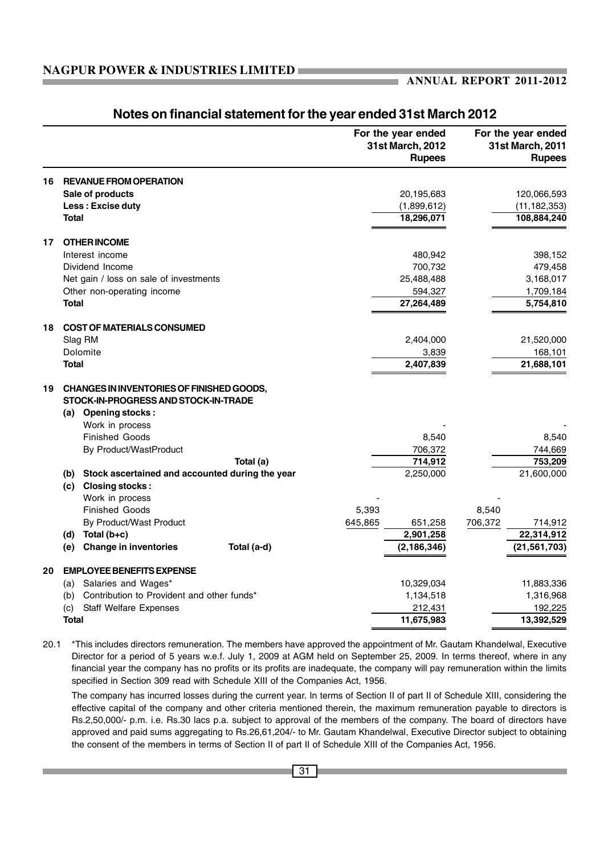|    |                                                                                   |             |         | For the year ended<br>31st March, 2012<br><b>Rupees</b> |         | For the year ended<br>31st March, 2011<br><b>Rupees</b> |
|----|-----------------------------------------------------------------------------------|-------------|---------|---------------------------------------------------------|---------|---------------------------------------------------------|
| 16 | <b>REVANUE FROM OPERATION</b>                                                     |             |         |                                                         |         |                                                         |
|    | Sale of products                                                                  |             |         | 20,195,683                                              |         | 120,066,593                                             |
|    | Less: Excise duty                                                                 |             |         | (1,899,612)                                             |         | (11, 182, 353)                                          |
|    | <b>Total</b>                                                                      |             |         | 18,296,071                                              |         | 108,884,240                                             |
| 17 | <b>OTHER INCOME</b>                                                               |             |         |                                                         |         |                                                         |
|    | Interest income                                                                   |             |         | 480,942                                                 |         | 398,152                                                 |
|    | Dividend Income                                                                   |             |         | 700,732                                                 |         | 479,458                                                 |
|    | Net gain / loss on sale of investments                                            |             |         | 25,488,488                                              |         | 3,168,017                                               |
|    | Other non-operating income                                                        |             |         | 594,327                                                 |         | 1,709,184                                               |
|    | <b>Total</b>                                                                      |             |         | 27,264,489                                              |         | 5,754,810                                               |
| 18 | <b>COST OF MATERIALS CONSUMED</b>                                                 |             |         |                                                         |         |                                                         |
|    | Slag RM                                                                           |             |         | 2,404,000                                               |         | 21,520,000                                              |
|    | Dolomite                                                                          |             |         | 3,839                                                   |         | 168,101                                                 |
|    | <b>Total</b>                                                                      |             |         | 2,407,839                                               |         | 21,688,101                                              |
| 19 | CHANGES IN INVENTORIES OF FINISHED GOODS,<br>STOCK-IN-PROGRESS AND STOCK-IN-TRADE |             |         |                                                         |         |                                                         |
|    | (a) Opening stocks:                                                               |             |         |                                                         |         |                                                         |
|    | Work in process                                                                   |             |         |                                                         |         |                                                         |
|    | <b>Finished Goods</b>                                                             |             |         | 8,540                                                   |         | 8,540                                                   |
|    | By Product/WastProduct                                                            |             |         | 706,372                                                 |         | 744,669                                                 |
|    |                                                                                   | Total (a)   |         | 714,912                                                 |         | 753,209                                                 |
|    | Stock ascertained and accounted during the year<br>(b)<br>(c) Closing stocks:     |             |         | 2,250,000                                               |         | 21,600,000                                              |
|    | Work in process                                                                   |             |         |                                                         |         |                                                         |
|    | <b>Finished Goods</b>                                                             |             | 5,393   |                                                         | 8,540   |                                                         |
|    | By Product/Wast Product                                                           |             | 645,865 | 651,258                                                 | 706,372 | 714,912                                                 |
|    | Total (b+c)<br>(d)                                                                |             |         | 2,901,258                                               |         | 22,314,912                                              |
|    | <b>Change in inventories</b><br>(e)                                               | Total (a-d) |         | (2, 186, 346)                                           |         | (21, 561, 703)                                          |
| 20 | <b>EMPLOYEE BENEFITS EXPENSE</b>                                                  |             |         |                                                         |         |                                                         |
|    | Salaries and Wages*<br>(a)                                                        |             |         | 10,329,034                                              |         | 11,883,336                                              |
|    | Contribution to Provident and other funds*<br>(b)                                 |             |         | 1,134,518                                               |         | 1,316,968                                               |
|    | <b>Staff Welfare Expenses</b><br>(c)                                              |             |         | 212,431                                                 |         | 192,225                                                 |
|    | <b>Total</b>                                                                      |             |         | 11,675,983                                              |         | 13,392,529                                              |

### **Notes on financial statement for the year ended 31st March 2012**

20.1 \*This includes directors remuneration. The members have approved the appointment of Mr. Gautam Khandelwal, Executive Director for a period of 5 years w.e.f. July 1, 2009 at AGM held on September 25, 2009. In terms thereof, where in any financial year the company has no profits or its profits are inadequate, the company will pay remuneration within the limits specified in Section 309 read with Schedule XIII of the Companies Act, 1956.

The company has incurred losses during the current year. In terms of Section II of part II of Schedule XIII, considering the effective capital of the company and other criteria mentioned therein, the maximum remuneration payable to directors is Rs.2,50,000/- p.m. i.e. Rs.30 lacs p.a. subject to approval of the members of the company. The board of directors have approved and paid sums aggregating to Rs.26,61,204/- to Mr. Gautam Khandelwal, Executive Director subject to obtaining the consent of the members in terms of Section II of part II of Schedule XIII of the Companies Act, 1956.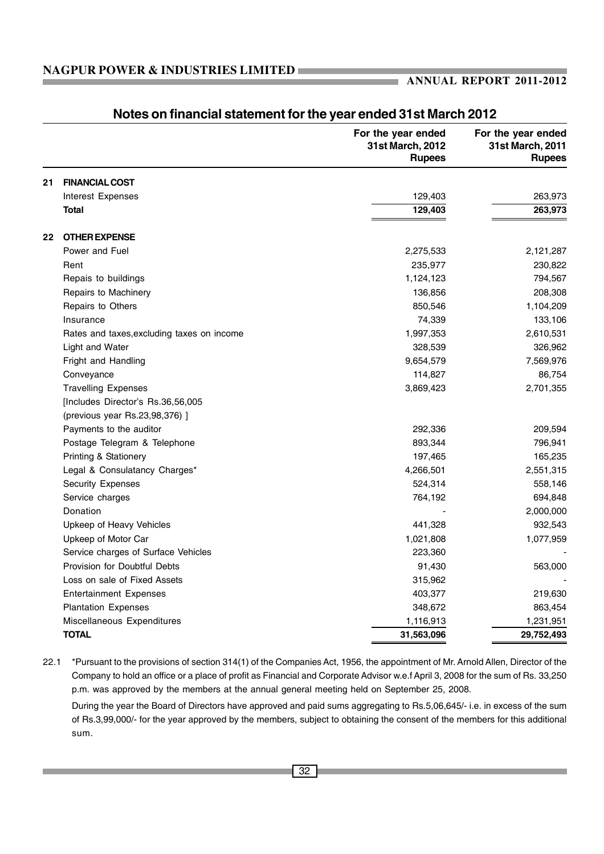|    |                                            | For the year ended<br>31st March, 2012<br><b>Rupees</b> | For the year ended<br>31st March, 2011<br><b>Rupees</b> |
|----|--------------------------------------------|---------------------------------------------------------|---------------------------------------------------------|
| 21 | <b>FINANCIAL COST</b>                      |                                                         |                                                         |
|    | <b>Interest Expenses</b>                   | 129,403                                                 | 263,973                                                 |
|    | <b>Total</b>                               | 129,403                                                 | 263,973                                                 |
| 22 | <b>OTHER EXPENSE</b>                       |                                                         |                                                         |
|    | Power and Fuel                             | 2,275,533                                               | 2,121,287                                               |
|    | Rent                                       | 235,977                                                 | 230,822                                                 |
|    | Repais to buildings                        | 1,124,123                                               | 794,567                                                 |
|    | Repairs to Machinery                       | 136,856                                                 | 208,308                                                 |
|    | Repairs to Others                          | 850,546                                                 | 1,104,209                                               |
|    | Insurance                                  | 74,339                                                  | 133,106                                                 |
|    | Rates and taxes, excluding taxes on income | 1,997,353                                               | 2,610,531                                               |
|    | Light and Water                            | 328,539                                                 | 326,962                                                 |
|    | Fright and Handling                        | 9,654,579                                               | 7,569,976                                               |
|    | Conveyance                                 | 114,827                                                 | 86,754                                                  |
|    | <b>Travelling Expenses</b>                 | 3,869,423                                               | 2,701,355                                               |
|    | [Includes Director's Rs.36,56,005          |                                                         |                                                         |
|    | (previous year Rs.23,98,376) ]             |                                                         |                                                         |
|    | Payments to the auditor                    | 292,336                                                 | 209,594                                                 |
|    | Postage Telegram & Telephone               | 893,344                                                 | 796,941                                                 |
|    | Printing & Stationery                      | 197,465                                                 | 165,235                                                 |
|    | Legal & Consulatancy Charges*              | 4,266,501                                               | 2,551,315                                               |
|    | <b>Security Expenses</b>                   | 524,314                                                 | 558,146                                                 |
|    | Service charges                            | 764,192                                                 | 694,848                                                 |
|    | Donation                                   |                                                         | 2,000,000                                               |
|    | Upkeep of Heavy Vehicles                   | 441,328                                                 | 932,543                                                 |
|    | Upkeep of Motor Car                        | 1,021,808                                               | 1,077,959                                               |
|    | Service charges of Surface Vehicles        | 223,360                                                 |                                                         |
|    | Provision for Doubtful Debts               | 91,430                                                  | 563,000                                                 |
|    | Loss on sale of Fixed Assets               | 315,962                                                 |                                                         |
|    | <b>Entertainment Expenses</b>              | 403,377                                                 | 219,630                                                 |
|    | <b>Plantation Expenses</b>                 | 348,672                                                 | 863,454                                                 |
|    | Miscellaneous Expenditures                 | 1,116,913                                               | 1,231,951                                               |
|    | <b>TOTAL</b>                               | 31,563,096                                              | 29,752,493                                              |

### **Notes on financial statement for the year ended 31st March 2012**

22.1 \*Pursuant to the provisions of section 314(1) of the Companies Act, 1956, the appointment of Mr. Arnold Allen, Director of the Company to hold an office or a place of profit as Financial and Corporate Advisor w.e.f April 3, 2008 for the sum of Rs. 33,250 p.m. was approved by the members at the annual general meeting held on September 25, 2008.

During the year the Board of Directors have approved and paid sums aggregating to Rs.5,06,645/- i.e. in excess of the sum of Rs.3,99,000/- for the year approved by the members, subject to obtaining the consent of the members for this additional sum.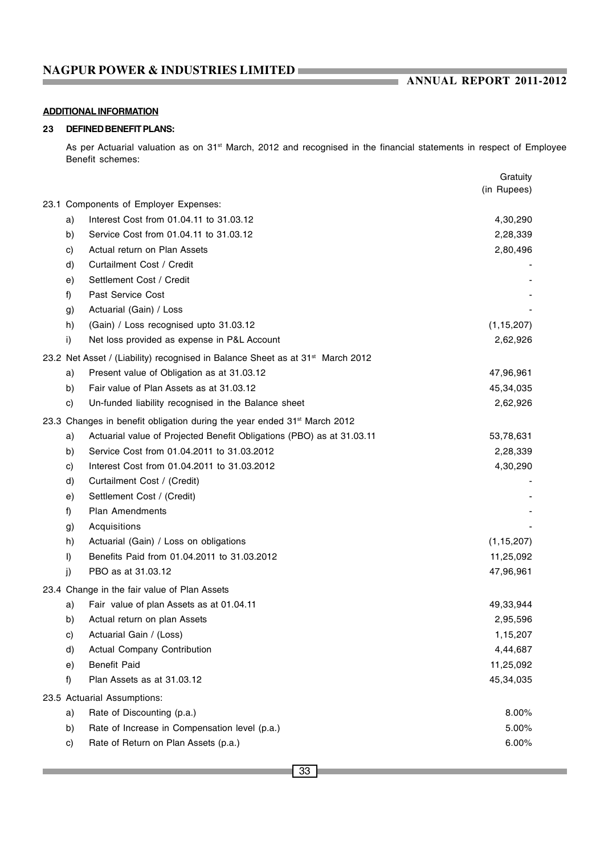### **ANNUAL REPORT 2011-2012**

### **ADDITIONAL INFORMATION**

### **23 DEFINED BENEFIT PLANS:**

As per Actuarial valuation as on 31<sup>st</sup> March, 2012 and recognised in the financial statements in respect of Employee Benefit schemes:

|    |                                                                                            | Gratuity     |
|----|--------------------------------------------------------------------------------------------|--------------|
|    |                                                                                            | (in Rupees)  |
|    | 23.1 Components of Employer Expenses:                                                      |              |
| a) | Interest Cost from 01.04.11 to 31.03.12                                                    | 4,30,290     |
| b) | Service Cost from 01.04.11 to 31.03.12                                                     | 2,28,339     |
| c) | Actual return on Plan Assets                                                               | 2,80,496     |
| d) | Curtailment Cost / Credit                                                                  |              |
| e) | Settlement Cost / Credit                                                                   |              |
| f) | Past Service Cost                                                                          |              |
| g) | Actuarial (Gain) / Loss                                                                    |              |
| h) | (Gain) / Loss recognised upto 31.03.12                                                     | (1, 15, 207) |
| i) | Net loss provided as expense in P&L Account                                                | 2,62,926     |
|    | 23.2 Net Asset / (Liability) recognised in Balance Sheet as at 31 <sup>st</sup> March 2012 |              |
| a) | Present value of Obligation as at 31.03.12                                                 | 47,96,961    |
| b) | Fair value of Plan Assets as at 31.03.12                                                   | 45,34,035    |
| c) | Un-funded liability recognised in the Balance sheet                                        | 2,62,926     |
|    | 23.3 Changes in benefit obligation during the year ended 31 <sup>st</sup> March 2012       |              |
| a) | Actuarial value of Projected Benefit Obligations (PBO) as at 31.03.11                      | 53,78,631    |
| b) | Service Cost from 01.04.2011 to 31.03.2012                                                 | 2,28,339     |
| C) | Interest Cost from 01.04.2011 to 31.03.2012                                                | 4,30,290     |
| d) | Curtailment Cost / (Credit)                                                                |              |
| e) | Settlement Cost / (Credit)                                                                 |              |
| f) | Plan Amendments                                                                            |              |
| g) | Acquisitions                                                                               |              |
| h) | Actuarial (Gain) / Loss on obligations                                                     | (1, 15, 207) |
| I) | Benefits Paid from 01.04.2011 to 31.03.2012                                                | 11,25,092    |
| j) | PBO as at 31,03.12                                                                         | 47,96,961    |
|    | 23.4 Change in the fair value of Plan Assets                                               |              |
| a) | Fair value of plan Assets as at 01.04.11                                                   | 49,33,944    |
| b) | Actual return on plan Assets                                                               | 2,95,596     |
| c) | Actuarial Gain / (Loss)                                                                    | 1,15,207     |
| d) | Actual Company Contribution                                                                | 4,44,687     |
| e) | <b>Benefit Paid</b>                                                                        | 11,25,092    |
| f) | Plan Assets as at 31.03.12                                                                 | 45,34,035    |
|    | 23.5 Actuarial Assumptions:                                                                |              |
| a) | Rate of Discounting (p.a.)                                                                 | 8.00%        |
| b) | Rate of Increase in Compensation level (p.a.)                                              | 5.00%        |
| c) | Rate of Return on Plan Assets (p.a.)                                                       | 6.00%        |
|    |                                                                                            |              |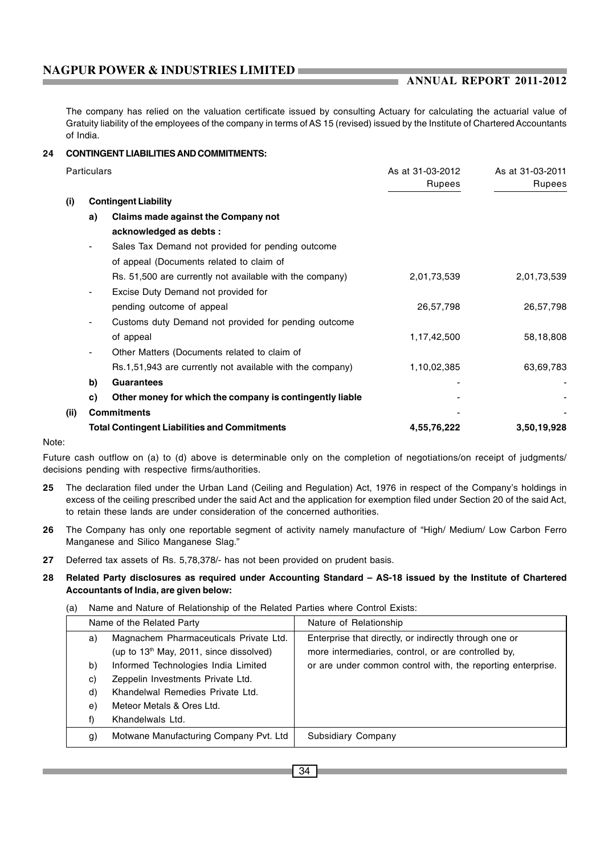The company has relied on the valuation certificate issued by consulting Actuary for calculating the actuarial value of Gratuity liability of the employees of the company in terms of AS 15 (revised) issued by the Institute of Chartered Accountants of India.

### **24 CONTINGENT LIABILITIES AND COMMITMENTS:**

|      | <b>Particulars</b>       |                                                           | As at 31-03-2012<br><b>Rupees</b> | As at 31-03-2011<br><b>Rupees</b> |  |
|------|--------------------------|-----------------------------------------------------------|-----------------------------------|-----------------------------------|--|
| (i)  |                          | <b>Contingent Liability</b>                               |                                   |                                   |  |
|      | a)                       | Claims made against the Company not                       |                                   |                                   |  |
|      |                          | acknowledged as debts :                                   |                                   |                                   |  |
|      | ٠                        | Sales Tax Demand not provided for pending outcome         |                                   |                                   |  |
|      |                          | of appeal (Documents related to claim of                  |                                   |                                   |  |
|      |                          | Rs. 51,500 are currently not available with the company)  | 2,01,73,539                       | 2,01,73,539                       |  |
|      | $\overline{\phantom{a}}$ | Excise Duty Demand not provided for                       |                                   |                                   |  |
|      |                          | pending outcome of appeal                                 | 26,57,798                         | 26,57,798                         |  |
|      | $\blacksquare$           | Customs duty Demand not provided for pending outcome      |                                   |                                   |  |
|      |                          | of appeal                                                 | 1,17,42,500                       | 58,18,808                         |  |
|      | $\blacksquare$           | Other Matters (Documents related to claim of              |                                   |                                   |  |
|      |                          | Rs.1,51,943 are currently not available with the company) | 1,10,02,385                       | 63,69,783                         |  |
|      | b)                       | <b>Guarantees</b>                                         |                                   |                                   |  |
|      | C)                       | Other money for which the company is contingently liable  |                                   |                                   |  |
| (ii) |                          | <b>Commitments</b>                                        |                                   |                                   |  |
|      |                          | <b>Total Contingent Liabilities and Commitments</b>       | 4,55,76,222                       | 3,50,19,928                       |  |

Note:

Future cash outflow on (a) to (d) above is determinable only on the completion of negotiations/on receipt of judgments/ decisions pending with respective firms/authorities.

- **25** The declaration filed under the Urban Land (Ceiling and Regulation) Act, 1976 in respect of the Company's holdings in excess of the ceiling prescribed under the said Act and the application for exemption filed under Section 20 of the said Act, to retain these lands are under consideration of the concerned authorities.
- **26** The Company has only one reportable segment of activity namely manufacture of "High/ Medium/ Low Carbon Ferro Manganese and Silico Manganese Slag."
- **27** Deferred tax assets of Rs. 5,78,378/- has not been provided on prudent basis.

#### **28 Related Party disclosures as required under Accounting Standard – AS-18 issued by the Institute of Chartered Accountants of India, are given below:**

(a) Name and Nature of Relationship of the Related Parties where Control Exists:

| Name of the Related Party |                                                                                     | Nature of Relationship                                                                                        |
|---------------------------|-------------------------------------------------------------------------------------|---------------------------------------------------------------------------------------------------------------|
| a)                        | Magnachem Pharmaceuticals Private Ltd.<br>(up to $13th$ May, 2011, since dissolved) | Enterprise that directly, or indirectly through one or<br>more intermediaries, control, or are controlled by, |
| b)                        | Informed Technologies India Limited                                                 | or are under common control with, the reporting enterprise.                                                   |
| C)                        | Zeppelin Investments Private Ltd.                                                   |                                                                                                               |
| d)                        | Khandelwal Remedies Private Ltd.                                                    |                                                                                                               |
| e)                        | Meteor Metals & Ores Ltd.                                                           |                                                                                                               |
| f)                        | Khandelwals Ltd.                                                                    |                                                                                                               |
| g)                        | Motwane Manufacturing Company Pvt. Ltd                                              | Subsidiary Company                                                                                            |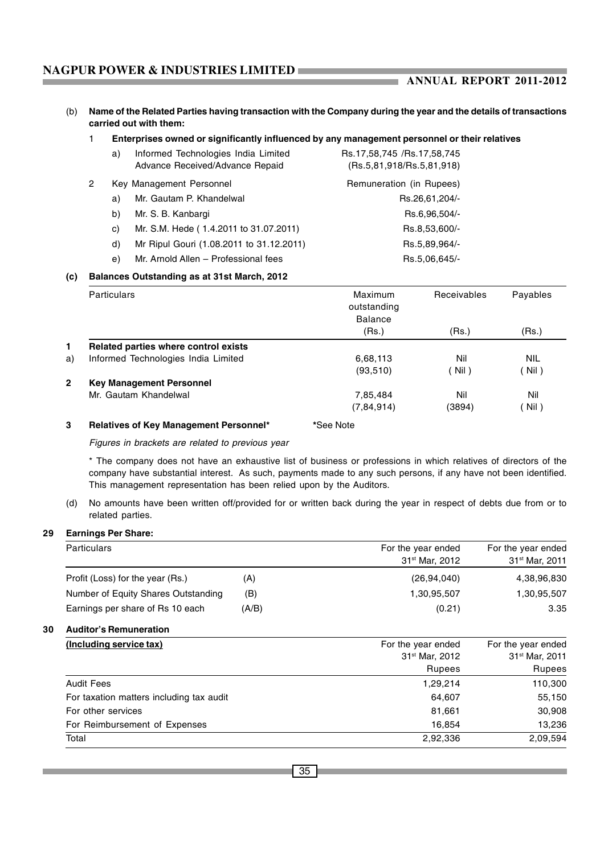### **ANNUAL REPORT 2011-2012**

(b) **Name of the Related Parties having transaction with the Company during the year and the details of transactions carried out with them:**

a.

#### 1 **Enterprises owned or significantly influenced by any management personnel or their relatives**

| a) | Informed Technologies India Limited      | Rs.17,58,745 /Rs.17,58,745 |
|----|------------------------------------------|----------------------------|
|    | Advance Received/Advance Repaid          | (Rs.5,81,918/Rs.5,81,918)  |
|    | Key Management Personnel                 | Remuneration (in Rupees)   |
| a) | Mr. Gautam P. Khandelwal                 | Rs.26,61,204/-             |
| b) | Mr. S. B. Kanbargi                       | Rs.6,96,504/-              |
| C) | Mr. S.M. Hede (1.4.2011 to 31.07.2011)   | Rs.8,53,600/-              |
| d) | Mr Ripul Gouri (1.08.2011 to 31.12.2011) | Rs.5,89,964/-              |
| e) | Mr. Arnold Allen - Professional fees     | Rs.5,06,645/-              |

#### **(c) Balances Outstanding as at 31st March, 2012**

|                | <b>Particulars</b>                     | Maximum<br>outstanding<br><b>Balance</b> | <b>Receivables</b> | Payables   |
|----------------|----------------------------------------|------------------------------------------|--------------------|------------|
|                |                                        | (Rs.)                                    | (Rs.)              | (Rs.)      |
| $\mathbf{1}$   | Related parties where control exists   |                                          |                    |            |
| a)             | Informed Technologies India Limited    | 6,68,113                                 | Nil                | <b>NIL</b> |
|                |                                        | (93, 510)                                | (Nil)              | Nil)       |
| $\overline{2}$ | <b>Key Management Personnel</b>        |                                          |                    |            |
|                | Mr. Gautam Khandelwal                  | 7,85,484                                 | Nil                | Nil        |
|                |                                        | (7, 84, 914)                             | (3894)             | Nil)       |
| 3              | Relatives of Key Management Personnel* | *See Note                                |                    |            |

*Figures in brackets are related to previous year*

\* The company does not have an exhaustive list of business or professions in which relatives of directors of the company have substantial interest. As such, payments made to any such persons, if any have not been identified. This management representation has been relied upon by the Auditors.

(d) No amounts have been written off/provided for or written back during the year in respect of debts due from or to related parties.

#### **29 Earnings Per Share:**

| <b>Particulars</b>                       |       | For the year ended<br>31 <sup>st</sup> Mar, 2012 | For the year ended<br>31 <sup>st</sup> Mar, 2011 |
|------------------------------------------|-------|--------------------------------------------------|--------------------------------------------------|
| Profit (Loss) for the year (Rs.)         | (A)   | (26, 94, 040)                                    | 4,38,96,830                                      |
| Number of Equity Shares Outstanding      | (B)   | 1,30,95,507                                      | 1,30,95,507                                      |
| Earnings per share of Rs 10 each         | (A/B) | (0.21)                                           | 3.35                                             |
| <b>Auditor's Remuneration</b>            |       |                                                  |                                                  |
| (Including service tax)                  |       | For the year ended                               | For the year ended                               |
|                                          |       | 31 <sup>st</sup> Mar, 2012                       | 31 <sup>st</sup> Mar, 2011                       |
|                                          |       | <b>Rupees</b>                                    | Rupees                                           |
| <b>Audit Fees</b>                        |       | 1,29,214                                         | 110,300                                          |
| For taxation matters including tax audit |       | 64,607                                           | 55,150                                           |
| For other services                       |       | 81,661                                           | 30,908                                           |
| For Reimbursement of Expenses            |       | 16,854                                           | 13,236                                           |
| Total                                    |       | 2,92,336                                         | 2,09,594                                         |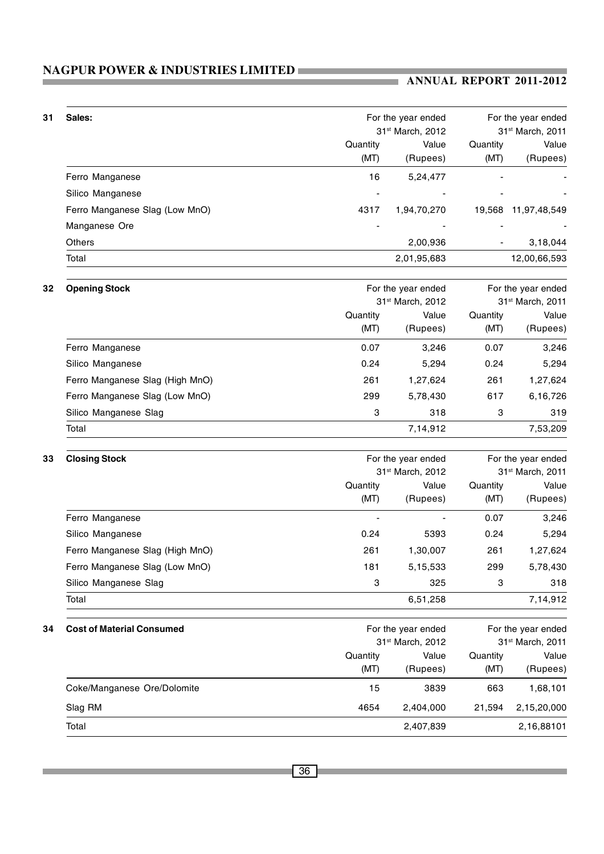### **ANNUAL REPORT 2011-2012**

| 31 | Sales:                           |                  | For the year ended<br>31st March, 2012 |                  |                                        |  |
|----|----------------------------------|------------------|----------------------------------------|------------------|----------------------------------------|--|
|    |                                  | Quantity<br>(MT) | Value<br>(Rupees)                      | Quantity<br>(MT) | 31st March, 2011<br>Value<br>(Rupees)  |  |
|    | Ferro Manganese                  | 16               | 5,24,477                               |                  |                                        |  |
|    | Silico Manganese                 |                  |                                        |                  |                                        |  |
|    | Ferro Manganese Slag (Low MnO)   | 4317             | 1,94,70,270                            |                  | 19,568 11,97,48,549                    |  |
|    | Manganese Ore                    |                  |                                        |                  |                                        |  |
|    | Others                           |                  | 2,00,936                               |                  | 3,18,044                               |  |
|    | Total                            |                  | 2,01,95,683                            |                  | 12,00,66,593                           |  |
| 32 | <b>Opening Stock</b>             |                  | For the year ended                     |                  | For the year ended                     |  |
|    |                                  |                  | 31st March, 2012                       |                  | 31st March, 2011                       |  |
|    |                                  | Quantity         | Value                                  | Quantity         | Value                                  |  |
|    |                                  | (MT)             | (Rupees)                               | (MT)             | (Rupees)                               |  |
|    | Ferro Manganese                  | 0.07             | 3,246                                  | 0.07             | 3,246                                  |  |
|    | Silico Manganese                 | 0.24             | 5,294                                  | 0.24             | 5,294                                  |  |
|    | Ferro Manganese Slag (High MnO)  | 261              | 1,27,624                               | 261              | 1,27,624<br>6,16,726                   |  |
|    | Ferro Manganese Slag (Low MnO)   | 299              | 5,78,430                               | 617              |                                        |  |
|    | Silico Manganese Slag            | 3                | 318                                    | 3                | 319                                    |  |
|    | Total                            |                  | 7,14,912                               |                  | 7,53,209                               |  |
| 33 | <b>Closing Stock</b>             |                  | For the year ended<br>31st March, 2012 |                  | For the year ended<br>31st March, 2011 |  |
|    |                                  | Quantity<br>(MT) | Value<br>(Rupees)                      | Quantity<br>(MT) | Value<br>(Rupees)                      |  |
|    | Ferro Manganese                  |                  |                                        | 0.07             | 3,246                                  |  |
|    | Silico Manganese                 | 0.24             | 5393                                   | 0.24             | 5,294                                  |  |
|    | Ferro Manganese Slag (High MnO)  | 261              | 1,30,007                               | 261              | 1,27,624                               |  |
|    | Ferro Manganese Slag (Low MnO)   | 181              | 5,15,533                               | 299              | 5,78,430                               |  |
|    | Silico Manganese Slag            | 3                | 325                                    | 3                | 318                                    |  |
|    | Total                            |                  | 6,51,258                               |                  | 7,14,912                               |  |
| 34 | <b>Cost of Material Consumed</b> |                  | For the year ended<br>31st March, 2012 |                  | For the year ended<br>31st March, 2011 |  |
|    |                                  | Quantity         | Value                                  | Quantity         | Value                                  |  |
|    |                                  | (MT)             | (Rupees)                               | (MT)             | (Rupees)                               |  |
|    | Coke/Manganese Ore/Dolomite      | 15               | 3839                                   | 663              | 1,68,101                               |  |
|    | Slag RM                          | 4654             | 2,404,000                              | 21,594           | 2,15,20,000                            |  |
|    | Total                            |                  | 2,407,839                              |                  | 2,16,88101                             |  |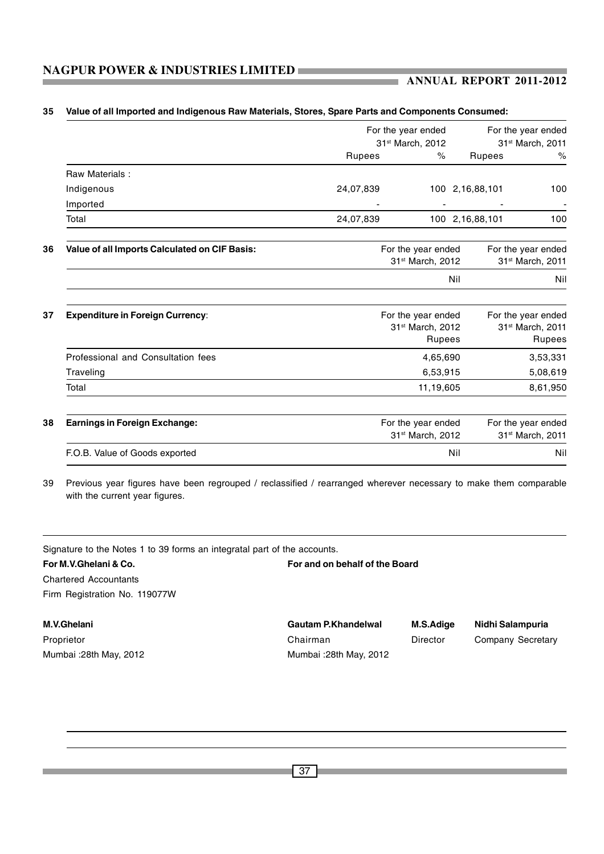|                                               |           | For the year ended                                                  |                 | For the year ended                                                  |
|-----------------------------------------------|-----------|---------------------------------------------------------------------|-----------------|---------------------------------------------------------------------|
|                                               |           | 31 <sup>st</sup> March, 2012                                        |                 | 31 <sup>st</sup> March, 2011                                        |
|                                               | Rupees    | $\%$                                                                | <b>Rupees</b>   | %                                                                   |
| Raw Materials:                                |           |                                                                     |                 |                                                                     |
| Indigenous                                    | 24,07,839 |                                                                     | 100 2,16,88,101 | 100                                                                 |
| Imported                                      |           |                                                                     |                 |                                                                     |
| Total                                         | 24,07,839 |                                                                     | 100 2,16,88,101 | 100                                                                 |
| Value of all Imports Calculated on CIF Basis: |           | For the year ended<br>31 <sup>st</sup> March, 2012                  |                 | For the year ended<br>31 <sup>st</sup> March, 2011                  |
|                                               |           |                                                                     | Nil             | Nil                                                                 |
| <b>Expenditure in Foreign Currency:</b>       |           | For the year ended<br>31 <sup>st</sup> March, 2012<br><b>Rupees</b> |                 | For the year ended<br>31 <sup>st</sup> March, 2011<br><b>Rupees</b> |
| Professional and Consultation fees            |           | 4,65,690                                                            |                 | 3,53,331                                                            |
| Traveling                                     |           | 6,53,915                                                            |                 | 5,08,619                                                            |
| Total                                         |           | 11,19,605                                                           |                 | 8,61,950                                                            |
| <b>Earnings in Foreign Exchange:</b>          |           | For the year ended<br>31 <sup>st</sup> March, 2012                  |                 | For the year ended<br>31st March, 2011                              |
| F.O.B. Value of Goods exported                |           |                                                                     | Nil             | Nil                                                                 |

#### **35 Value of all Imported and Indigenous Raw Materials, Stores, Spare Parts and Components Consumed:**

39 Previous year figures have been regrouped / reclassified / rearranged wherever necessary to make them comparable with the current year figures.

Signature to the Notes 1 to 39 forms an integratal part of the accounts. **For M.V.Ghelani & Co. For and on behalf of the Board** Chartered Accountants Firm Registration No. 119077W **M.V.Ghelani Gautam P.Khandelwal M.S.Adige Nidhi Salampuria** Proprietor **Chairman** Director Company Secretary

Mumbai :28th May, 2012 Mumbai :28th May, 2012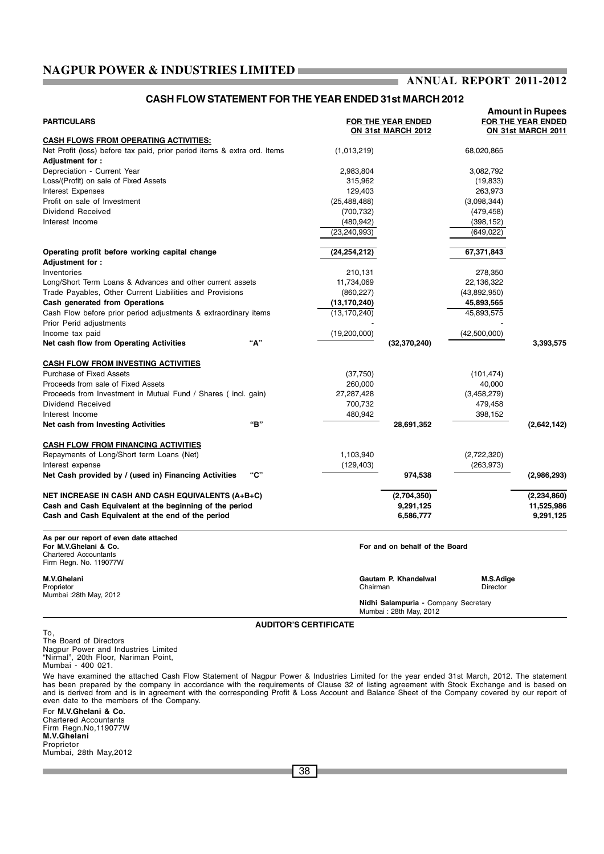#### **ANNUAL REPORT 2011-2012** ı.

### **CASH FLOW STATEMENT FOR THE YEAR ENDED 31st MARCH 2012**

|                                                                          |                              | <b>Amount in Rupees</b>              |                          |                           |  |  |
|--------------------------------------------------------------------------|------------------------------|--------------------------------------|--------------------------|---------------------------|--|--|
| <b>PARTICULARS</b>                                                       |                              | FOR THE YEAR ENDED                   | FOR THE YEAR ENDED       |                           |  |  |
|                                                                          |                              | ON 31st MARCH 2012                   |                          | <b>ON 31st MARCH 2011</b> |  |  |
| CASH FLOWS FROM OPERATING ACTIVITIES:                                    |                              |                                      |                          |                           |  |  |
| Net Profit (loss) before tax paid, prior period items & extra ord. Items | (1,013,219)                  |                                      | 68,020,865               |                           |  |  |
| Adjustment for:                                                          |                              |                                      |                          |                           |  |  |
| Depreciation - Current Year                                              | 2,983,804                    |                                      | 3,082,792                |                           |  |  |
| Loss/(Profit) on sale of Fixed Assets                                    | 315,962                      |                                      | (19, 833)                |                           |  |  |
| Interest Expenses                                                        | 129,403                      |                                      | 263,973                  |                           |  |  |
| Profit on sale of Investment<br>Dividend Received                        | (25, 488, 488)               |                                      | (3,098,344)              |                           |  |  |
| Interest Income                                                          | (700, 732)<br>(480, 942)     |                                      | (479, 458)               |                           |  |  |
|                                                                          | (23, 240, 993)               |                                      | (398, 152)<br>(649, 022) |                           |  |  |
|                                                                          |                              |                                      |                          |                           |  |  |
| Operating profit before working capital change                           | (24, 254, 212)               |                                      | 67,371,843               |                           |  |  |
| Adjustment for:                                                          |                              |                                      |                          |                           |  |  |
| Inventories                                                              | 210,131                      |                                      | 278,350                  |                           |  |  |
| Long/Short Term Loans & Advances and other current assets                | 11,734,069                   |                                      | 22,136,322               |                           |  |  |
| Trade Payables, Other Current Liabilities and Provisions                 | (860, 227)                   |                                      | (43,892,950)             |                           |  |  |
| Cash generated from Operations                                           | (13,170,240)                 |                                      | 45,893,565               |                           |  |  |
| Cash Flow before prior period adjustments & extraordinary items          | (13, 170, 240)               |                                      | 45,893,575               |                           |  |  |
| Prior Perid adjustments                                                  |                              |                                      |                          |                           |  |  |
| Income tax paid                                                          | (19,200,000)                 |                                      | (42,500,000)             |                           |  |  |
| "А"<br>Net cash flow from Operating Activities                           |                              | (32, 370, 240)                       |                          | 3,393,575                 |  |  |
|                                                                          |                              |                                      |                          |                           |  |  |
| <b>CASH FLOW FROM INVESTING ACTIVITIES</b>                               |                              |                                      |                          |                           |  |  |
| <b>Purchase of Fixed Assets</b>                                          | (37,750)                     |                                      | (101, 474)               |                           |  |  |
| Proceeds from sale of Fixed Assets                                       | 260,000                      |                                      | 40,000                   |                           |  |  |
| Proceeds from Investment in Mutual Fund / Shares (incl. gain)            | 27,287,428                   |                                      | (3,458,279)              |                           |  |  |
| Dividend Received                                                        | 700,732                      |                                      | 479,458                  |                           |  |  |
| Interest Income                                                          | 480,942                      |                                      | 398,152                  |                           |  |  |
| "В"<br>Net cash from Investing Activities                                |                              | 28,691,352                           |                          | (2,642,142)               |  |  |
| <b>CASH FLOW FROM FINANCING ACTIVITIES</b>                               |                              |                                      |                          |                           |  |  |
| Repayments of Long/Short term Loans (Net)                                | 1,103,940                    |                                      | (2,722,320)              |                           |  |  |
| Interest expense                                                         | (129, 403)                   |                                      | (263, 973)               |                           |  |  |
| "С"<br>Net Cash provided by / (used in) Financing Activities             |                              | 974,538                              |                          | (2,986,293)               |  |  |
|                                                                          |                              |                                      |                          |                           |  |  |
| <b>NET INCREASE IN CASH AND CASH EQUIVALENTS (A+B+C)</b>                 |                              | (2,704,350)                          |                          | (2,234,860)               |  |  |
| Cash and Cash Equivalent at the beginning of the period                  |                              | 9,291,125                            |                          | 11,525,986                |  |  |
| Cash and Cash Equivalent at the end of the period                        |                              | 6,586,777                            |                          | 9,291,125                 |  |  |
|                                                                          |                              |                                      |                          |                           |  |  |
| As per our report of even date attached                                  |                              |                                      |                          |                           |  |  |
| For M.V.Ghelani & Co.<br><b>Chartered Accountants</b>                    |                              | For and on behalf of the Board       |                          |                           |  |  |
| Firm Regn. No. 119077W                                                   |                              |                                      |                          |                           |  |  |
|                                                                          |                              |                                      |                          |                           |  |  |
| M.V.Ghelani                                                              |                              | Gautam P. Khandelwal                 | M.S.Adige                |                           |  |  |
| Proprietor<br>Mumbai :28th May, 2012                                     | Chairman                     |                                      | Director                 |                           |  |  |
|                                                                          |                              | Nidhi Salampuria - Company Secretary |                          |                           |  |  |
|                                                                          |                              | Mumbai: 28th May, 2012               |                          |                           |  |  |
|                                                                          | <b>AUDITOR'S CERTIFICATE</b> |                                      |                          |                           |  |  |
| To.<br>The Board of Directors                                            |                              |                                      |                          |                           |  |  |
| Nagpur Power and Industries Limited                                      |                              |                                      |                          |                           |  |  |
| "Nirmal", 20th Floor, Nariman Point,                                     |                              |                                      |                          |                           |  |  |
| Mumbai - 400 021.                                                        |                              |                                      |                          |                           |  |  |

We have examined the attached Cash Flow Statement of Nagpur Power & Industries Limited for the year ended 31st March, 2012. The statement has been prepared by the company in accordance with the requirements of Clause 32 of listing agreement with Stock Exchange and is based on<br>and is derived from and is in agreement with the corresponding Profit & Loss Accoun even date to the members of the Company.

For **M.V.Ghelani & Co.** Chartered Accountants Firm Regn.No,119077W **M.V.Ghelani** Proprietor Mumbai, 28th May,2012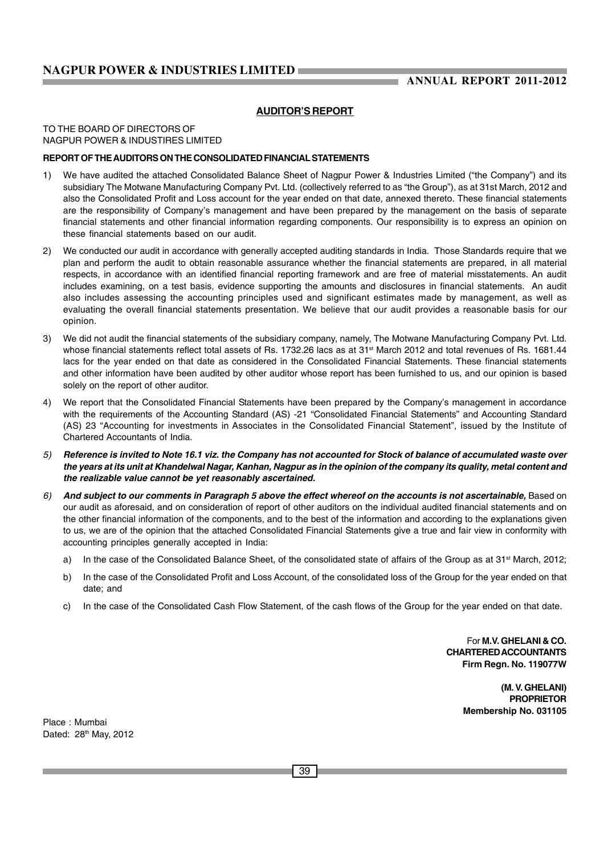### **AUDITOR'S REPORT**

TO THE BOARD OF DIRECTORS OF NAGPUR POWER & INDUSTIRES LIMITED

#### **REPORT OF THE AUDITORS ON THE CONSOLIDATED FINANCIAL STATEMENTS**

- 1) We have audited the attached Consolidated Balance Sheet of Nagpur Power & Industries Limited ("the Company") and its subsidiary The Motwane Manufacturing Company Pvt. Ltd. (collectively referred to as "the Group"), as at 31st March, 2012 and also the Consolidated Profit and Loss account for the year ended on that date, annexed thereto. These financial statements are the responsibility of Company's management and have been prepared by the management on the basis of separate financial statements and other financial information regarding components. Our responsibility is to express an opinion on these financial statements based on our audit.
- 2) We conducted our audit in accordance with generally accepted auditing standards in India. Those Standards require that we plan and perform the audit to obtain reasonable assurance whether the financial statements are prepared, in all material respects, in accordance with an identified financial reporting framework and are free of material misstatements. An audit includes examining, on a test basis, evidence supporting the amounts and disclosures in financial statements. An audit also includes assessing the accounting principles used and significant estimates made by management, as well as evaluating the overall financial statements presentation. We believe that our audit provides a reasonable basis for our opinion.
- 3) We did not audit the financial statements of the subsidiary company, namely, The Motwane Manufacturing Company Pvt. Ltd. whose financial statements reflect total assets of Rs. 1732.26 lacs as at 31<sup>st</sup> March 2012 and total revenues of Rs. 1681.44 lacs for the year ended on that date as considered in the Consolidated Financial Statements. These financial statements and other information have been audited by other auditor whose report has been furnished to us, and our opinion is based solely on the report of other auditor.
- 4) We report that the Consolidated Financial Statements have been prepared by the Company's management in accordance with the requirements of the Accounting Standard (AS) -21 "Consolidated Financial Statements" and Accounting Standard (AS) 23 "Accounting for investments in Associates in the Consolidated Financial Statement", issued by the Institute of Chartered Accountants of India.
- *5) Reference is invited to Note 16.1 viz. the Company has not accounted for Stock of balance of accumulated waste over the years at its unit at Khandelwal Nagar, Kanhan, Nagpur as in the opinion of the company its quality, metal content and the realizable value cannot be yet reasonably ascertained.*
- *6) And subject to our comments in Paragraph 5 above the effect whereof on the accounts is not ascertainable,* Based on our audit as aforesaid, and on consideration of report of other auditors on the individual audited financial statements and on the other financial information of the components, and to the best of the information and according to the explanations given to us, we are of the opinion that the attached Consolidated Financial Statements give a true and fair view in conformity with accounting principles generally accepted in India:
	- a) In the case of the Consolidated Balance Sheet, of the consolidated state of affairs of the Group as at 31<sup>st</sup> March, 2012;
	- b) In the case of the Consolidated Profit and Loss Account, of the consolidated loss of the Group for the year ended on that date; and
	- c) In the case of the Consolidated Cash Flow Statement, of the cash flows of the Group for the year ended on that date.

For **M.V. GHELANI & CO. CHARTERED ACCOUNTANTS Firm Regn. No. 119077W**

> **(M. V. GHELANI) PROPRIETOR Membership No. 031105**

Place : Mumbai Dated: 28<sup>th</sup> May, 2012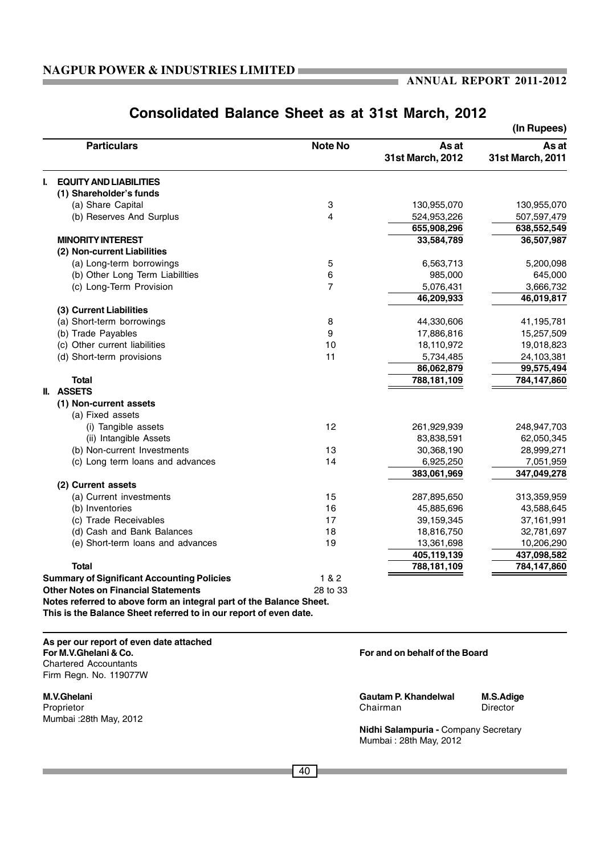|                                                                     |                |                           | (In Rupees)               |
|---------------------------------------------------------------------|----------------|---------------------------|---------------------------|
| <b>Particulars</b>                                                  | <b>Note No</b> | As at<br>31st March, 2012 | As at<br>31st March, 2011 |
| <b>EQUITY AND LIABILITIES</b><br>L                                  |                |                           |                           |
| (1) Shareholder's funds                                             |                |                           |                           |
| (a) Share Capital                                                   | 3              | 130,955,070               | 130,955,070               |
| (b) Reserves And Surplus                                            | $\overline{4}$ | 524,953,226               | 507,597,479               |
|                                                                     |                | 655,908,296               | 638,552,549               |
| <b>MINORITY INTEREST</b>                                            |                | 33,584,789                | 36,507,987                |
| (2) Non-current Liabilities                                         |                |                           |                           |
| (a) Long-term borrowings                                            | 5              | 6,563,713                 | 5,200,098                 |
| (b) Other Long Term Liabilities                                     | 6              | 985,000                   | 645,000                   |
| (c) Long-Term Provision                                             | $\overline{7}$ | 5,076,431                 | 3,666,732                 |
|                                                                     |                | 46,209,933                | 46,019,817                |
| (3) Current Liabilities                                             |                |                           |                           |
| (a) Short-term borrowings                                           | 8              | 44,330,606                | 41,195,781                |
| (b) Trade Payables                                                  | 9              | 17,886,816                | 15,257,509                |
| (c) Other current liabilities                                       | 10             | 18,110,972                | 19,018,823                |
| (d) Short-term provisions                                           | 11             | 5,734,485                 | 24,103,381                |
|                                                                     |                | 86,062,879                | 99,575,494                |
| <b>Total</b>                                                        |                | 788,181,109               | 784,147,860               |
| II. ASSETS                                                          |                |                           |                           |
| (1) Non-current assets                                              |                |                           |                           |
| (a) Fixed assets                                                    |                |                           |                           |
| (i) Tangible assets                                                 | 12             | 261,929,939               | 248,947,703               |
| (ii) Intangible Assets                                              |                | 83,838,591                | 62,050,345                |
| (b) Non-current Investments                                         | 13             | 30,368,190                | 28,999,271                |
| (c) Long term loans and advances                                    | 14             | 6,925,250                 | 7,051,959                 |
|                                                                     |                | 383,061,969               | 347,049,278               |
| (2) Current assets<br>(a) Current investments                       | 15             | 287,895,650               |                           |
| (b) Inventories                                                     | 16             | 45,885,696                | 313,359,959               |
| (c) Trade Receivables                                               | 17             | 39,159,345                | 43,588,645                |
| (d) Cash and Bank Balances                                          | 18             | 18,816,750                | 37,161,991<br>32,781,697  |
| (e) Short-term loans and advances                                   | 19             | 13,361,698                | 10,206,290                |
|                                                                     |                | 405,119,139               | 437,098,582               |
| <b>Total</b>                                                        |                | 788,181,109               | 784,147,860               |
| <b>Summary of Significant Accounting Policies</b>                   | 1 & 2          |                           |                           |
| <b>Other Notes on Financial Statements</b>                          | 28 to 33       |                           |                           |
| Notes referred to above form an integral part of the Balance Sheet. |                |                           |                           |
| This is the Balance Sheet referred to in our report of even date.   |                |                           |                           |

# **Consolidated Balance Sheet as at 31st March, 2012**

**As per our report of even date attached** Chartered Accountants Firm Regn. No. 119077W

Proprietor Chairman Director Mumbai :28th May, 2012

### For and on behalf of the Board

**M.V.Ghelani Gautam P. Khandelwal M.S.Adige**

**Nidhi Salampuria -** Company Secretary Mumbai : 28th May, 2012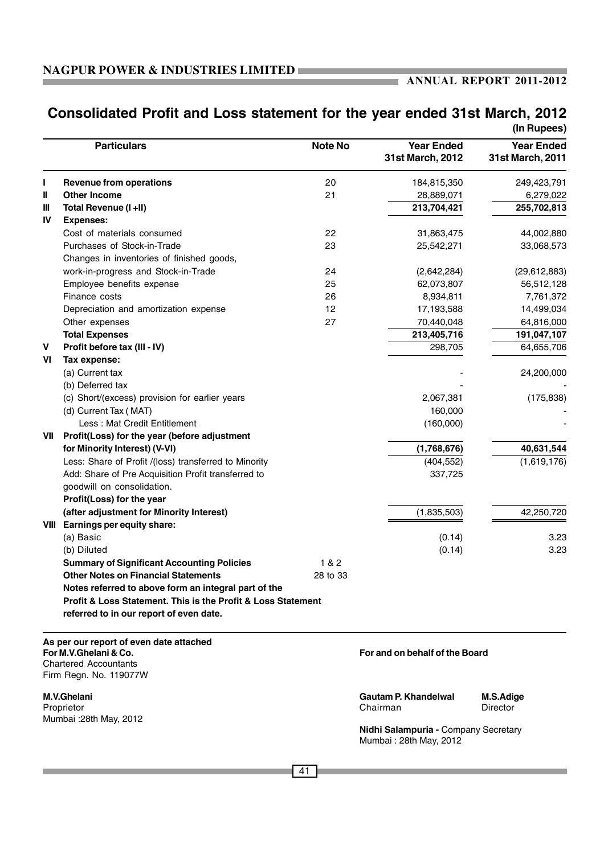m.

# **Consolidated Profit and Loss statement for the year ended 31st March, 2012**

|              |                                                                                                  |                |                                                                | (In Rupees)                           |
|--------------|--------------------------------------------------------------------------------------------------|----------------|----------------------------------------------------------------|---------------------------------------|
|              | <b>Particulars</b>                                                                               | <b>Note No</b> | <b>Year Ended</b><br>31st March, 2012                          | <b>Year Ended</b><br>31st March, 2011 |
| Ш            | <b>Revenue from operations</b>                                                                   | 20             | 184,815,350                                                    | 249,423,791                           |
| Ш            | <b>Other Income</b>                                                                              | 21             | 28,889,071                                                     | 6,279,022                             |
| Ш            | Total Revenue (I +II)                                                                            |                | 213,704,421                                                    | 255,702,813                           |
| IV           | <b>Expenses:</b>                                                                                 |                |                                                                |                                       |
|              | Cost of materials consumed                                                                       | 22             | 31,863,475                                                     | 44,002,880                            |
|              | Purchases of Stock-in-Trade                                                                      | 23             | 25,542,271                                                     | 33,068,573                            |
|              | Changes in inventories of finished goods,                                                        |                |                                                                |                                       |
|              | work-in-progress and Stock-in-Trade                                                              | 24             | (2,642,284)                                                    | (29,612,883)                          |
|              | Employee benefits expense                                                                        | 25             | 62,073,807                                                     | 56,512,128                            |
|              | Finance costs                                                                                    | 26             | 8,934,811                                                      | 7,761,372                             |
|              | Depreciation and amortization expense                                                            | 12             | 17,193,588                                                     | 14,499,034                            |
|              | Other expenses                                                                                   | 27             | 70,440,048                                                     | 64,816,000                            |
|              | <b>Total Expenses</b>                                                                            |                | 213,405,716                                                    | 191,047,107                           |
| $\mathbf{V}$ | Profit before tax (III - IV)                                                                     |                | 298,705                                                        | 64,655,706                            |
| VI           | Tax expense:                                                                                     |                |                                                                |                                       |
|              | (a) Current tax                                                                                  |                |                                                                | 24,200,000                            |
|              | (b) Deferred tax                                                                                 |                |                                                                |                                       |
|              | (c) Short/(excess) provision for earlier years                                                   |                | 2,067,381                                                      | (175, 838)                            |
|              | (d) Current Tax (MAT)                                                                            |                | 160,000                                                        |                                       |
|              | Less: Mat Credit Entitlement                                                                     |                | (160,000)                                                      |                                       |
| VII          | Profit(Loss) for the year (before adjustment                                                     |                |                                                                |                                       |
|              | for Minority Interest) (V-VI)                                                                    |                | (1,768,676)                                                    | 40,631,544                            |
|              | Less: Share of Profit /(loss) transferred to Minority                                            |                | (404, 552)                                                     | (1,619,176)                           |
|              | Add: Share of Pre Acquisition Profit transferred to                                              |                | 337,725                                                        |                                       |
|              | goodwill on consolidation.                                                                       |                |                                                                |                                       |
|              | Profit(Loss) for the year                                                                        |                |                                                                |                                       |
|              | (after adjustment for Minority Interest)                                                         |                | (1,835,503)                                                    | 42,250,720                            |
|              | VIII Earnings per equity share:                                                                  |                |                                                                |                                       |
|              | (a) Basic                                                                                        |                | (0.14)                                                         | 3.23                                  |
|              | (b) Diluted                                                                                      |                | (0.14)                                                         | 3.23                                  |
|              | <b>Summary of Significant Accounting Policies</b>                                                | 1&82           |                                                                |                                       |
|              | <b>Other Notes on Financial Statements</b>                                                       | 28 to 33       |                                                                |                                       |
|              | Notes referred to above form an integral part of the                                             |                |                                                                |                                       |
|              | Profit & Loss Statement. This is the Profit & Loss Statement                                     |                |                                                                |                                       |
|              | referred to in our report of even date.                                                          |                |                                                                |                                       |
|              | As per our report of even date attached<br>For M.V.Ghelani & Co.<br><b>Chartered Accountants</b> |                | For and on behalf of the Board                                 |                                       |
|              | Firm Regn. No. 119077W                                                                           |                |                                                                |                                       |
|              | <b>M.V.Ghelani</b>                                                                               |                | <b>Gautam P. Khandelwal</b>                                    | M.S.Adige                             |
|              | Proprietor                                                                                       |                | Chairman                                                       | <b>Director</b>                       |
|              | Mumbai : 28th May, 2012                                                                          |                |                                                                |                                       |
|              |                                                                                                  |                | Nidhi Salampuria - Company Secretary<br>Mumbai: 28th May, 2012 |                                       |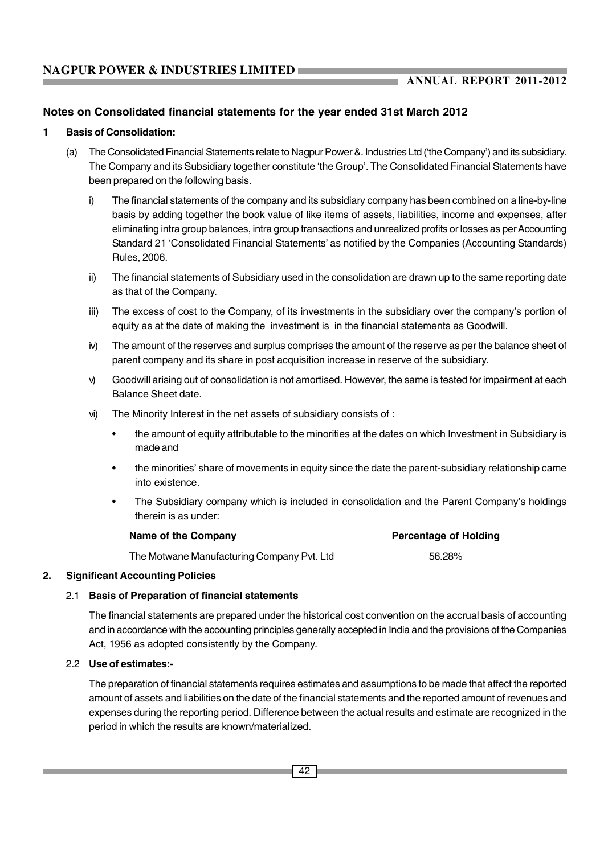### **Notes on Consolidated financial statements for the year ended 31st March 2012**

### **1 Basis of Consolidation:**

- (a) The Consolidated Financial Statements relate to Nagpur Power &. Industries Ltd ('the Company') and its subsidiary. The Company and its Subsidiary together constitute 'the Group'. The Consolidated Financial Statements have been prepared on the following basis.
	- i) The financial statements of the company and its subsidiary company has been combined on a line-by-line basis by adding together the book value of like items of assets, liabilities, income and expenses, after eliminating intra group balances, intra group transactions and unrealized profits or losses as per Accounting Standard 21 'Consolidated Financial Statements' as notified by the Companies (Accounting Standards) Rules, 2006.
	- ii) The financial statements of Subsidiary used in the consolidation are drawn up to the same reporting date as that of the Company.
	- iii) The excess of cost to the Company, of its investments in the subsidiary over the company's portion of equity as at the date of making the investment is in the financial statements as Goodwill.
	- iv) The amount of the reserves and surplus comprises the amount of the reserve as per the balance sheet of parent company and its share in post acquisition increase in reserve of the subsidiary.
	- v) Goodwill arising out of consolidation is not amortised. However, the same is tested for impairment at each Balance Sheet date.
	- vi) The Minority Interest in the net assets of subsidiary consists of :
		- the amount of equity attributable to the minorities at the dates on which Investment in Subsidiary is made and
		- the minorities' share of movements in equity since the date the parent-subsidiary relationship came into existence.
		- The Subsidiary company which is included in consolidation and the Parent Company's holdings therein is as under:

| <b>Percentage of Holding</b> |
|------------------------------|
| 56.28%                       |
|                              |

### **2. Significant Accounting Policies**

### 2.1 **Basis of Preparation of financial statements**

The financial statements are prepared under the historical cost convention on the accrual basis of accounting and in accordance with the accounting principles generally accepted in India and the provisions of the Companies Act, 1956 as adopted consistently by the Company.

### 2.2 **Use of estimates:-**

The preparation of financial statements requires estimates and assumptions to be made that affect the reported amount of assets and liabilities on the date of the financial statements and the reported amount of revenues and expenses during the reporting period. Difference between the actual results and estimate are recognized in the period in which the results are known/materialized.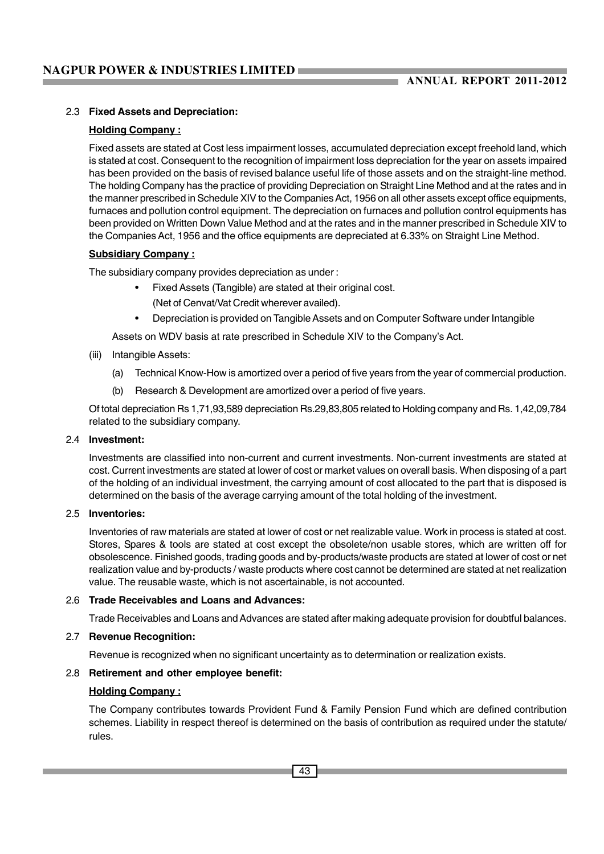### 2.3 **Fixed Assets and Depreciation:**

### **Holding Company :**

Fixed assets are stated at Cost less impairment losses, accumulated depreciation except freehold land, which is stated at cost. Consequent to the recognition of impairment loss depreciation for the year on assets impaired has been provided on the basis of revised balance useful life of those assets and on the straight-line method. The holding Company has the practice of providing Depreciation on Straight Line Method and at the rates and in the manner prescribed in Schedule XIV to the Companies Act, 1956 on all other assets except office equipments, furnaces and pollution control equipment. The depreciation on furnaces and pollution control equipments has been provided on Written Down Value Method and at the rates and in the manner prescribed in Schedule XIV to the Companies Act, 1956 and the office equipments are depreciated at 6.33% on Straight Line Method.

### **Subsidiary Company :**

The subsidiary company provides depreciation as under :

- Fixed Assets (Tangible) are stated at their original cost.
	- (Net of Cenvat/Vat Credit wherever availed).
- Depreciation is provided on Tangible Assets and on Computer Software under Intangible

Assets on WDV basis at rate prescribed in Schedule XIV to the Company's Act.

- (iii) Intangible Assets:
	- (a) Technical Know-How is amortized over a period of five years from the year of commercial production.
	- (b) Research & Development are amortized over a period of five years.

Of total depreciation Rs 1,71,93,589 depreciation Rs.29,83,805 related to Holding company and Rs. 1,42,09,784 related to the subsidiary company.

### 2.4 **Investment:**

Investments are classified into non-current and current investments. Non-current investments are stated at cost. Current investments are stated at lower of cost or market values on overall basis. When disposing of a part of the holding of an individual investment, the carrying amount of cost allocated to the part that is disposed is determined on the basis of the average carrying amount of the total holding of the investment.

#### 2.5 **Inventories:**

Inventories of raw materials are stated at lower of cost or net realizable value. Work in process is stated at cost. Stores, Spares & tools are stated at cost except the obsolete/non usable stores, which are written off for obsolescence. Finished goods, trading goods and by-products/waste products are stated at lower of cost or net realization value and by-products / waste products where cost cannot be determined are stated at net realization value. The reusable waste, which is not ascertainable, is not accounted.

### 2.6 **Trade Receivables and Loans and Advances:**

Trade Receivables and Loans and Advances are stated after making adequate provision for doubtful balances.

### 2.7 **Revenue Recognition:**

Revenue is recognized when no significant uncertainty as to determination or realization exists.

### 2.8 **Retirement and other employee benefit:**

### **Holding Company :**

The Company contributes towards Provident Fund & Family Pension Fund which are defined contribution schemes. Liability in respect thereof is determined on the basis of contribution as required under the statute/ rules.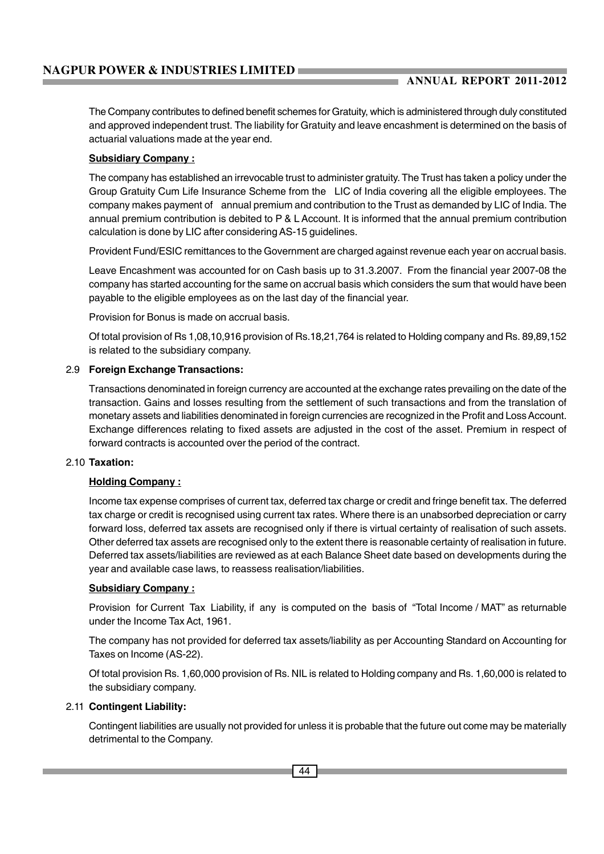The Company contributes to defined benefit schemes for Gratuity, which is administered through duly constituted and approved independent trust. The liability for Gratuity and leave encashment is determined on the basis of actuarial valuations made at the year end.

### **Subsidiary Company :**

The company has established an irrevocable trust to administer gratuity. The Trust has taken a policy under the Group Gratuity Cum Life Insurance Scheme from the LIC of India covering all the eligible employees. The company makes payment of annual premium and contribution to the Trust as demanded by LIC of India. The annual premium contribution is debited to P & L Account. It is informed that the annual premium contribution calculation is done by LIC after considering AS-15 guidelines.

Provident Fund/ESIC remittances to the Government are charged against revenue each year on accrual basis.

Leave Encashment was accounted for on Cash basis up to 31.3.2007. From the financial year 2007-08 the company has started accounting for the same on accrual basis which considers the sum that would have been payable to the eligible employees as on the last day of the financial year.

Provision for Bonus is made on accrual basis.

Of total provision of Rs 1,08,10,916 provision of Rs.18,21,764 is related to Holding company and Rs. 89,89,152 is related to the subsidiary company.

### 2.9 **Foreign Exchange Transactions:**

Transactions denominated in foreign currency are accounted at the exchange rates prevailing on the date of the transaction. Gains and losses resulting from the settlement of such transactions and from the translation of monetary assets and liabilities denominated in foreign currencies are recognized in the Profit and Loss Account. Exchange differences relating to fixed assets are adjusted in the cost of the asset. Premium in respect of forward contracts is accounted over the period of the contract.

### 2.10 **Taxation:**

### **Holding Company :**

Income tax expense comprises of current tax, deferred tax charge or credit and fringe benefit tax. The deferred tax charge or credit is recognised using current tax rates. Where there is an unabsorbed depreciation or carry forward loss, deferred tax assets are recognised only if there is virtual certainty of realisation of such assets. Other deferred tax assets are recognised only to the extent there is reasonable certainty of realisation in future. Deferred tax assets/liabilities are reviewed as at each Balance Sheet date based on developments during the year and available case laws, to reassess realisation/liabilities.

### **Subsidiary Company :**

Provision for Current Tax Liability, if any is computed on the basis of "Total Income / MAT" as returnable under the Income Tax Act, 1961.

The company has not provided for deferred tax assets/liability as per Accounting Standard on Accounting for Taxes on Income (AS-22).

Of total provision Rs. 1,60,000 provision of Rs. NIL is related to Holding company and Rs. 1,60,000 is related to the subsidiary company.

### 2.11 **Contingent Liability:**

Contingent liabilities are usually not provided for unless it is probable that the future out come may be materially detrimental to the Company.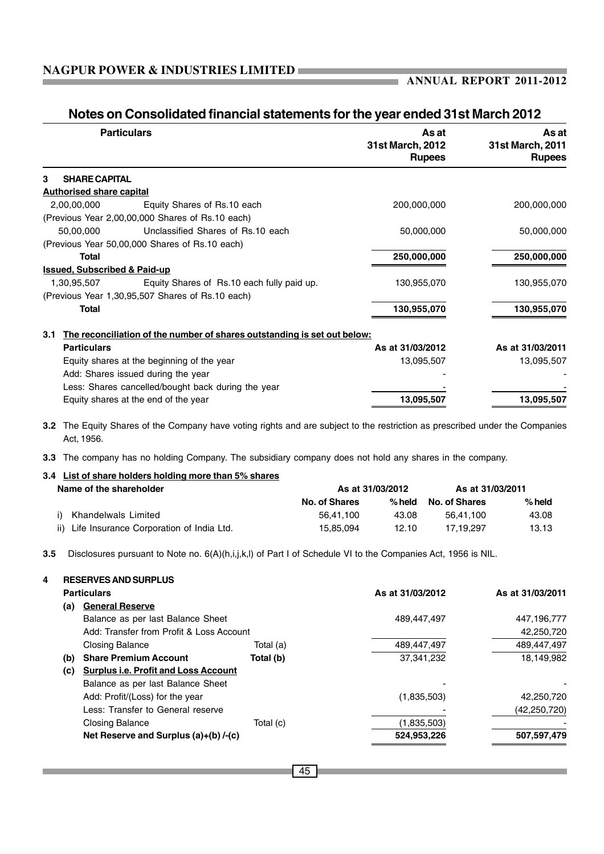| <b>Particulars</b>                                                              | As at<br>31st March, 2012<br><b>Rupees</b> | As at<br>31st March, 2011<br><b>Rupees</b> |
|---------------------------------------------------------------------------------|--------------------------------------------|--------------------------------------------|
| <b>SHARE CAPITAL</b><br>3                                                       |                                            |                                            |
| <b>Authorised share capital</b>                                                 |                                            |                                            |
| 2,00,00,000<br>Equity Shares of Rs.10 each                                      | 200,000,000                                | 200,000,000                                |
| (Previous Year 2,00,00,000 Shares of Rs.10 each)                                |                                            |                                            |
| 50,00,000<br>Unclassified Shares of Rs.10 each                                  | 50,000,000                                 | 50,000,000                                 |
| (Previous Year 50,00,000 Shares of Rs.10 each)                                  |                                            |                                            |
| <b>Total</b>                                                                    | 250,000,000                                | 250,000,000                                |
| <b>Issued, Subscribed &amp; Paid-up</b>                                         |                                            |                                            |
| 1,30,95,507<br>Equity Shares of Rs.10 each fully paid up.                       | 130,955,070                                | 130,955,070                                |
| (Previous Year 1,30,95,507 Shares of Rs.10 each)                                |                                            |                                            |
| <b>Total</b>                                                                    | 130,955,070                                | 130,955,070                                |
| The reconciliation of the number of shares outstanding is set out below:<br>3.1 |                                            |                                            |
| <b>Particulars</b>                                                              | As at 31/03/2012                           | As at 31/03/2011                           |
| Equity shares at the beginning of the year                                      | 13,095,507                                 | 13,095,507                                 |
| Add: Shares issued during the year                                              |                                            |                                            |
| Less: Shares cancelled/bought back during the year                              |                                            |                                            |
| Equity shares at the end of the year                                            | 13,095,507                                 | 13,095,507                                 |

### **Notes on Consolidated financial statements for the year ended 31st March 2012**

**Contract Contract** 

**3.2** The Equity Shares of the Company have voting rights and are subject to the restriction as prescribed under the Companies Act, 1956.

**3.3** The company has no holding Company. The subsidiary company does not hold any shares in the company.

| 3.4 List of share holders holding more than 5% shares<br>Name of the shareholder | As at 31/03/2012 |        | As at 31/03/2011 |        |
|----------------------------------------------------------------------------------|------------------|--------|------------------|--------|
|                                                                                  | No. of Shares    | % held | No. of Shares    | % held |
| Khandelwals Limited                                                              | 56.41.100        | 43.08  | 56.41.100        | 43.08  |
| Life Insurance Corporation of India Ltd.<br>ii)                                  | 15.85.094        | 12.10  | 17.19.297        | 13.13  |

**3.5** Disclosures pursuant to Note no. 6(A)(h,i,j,k,l) of Part I of Schedule VI to the Companies Act, 1956 is NIL.

|     | <b>Particulars</b>                          |           | As at 31/03/2012 | As at 31/03/2011 |
|-----|---------------------------------------------|-----------|------------------|------------------|
| (a) | <b>General Reserve</b>                      |           |                  |                  |
|     | Balance as per last Balance Sheet           |           | 489,447,497      | 447,196,777      |
|     | Add: Transfer from Profit & Loss Account    |           |                  | 42,250,720       |
|     | <b>Closing Balance</b>                      | Total (a) | 489,447,497      | 489,447,497      |
| (b) | <b>Share Premium Account</b>                | Total (b) | 37,341,232       | 18,149,982       |
| (c) | <b>Surplus i.e. Profit and Loss Account</b> |           |                  |                  |
|     | Balance as per last Balance Sheet           |           |                  |                  |
|     | Add: Profit/(Loss) for the year             |           | (1,835,503)      | 42,250,720       |
|     | Less: Transfer to General reserve           |           |                  | (42, 250, 720)   |
|     | <b>Closing Balance</b>                      | Total (c) | (1,835,503)      |                  |
|     | Net Reserve and Surplus (a)+(b) /-(c)       |           | 524,953,226      | 507,597,479      |
|     |                                             |           |                  |                  |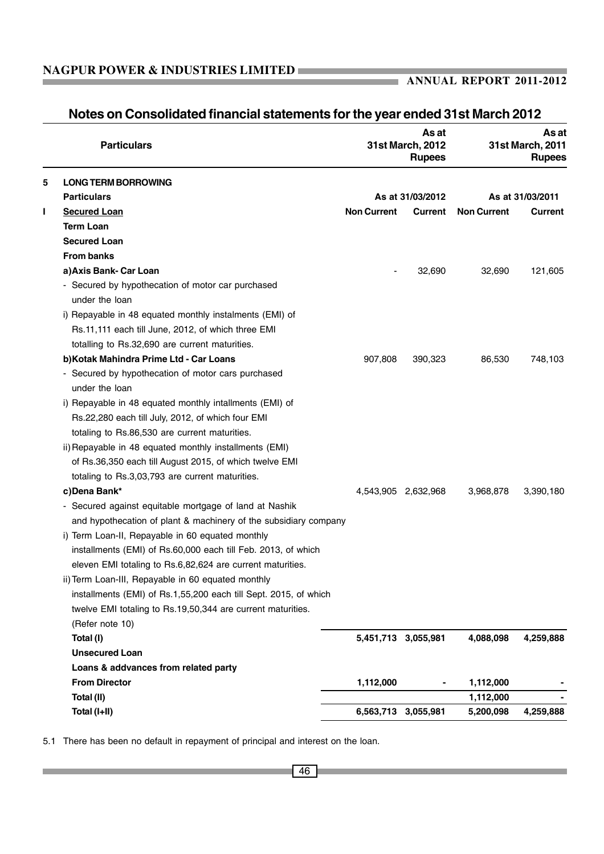|   | <b>Particulars</b>                                                  |                    | As at<br>31st March, 2012<br><b>Rupees</b> |                    | As at<br>31st March, 2011<br><b>Rupees</b> |
|---|---------------------------------------------------------------------|--------------------|--------------------------------------------|--------------------|--------------------------------------------|
| 5 | <b>LONG TERM BORROWING</b>                                          |                    |                                            |                    |                                            |
|   | <b>Particulars</b>                                                  |                    | As at 31/03/2012                           |                    | As at 31/03/2011                           |
| L | <b>Secured Loan</b>                                                 | <b>Non Current</b> | Current                                    | <b>Non Current</b> | <b>Current</b>                             |
|   | <b>Term Loan</b>                                                    |                    |                                            |                    |                                            |
|   | <b>Secured Loan</b>                                                 |                    |                                            |                    |                                            |
|   | <b>From banks</b>                                                   |                    |                                            |                    |                                            |
|   | a) Axis Bank- Car Loan                                              |                    | 32,690                                     | 32,690             | 121,605                                    |
|   | - Secured by hypothecation of motor car purchased<br>under the loan |                    |                                            |                    |                                            |
|   | i) Repayable in 48 equated monthly instalments (EMI) of             |                    |                                            |                    |                                            |
|   | Rs.11,111 each till June, 2012, of which three EMI                  |                    |                                            |                    |                                            |
|   | totalling to Rs.32,690 are current maturities.                      |                    |                                            |                    |                                            |
|   | b) Kotak Mahindra Prime Ltd - Car Loans                             | 907,808            | 390,323                                    | 86,530             | 748,103                                    |
|   | - Secured by hypothecation of motor cars purchased                  |                    |                                            |                    |                                            |
|   | under the loan                                                      |                    |                                            |                    |                                            |
|   | i) Repayable in 48 equated monthly intallments (EMI) of             |                    |                                            |                    |                                            |
|   | Rs.22,280 each till July, 2012, of which four EMI                   |                    |                                            |                    |                                            |
|   | totaling to Rs.86,530 are current maturities.                       |                    |                                            |                    |                                            |
|   | ii) Repayable in 48 equated monthly installments (EMI)              |                    |                                            |                    |                                            |
|   | of Rs.36,350 each till August 2015, of which twelve EMI             |                    |                                            |                    |                                            |
|   | totaling to Rs.3,03,793 are current maturities.                     |                    |                                            |                    |                                            |
|   | c)Dena Bank*                                                        |                    | 4,543,905 2,632,968                        | 3,968,878          | 3,390,180                                  |
|   | - Secured against equitable mortgage of land at Nashik              |                    |                                            |                    |                                            |
|   | and hypothecation of plant & machinery of the subsidiary company    |                    |                                            |                    |                                            |
|   | i) Term Loan-II, Repayable in 60 equated monthly                    |                    |                                            |                    |                                            |
|   | installments (EMI) of Rs.60,000 each till Feb. 2013, of which       |                    |                                            |                    |                                            |
|   | eleven EMI totaling to Rs.6,82,624 are current maturities.          |                    |                                            |                    |                                            |
|   | ii) Term Loan-III, Repayable in 60 equated monthly                  |                    |                                            |                    |                                            |
|   | installments (EMI) of Rs.1,55,200 each till Sept. 2015, of which    |                    |                                            |                    |                                            |
|   | twelve EMI totaling to Rs.19,50,344 are current maturities.         |                    |                                            |                    |                                            |
|   | (Refer note 10)                                                     |                    |                                            |                    |                                            |
|   | Total (I)                                                           |                    | 5,451,713 3,055,981                        | 4,088,098          | 4,259,888                                  |
|   | <b>Unsecured Loan</b>                                               |                    |                                            |                    |                                            |
|   | Loans & addvances from related party                                |                    |                                            |                    |                                            |
|   | <b>From Director</b>                                                | 1,112,000          |                                            | 1,112,000          |                                            |
|   | Total (II)                                                          |                    |                                            | 1,112,000          |                                            |
|   | Total (I+II)                                                        |                    | 6,563,713 3,055,981                        | 5,200,098          | 4,259,888                                  |

### **Notes on Consolidated financial statements for the year ended 31st March 2012**

m.

5.1 There has been no default in repayment of principal and interest on the loan.

×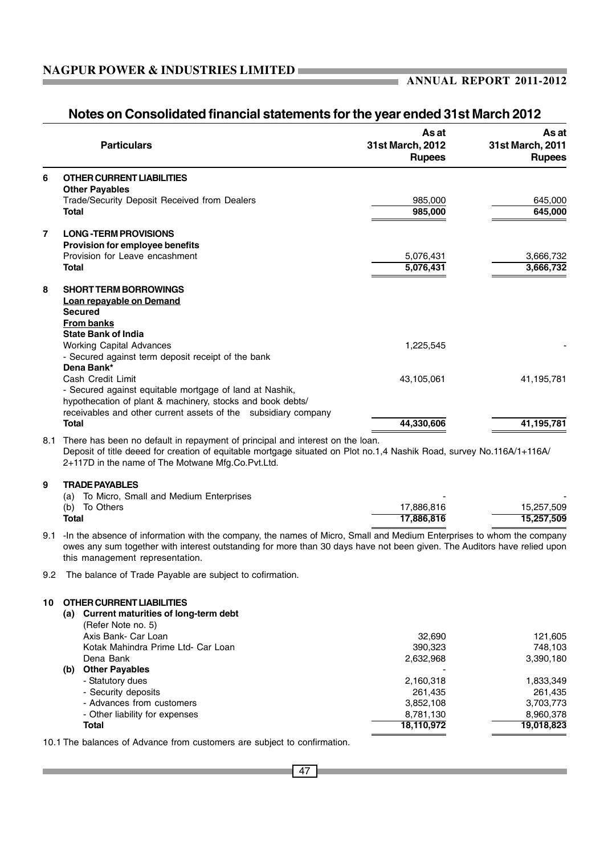a.

|     | <b>Particulars</b>                                                                                                                                                                                                                                                                   | As at<br>31st March, 2012<br><b>Rupees</b> | As at<br>31st March, 2011<br><b>Rupees</b> |
|-----|--------------------------------------------------------------------------------------------------------------------------------------------------------------------------------------------------------------------------------------------------------------------------------------|--------------------------------------------|--------------------------------------------|
| 6   | <b>OTHER CURRENT LIABILITIES</b>                                                                                                                                                                                                                                                     |                                            |                                            |
|     | <b>Other Payables</b><br>Trade/Security Deposit Received from Dealers                                                                                                                                                                                                                | 985,000                                    | 645,000                                    |
|     | Total                                                                                                                                                                                                                                                                                | 985,000                                    | 645,000                                    |
| 7   | <b>LONG-TERM PROVISIONS</b>                                                                                                                                                                                                                                                          |                                            |                                            |
|     | Provision for employee benefits                                                                                                                                                                                                                                                      |                                            |                                            |
|     | Provision for Leave encashment                                                                                                                                                                                                                                                       | 5,076,431                                  | 3,666,732                                  |
|     | Total                                                                                                                                                                                                                                                                                | 5,076,431                                  | 3,666,732                                  |
| 8   | <b>SHORT TERM BORROWINGS</b>                                                                                                                                                                                                                                                         |                                            |                                            |
|     | Loan repayable on Demand                                                                                                                                                                                                                                                             |                                            |                                            |
|     | <b>Secured</b>                                                                                                                                                                                                                                                                       |                                            |                                            |
|     | <b>From banks</b>                                                                                                                                                                                                                                                                    |                                            |                                            |
|     | <b>State Bank of India</b><br><b>Working Capital Advances</b>                                                                                                                                                                                                                        | 1,225,545                                  |                                            |
|     | - Secured against term deposit receipt of the bank                                                                                                                                                                                                                                   |                                            |                                            |
|     | Dena Bank*                                                                                                                                                                                                                                                                           |                                            |                                            |
|     | Cash Credit Limit                                                                                                                                                                                                                                                                    | 43,105,061                                 | 41,195,781                                 |
|     | - Secured against equitable mortgage of land at Nashik,                                                                                                                                                                                                                              |                                            |                                            |
|     | hypothecation of plant & machinery, stocks and book debts/                                                                                                                                                                                                                           |                                            |                                            |
|     | receivables and other current assets of the subsidiary company                                                                                                                                                                                                                       |                                            |                                            |
|     | <b>Total</b>                                                                                                                                                                                                                                                                         | 44,330,606                                 | 41,195,781                                 |
|     | 8.1 There has been no default in repayment of principal and interest on the loan.<br>Deposit of title deeed for creation of equitable mortgage situated on Plot no.1,4 Nashik Road, survey No.116A/1+116A/<br>2+117D in the name of The Motwane Mfg.Co.Pvt.Ltd.                      |                                            |                                            |
| 9   | <b>TRADE PAYABLES</b>                                                                                                                                                                                                                                                                |                                            |                                            |
|     | To Micro, Small and Medium Enterprises<br>(a)                                                                                                                                                                                                                                        |                                            |                                            |
|     | (b) To Others                                                                                                                                                                                                                                                                        | 17,886,816                                 | 15,257,509                                 |
|     | <b>Total</b>                                                                                                                                                                                                                                                                         | 17,886,816                                 | 15,257,509                                 |
| 9.1 | -In the absence of information with the company, the names of Micro, Small and Medium Enterprises to whom the company<br>owes any sum together with interest outstanding for more than 30 days have not been given. The Auditors have relied upon<br>this management representation. |                                            |                                            |
| 9.2 | The balance of Trade Payable are subject to cofirmation.                                                                                                                                                                                                                             |                                            |                                            |
|     |                                                                                                                                                                                                                                                                                      |                                            |                                            |
| 10  | OTHER CURRENT LIABILITIES                                                                                                                                                                                                                                                            |                                            |                                            |
|     | (a) Current maturities of long-term debt                                                                                                                                                                                                                                             |                                            |                                            |
|     | (Refer Note no. 5)<br>Axis Bank- Car Loan                                                                                                                                                                                                                                            | 32,690                                     | 121,605                                    |
|     | Kotak Mahindra Prime Ltd- Car Loan                                                                                                                                                                                                                                                   | 390,323                                    | 748,103                                    |
|     | Dena Bank                                                                                                                                                                                                                                                                            | 2,632,968                                  | 3,390,180                                  |
|     | (b) Other Payables                                                                                                                                                                                                                                                                   |                                            |                                            |
|     | - Statutory dues                                                                                                                                                                                                                                                                     | 2,160,318                                  | 1,833,349                                  |
|     | - Security deposits                                                                                                                                                                                                                                                                  | 261,435                                    | 261,435                                    |

### **Notes on Consolidated financial statements for the year ended 31st March 2012**

10.1 The balances of Advance from customers are subject to confirmation.

- Advances from customers and the state of the state of the state  $3,852,108$  3,703,773 - Other liability for expenses  $\frac{8,781,130}{18,110,972}$   $\frac{8,960,378}{19,018,823}$ **Total 18,110,972 19,018,823**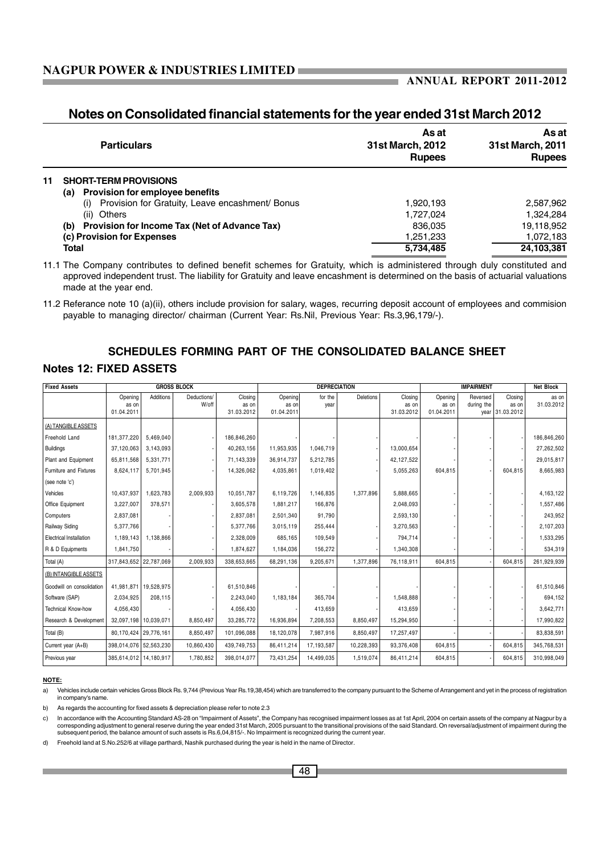### **Notes on Consolidated financial statements for the year ended 31st March 2012**

|    | <b>Particulars</b>                                                                                      | As at<br><b>31st March, 2012</b><br><b>Rupees</b> | As at<br>31st March, 2011<br><b>Rupees</b> |
|----|---------------------------------------------------------------------------------------------------------|---------------------------------------------------|--------------------------------------------|
| 11 | <b>SHORT-TERM PROVISIONS</b>                                                                            |                                                   |                                            |
|    | <b>Provision for employee benefits</b><br>(a)<br>Provision for Gratuity, Leave encashment/ Bonus<br>(i) | 1,920,193                                         | 2,587,962                                  |
|    | (ii) Others                                                                                             | 1.727.024                                         | 1.324.284                                  |
|    | (b) Provision for Income Tax (Net of Advance Tax)                                                       | 836.035                                           | 19,118,952                                 |
|    | (c) Provision for Expenses                                                                              | 1,251,233                                         | 1,072,183                                  |
|    | <b>Total</b>                                                                                            | 5,734,485                                         | 24,103,381                                 |

11.1 The Company contributes to defined benefit schemes for Gratuity, which is administered through duly constituted and approved independent trust. The liability for Gratuity and leave encashment is determined on the basis of actuarial valuations made at the year end.

# **SCHEDULES FORMING PART OF THE CONSOLIDATED BALANCE SHEET**

### **Notes 12: FIXED ASSETS**

| <b>Fixed Assets</b>       |                                | <b>GROSS BLOCK</b>    |                      |                                |                                | <b>DEPRECIATION</b> |            |                                |                                | <b>IMPAIRMENT</b>      |                                     | <b>Net Block</b>    |
|---------------------------|--------------------------------|-----------------------|----------------------|--------------------------------|--------------------------------|---------------------|------------|--------------------------------|--------------------------------|------------------------|-------------------------------------|---------------------|
|                           | Opening<br>as on<br>01.04.2011 | Additions             | Deductions/<br>W/off | Closing<br>as on<br>31.03.2012 | Opening<br>as on<br>01.04.2011 | for the<br>year     | Deletions  | Closing<br>as on<br>31.03.2012 | Opening<br>as on<br>01.04.2011 | Reversed<br>during the | Closing<br>as on<br>year 31.03.2012 | as on<br>31.03.2012 |
| (A) TANGIBLE ASSETS       |                                |                       |                      |                                |                                |                     |            |                                |                                |                        |                                     |                     |
| Freehold Land             | 181,377,220                    | 5.469.040             |                      | 186.846.260                    |                                |                     |            |                                |                                |                        |                                     | 186,846,260         |
| Buildings                 | 37,120,063                     | 3,143,093             |                      | 40,263,156                     | 11,953,935                     | 1,046,719           |            | 13,000,654                     |                                |                        |                                     | 27,262,502          |
| Plant and Equipment       | 65,811,568                     | 5,331,771             |                      | 71,143,339                     | 36,914,737                     | 5,212,785           |            | 42,127,522                     |                                |                        |                                     | 29,015,817          |
| Furniture and Fixtures    | 8,624,117                      | 5,701,945             |                      | 14,326,062                     | 4,035,861                      | 1,019,402           |            | 5,055,263                      | 604,815                        |                        | 604,815                             | 8,665,983           |
| (see note 'c')            |                                |                       |                      |                                |                                |                     |            |                                |                                |                        |                                     |                     |
| Vehicles                  | 10.437.937                     | 1.623.783             | 2,009,933            | 10.051.787                     | 6,119,726                      | 1,146,835           | 1.377.896  | 5,888,665                      |                                |                        |                                     | 4,163,122           |
| Office Equipment          | 3,227,007                      | 378,571               |                      | 3,605,578                      | 1,881,217                      | 166,876             |            | 2,048,093                      |                                |                        |                                     | 1,557,486           |
| Computers                 | 2,837,081                      |                       |                      | 2,837,081                      | 2,501,340                      | 91,790              |            | 2,593,130                      |                                |                        |                                     | 243,952             |
| Railway Siding            | 5,377,766                      |                       |                      | 5,377,766                      | 3,015,119                      | 255,444             |            | 3,270,563                      |                                |                        |                                     | 2,107,203           |
| Electrical Installation   | 1,189,143                      | 1,138,866             |                      | 2,328,009                      | 685,165                        | 109,549             |            | 794,714                        |                                |                        |                                     | 1,533,295           |
| R & D Equipments          | 1,841,750                      |                       |                      | 1,874,627                      | 1,184,036                      | 156,272             |            | 1,340,308                      |                                |                        |                                     | 534,319             |
| Total (A)                 | 317,843,652 22,787,069         |                       | 2,009,933            | 338,653,665                    | 68,291,136                     | 9,205,671           | 1,377,896  | 76,118,911                     | 604,815                        |                        | 604,815                             | 261,929,939         |
| (B) INTANGIBLE ASSETS     |                                |                       |                      |                                |                                |                     |            |                                |                                |                        |                                     |                     |
| Goodwill on consolidation | 41,981,871   19,528,975        |                       |                      | 61,510,846                     |                                |                     |            |                                |                                |                        |                                     | 61,510,846          |
| Software (SAP)            | 2,034,925                      | 208,115               |                      | 2,243,040                      | 1,183,184                      | 365,704             |            | 1,548,888                      |                                |                        |                                     | 694,152             |
| Technical Know-how        | 4,056,430                      |                       |                      | 4,056,430                      |                                | 413,659             |            | 413,659                        |                                |                        |                                     | 3,642,771           |
| Research & Development    | 32,097,198   10,039,071        |                       | 8,850,497            | 33,285,772                     | 16,936,894                     | 7,208,553           | 8,850,497  | 15,294,950                     |                                |                        |                                     | 17,990,822          |
| Total (B)                 |                                | 80,170,424 29,776,161 | 8,850,497            | 101,096,088                    | 18,120,078                     | 7,987,916           | 8,850,497  | 17,257,497                     |                                |                        |                                     | 83,838,591          |
| Current year (A+B)        | 398,014,076 52,563,230         |                       | 10,860,430           | 439,749,753                    | 86,411,214                     | 17,193,587          | 10,228,393 | 93,376,408                     | 604,815                        |                        | 604,815                             | 345,768,531         |
| Previous year             | 385,614,012   14,180,917       |                       | 1,780,852            | 398,014,077                    | 73,431,254                     | 14,499,035          | 1,519,074  | 86.411.214                     | 604,815                        |                        | 604,815                             | 310,998,049         |

#### **NOTE:**

a) Vehicles include certain vehicles Gross Block Rs. 9,744 (Previous Year Rs.19,38,454) which are transferred to the company pursuant to the Scheme of Arrangement and yet in the process of registration in company's name.

b) As regards the accounting for fixed assets & depreciation please refer to note 2.3

c) In accordance with the Accounting Standard AS-28 on "Impairment of Assets", the Company has recognised impairment losses as at 1st April, 2004 on certain assets of the company at Nagpur by a corresponding adjustment to general reserve during the year ended 31st March, 2005 pursuant to the transitional provisions of the said Standard. On reversal/adjustment of impairment during the<br>subsequent period, the balanc

d) Freehold land at S.No.252/6 at village parthardi, Nashik purchased during the year is held in the name of Director.

<sup>11.2</sup> Referance note 10 (a)(ii), others include provision for salary, wages, recurring deposit account of employees and commision payable to managing director/ chairman (Current Year: Rs.Nil, Previous Year: Rs.3,96,179/-).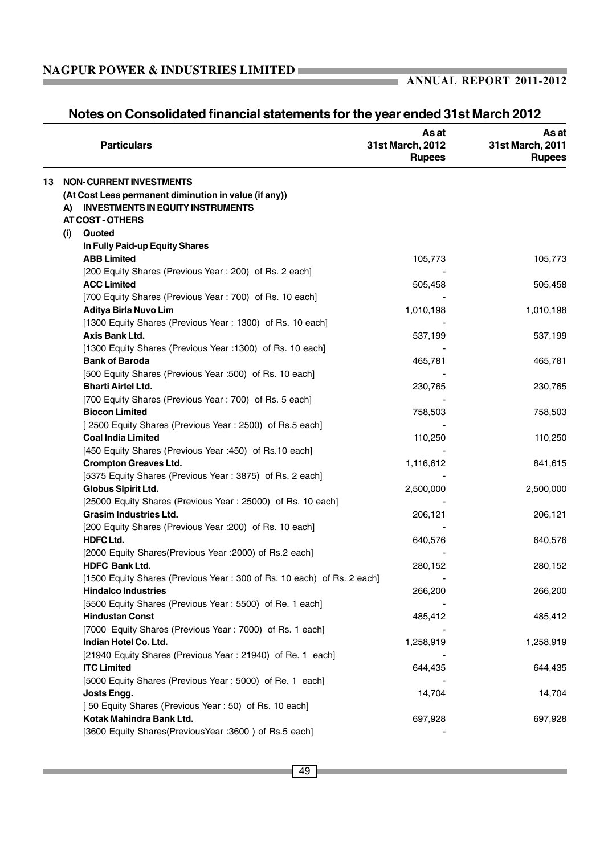### **ANNUAL REPORT 2011-2012**

|    | <b>Particulars</b>                                                              | As at<br>31st March, 2012<br><b>Rupees</b> | As at<br>31st March, 2011<br><b>Rupees</b> |
|----|---------------------------------------------------------------------------------|--------------------------------------------|--------------------------------------------|
| 13 | <b>NON-CURRENT INVESTMENTS</b>                                                  |                                            |                                            |
|    | (At Cost Less permanent diminution in value (if any))                           |                                            |                                            |
|    | <b>INVESTMENTS IN EQUITY INSTRUMENTS</b><br>A)                                  |                                            |                                            |
|    | <b>AT COST - OTHERS</b>                                                         |                                            |                                            |
|    | Quoted<br>(i)                                                                   |                                            |                                            |
|    | In Fully Paid-up Equity Shares                                                  |                                            |                                            |
|    | <b>ABB Limited</b>                                                              | 105,773                                    | 105,773                                    |
|    | [200 Equity Shares (Previous Year: 200) of Rs. 2 each]                          |                                            |                                            |
|    | <b>ACC Limited</b>                                                              | 505,458                                    | 505,458                                    |
|    | [700 Equity Shares (Previous Year: 700) of Rs. 10 each]                         |                                            |                                            |
|    | Aditya Birla Nuvo Lim                                                           | 1,010,198                                  | 1,010,198                                  |
|    | [1300 Equity Shares (Previous Year: 1300) of Rs. 10 each]                       |                                            |                                            |
|    | Axis Bank Ltd.                                                                  | 537,199                                    | 537,199                                    |
|    | [1300 Equity Shares (Previous Year : 1300) of Rs. 10 each]                      |                                            |                                            |
|    | <b>Bank of Baroda</b>                                                           | 465,781                                    | 465,781                                    |
|    | [500 Equity Shares (Previous Year :500) of Rs. 10 each]                         |                                            |                                            |
|    | <b>Bharti Airtel Ltd.</b>                                                       | 230,765                                    | 230,765                                    |
|    | [700 Equity Shares (Previous Year: 700) of Rs. 5 each]                          |                                            |                                            |
|    | <b>Biocon Limited</b>                                                           | 758,503                                    | 758,503                                    |
|    | [2500 Equity Shares (Previous Year: 2500) of Rs.5 each]                         |                                            |                                            |
|    | <b>Coal India Limited</b>                                                       | 110,250                                    | 110,250                                    |
|    | [450 Equity Shares (Previous Year : 450) of Rs.10 each]                         |                                            |                                            |
|    | <b>Crompton Greaves Ltd.</b>                                                    | 1,116,612                                  | 841,615                                    |
|    | [5375 Equity Shares (Previous Year: 3875) of Rs. 2 each]<br>Globus Sipirit Ltd. | 2,500,000                                  | 2,500,000                                  |
|    | [25000 Equity Shares (Previous Year: 25000) of Rs. 10 each]                     |                                            |                                            |
|    | <b>Grasim Industries Ltd.</b>                                                   | 206,121                                    | 206,121                                    |
|    | [200 Equity Shares (Previous Year : 200) of Rs. 10 each]                        |                                            |                                            |
|    | <b>HDFC Ltd.</b>                                                                | 640,576                                    | 640,576                                    |
|    | [2000 Equity Shares(Previous Year : 2000) of Rs.2 each]                         |                                            |                                            |
|    | <b>HDFC Bank Ltd.</b>                                                           | 280,152                                    | 280,152                                    |
|    | [1500 Equity Shares (Previous Year: 300 of Rs. 10 each) of Rs. 2 each]          |                                            |                                            |
|    | <b>Hindalco Industries</b>                                                      | 266,200                                    | 266,200                                    |
|    | [5500 Equity Shares (Previous Year: 5500) of Re. 1 each]                        |                                            |                                            |
|    | <b>Hindustan Const</b>                                                          | 485,412                                    | 485,412                                    |
|    | [7000 Equity Shares (Previous Year: 7000) of Rs. 1 each]                        |                                            |                                            |
|    | Indian Hotel Co. Ltd.                                                           | 1,258,919                                  | 1,258,919                                  |
|    | [21940 Equity Shares (Previous Year: 21940) of Re. 1 each]                      |                                            |                                            |
|    | <b>ITC Limited</b>                                                              | 644,435                                    | 644,435                                    |
|    | [5000 Equity Shares (Previous Year: 5000) of Re. 1 each]                        |                                            |                                            |
|    | Josts Engg.                                                                     | 14,704                                     | 14,704                                     |
|    | [50 Equity Shares (Previous Year: 50) of Rs. 10 each]                           |                                            |                                            |
|    | Kotak Mahindra Bank Ltd.                                                        | 697,928                                    | 697,928                                    |
|    | [3600 Equity Shares(PreviousYear : 3600) of Rs.5 each]                          |                                            |                                            |

### **Notes on Consolidated financial statements for the year ended 31st March 2012**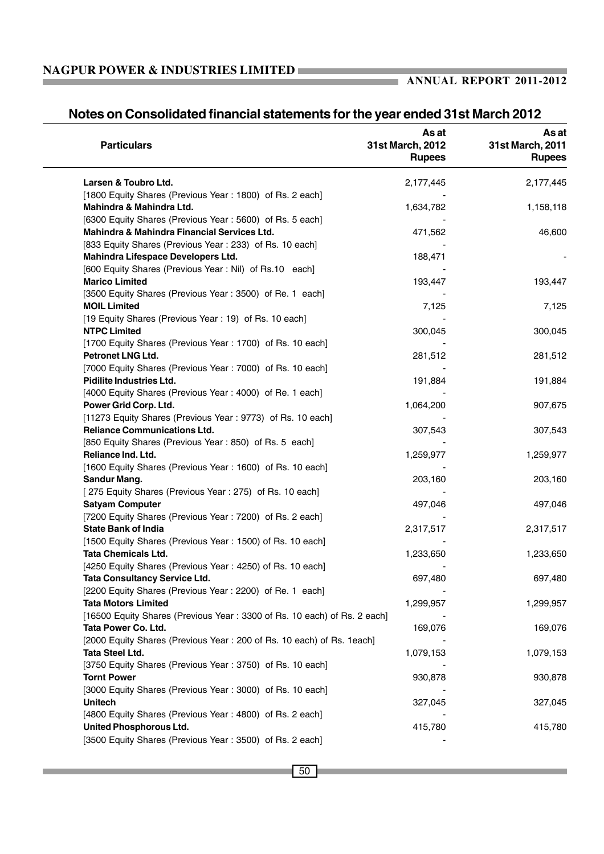### **ANNUAL REPORT 2011-2012**

# **Notes on Consolidated financial statements for the year ended 31st March 2012**

| <b>Particulars</b>                                                       | As at<br>31st March, 2012<br><b>Rupees</b> | As at<br>31st March, 2011<br><b>Rupees</b> |
|--------------------------------------------------------------------------|--------------------------------------------|--------------------------------------------|
| Larsen & Toubro Ltd.                                                     | 2,177,445                                  | 2,177,445                                  |
| [1800 Equity Shares (Previous Year: 1800) of Rs. 2 each]                 |                                            |                                            |
| Mahindra & Mahindra Ltd.                                                 | 1,634,782                                  | 1,158,118                                  |
| [6300 Equity Shares (Previous Year: 5600) of Rs. 5 each]                 |                                            |                                            |
| Mahindra & Mahindra Financial Services Ltd.                              | 471,562                                    | 46,600                                     |
| [833 Equity Shares (Previous Year: 233) of Rs. 10 each]                  |                                            |                                            |
| Mahindra Lifespace Developers Ltd.                                       | 188,471                                    |                                            |
| [600 Equity Shares (Previous Year: Nil) of Rs.10 each]                   |                                            |                                            |
| <b>Marico Limited</b>                                                    | 193,447                                    | 193,447                                    |
| [3500 Equity Shares (Previous Year: 3500) of Re. 1 each]                 |                                            |                                            |
| <b>MOIL Limited</b>                                                      | 7,125                                      | 7,125                                      |
| [19 Equity Shares (Previous Year: 19) of Rs. 10 each]                    |                                            |                                            |
| <b>NTPC Limited</b>                                                      | 300,045                                    | 300,045                                    |
| [1700 Equity Shares (Previous Year: 1700) of Rs. 10 each]                |                                            |                                            |
| Petronet LNG Ltd.                                                        | 281,512                                    | 281,512                                    |
| [7000 Equity Shares (Previous Year: 7000) of Rs. 10 each]                |                                            |                                            |
| <b>Pidilite Industries Ltd.</b>                                          | 191,884                                    | 191,884                                    |
| [4000 Equity Shares (Previous Year: 4000) of Re. 1 each]                 |                                            |                                            |
| Power Grid Corp. Ltd.                                                    | 1,064,200                                  | 907,675                                    |
| [11273 Equity Shares (Previous Year: 9773) of Rs. 10 each]               |                                            |                                            |
| <b>Reliance Communications Ltd.</b>                                      | 307,543                                    | 307,543                                    |
| [850 Equity Shares (Previous Year: 850) of Rs. 5 each]                   |                                            |                                            |
| Reliance Ind. Ltd.                                                       | 1,259,977                                  | 1,259,977                                  |
| [1600 Equity Shares (Previous Year: 1600) of Rs. 10 each]                |                                            |                                            |
| Sandur Mang.                                                             | 203,160                                    | 203,160                                    |
| [275 Equity Shares (Previous Year: 275) of Rs. 10 each]                  |                                            |                                            |
| <b>Satyam Computer</b>                                                   | 497,046                                    | 497,046                                    |
| [7200 Equity Shares (Previous Year: 7200) of Rs. 2 each]                 |                                            |                                            |
| <b>State Bank of India</b>                                               | 2,317,517                                  | 2,317,517                                  |
| [1500 Equity Shares (Previous Year: 1500) of Rs. 10 each]                |                                            |                                            |
| <b>Tata Chemicals Ltd.</b>                                               | 1,233,650                                  | 1,233,650                                  |
| [4250 Equity Shares (Previous Year: 4250) of Rs. 10 each]                |                                            |                                            |
| Tata Consultancy Service Ltd.                                            | 697,480                                    | 697,480                                    |
| [2200 Equity Shares (Previous Year: 2200) of Re. 1 each]                 |                                            |                                            |
| <b>Tata Motors Limited</b>                                               | 1,299,957                                  | 1,299,957                                  |
| [16500 Equity Shares (Previous Year: 3300 of Rs. 10 each) of Rs. 2 each] |                                            |                                            |
| Tata Power Co. Ltd.                                                      | 169,076                                    | 169,076                                    |
| [2000 Equity Shares (Previous Year: 200 of Rs. 10 each) of Rs. 1each]    |                                            |                                            |
| Tata Steel Ltd.                                                          | 1,079,153                                  | 1,079,153                                  |
| [3750 Equity Shares (Previous Year: 3750) of Rs. 10 each]                |                                            |                                            |
| <b>Tornt Power</b>                                                       | 930,878                                    | 930,878                                    |
| [3000 Equity Shares (Previous Year: 3000) of Rs. 10 each]                |                                            |                                            |
| <b>Unitech</b>                                                           | 327,045                                    | 327,045                                    |
| [4800 Equity Shares (Previous Year: 4800) of Rs. 2 each]                 |                                            |                                            |
| United Phosphorous Ltd.                                                  | 415,780                                    | 415,780                                    |
| [3500 Equity Shares (Previous Year: 3500) of Rs. 2 each]                 |                                            |                                            |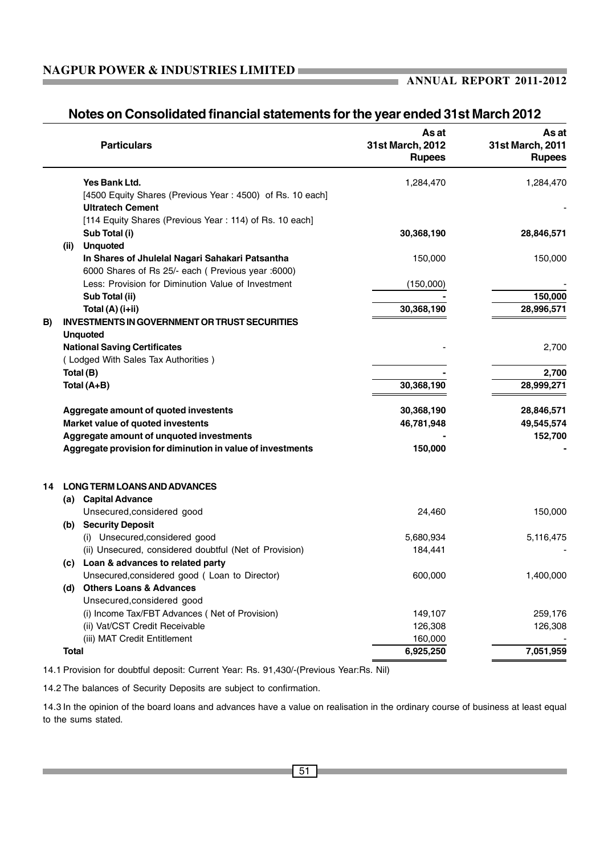### **ANNUAL REPORT 2011-2012**

ı.

## **Notes on Consolidated financial statements for the year ended 31st March 2012**

|    | <b>Particulars</b>                                                                   | As at<br>31st March, 2012<br><b>Rupees</b> | As at<br>31st March, 2011<br><b>Rupees</b> |
|----|--------------------------------------------------------------------------------------|--------------------------------------------|--------------------------------------------|
|    | Yes Bank Ltd.                                                                        | 1,284,470                                  | 1,284,470                                  |
|    | [4500 Equity Shares (Previous Year: 4500) of Rs. 10 each]<br><b>Ultratech Cement</b> |                                            |                                            |
|    | [114 Equity Shares (Previous Year: 114) of Rs. 10 each]                              |                                            |                                            |
|    | Sub Total (i)                                                                        | 30,368,190                                 | 28,846,571                                 |
|    | <b>Unquoted</b><br>(ii)                                                              |                                            |                                            |
|    | In Shares of Jhulelal Nagari Sahakari Patsantha                                      | 150,000                                    | 150,000                                    |
|    | 6000 Shares of Rs 25/- each ( Previous year :6000)                                   |                                            |                                            |
|    | Less: Provision for Diminution Value of Investment                                   | (150,000)                                  |                                            |
|    | Sub Total (ii)                                                                       |                                            | 150,000                                    |
|    | Total (A) (i+ii)                                                                     | 30,368,190                                 | 28,996,571                                 |
| B) | <b>INVESTMENTS IN GOVERNMENT OR TRUST SECURITIES</b>                                 |                                            |                                            |
|    | <b>Unquoted</b>                                                                      |                                            |                                            |
|    | <b>National Saving Certificates</b>                                                  |                                            | 2,700                                      |
|    | (Lodged With Sales Tax Authorities)                                                  |                                            |                                            |
|    | Total (B)                                                                            |                                            | 2,700                                      |
|    | Total (A+B)                                                                          | 30,368,190                                 | 28,999,271                                 |
|    | Aggregate amount of quoted investents                                                | 30,368,190                                 | 28,846,571                                 |
|    | Market value of quoted investents                                                    | 46,781,948                                 | 49,545,574                                 |
|    | Aggregate amount of unquoted investments                                             |                                            | 152,700                                    |
|    | Aggregate provision for diminution in value of investments                           | 150,000                                    |                                            |
| 14 | <b>LONG TERM LOANS AND ADVANCES</b>                                                  |                                            |                                            |
|    | (a) Capital Advance                                                                  |                                            |                                            |
|    | Unsecured, considered good                                                           | 24,460                                     | 150,000                                    |
|    | (b) Security Deposit                                                                 |                                            |                                            |
|    | (i) Unsecured, considered good                                                       | 5,680,934                                  | 5,116,475                                  |
|    | (ii) Unsecured, considered doubtful (Net of Provision)                               | 184,441                                    |                                            |
|    | (c) Loan & advances to related party                                                 |                                            |                                            |
|    | Unsecured, considered good ( Loan to Director)                                       | 600.000                                    | 1,400,000                                  |
|    | <b>Others Loans &amp; Advances</b><br>(d)                                            |                                            |                                            |
|    | Unsecured, considered good                                                           |                                            |                                            |
|    | (i) Income Tax/FBT Advances (Net of Provision)                                       | 149,107                                    | 259,176                                    |
|    | (ii) Vat/CST Credit Receivable                                                       | 126,308                                    | 126,308                                    |
|    | (iii) MAT Credit Entitlement                                                         | 160,000                                    |                                            |
|    | <b>Total</b>                                                                         | 6,925,250                                  | 7,051,959                                  |
|    |                                                                                      |                                            |                                            |

14.1 Provision for doubtful deposit: Current Year: Rs. 91,430/-(Previous Year:Rs. Nil)

14.2 The balances of Security Deposits are subject to confirmation.

14.3 In the opinion of the board loans and advances have a value on realisation in the ordinary course of business at least equal to the sums stated.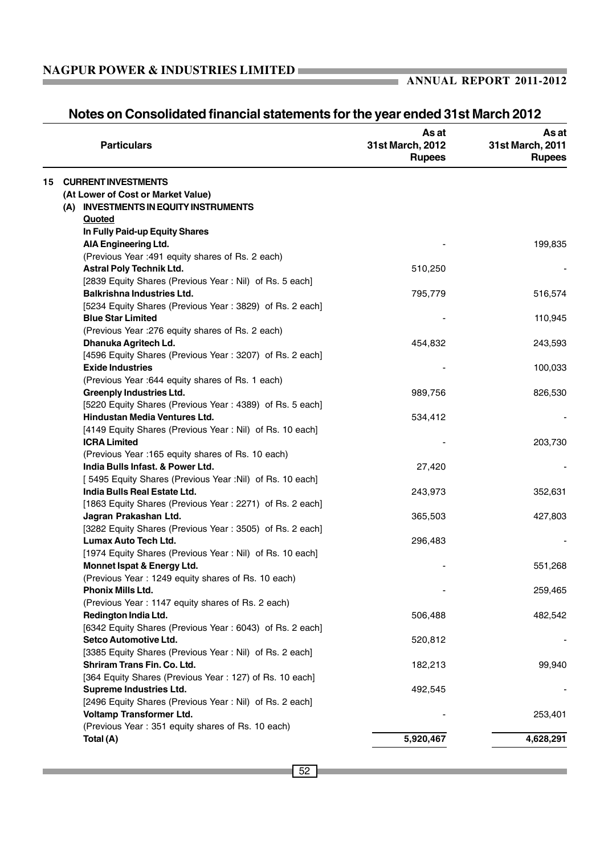| <b>Particulars</b>                                       | As at<br>31st March, 2012<br><b>Rupees</b> | As at<br>31st March, 2011<br><b>Rupees</b> |
|----------------------------------------------------------|--------------------------------------------|--------------------------------------------|
| 15<br><b>CURRENT INVESTMENTS</b>                         |                                            |                                            |
| (At Lower of Cost or Market Value)                       |                                            |                                            |
| (A) INVESTMENTS IN EQUITY INSTRUMENTS                    |                                            |                                            |
| Quoted                                                   |                                            |                                            |
| In Fully Paid-up Equity Shares                           |                                            |                                            |
| AIA Engineering Ltd.                                     |                                            | 199,835                                    |
| (Previous Year : 491 equity shares of Rs. 2 each)        |                                            |                                            |
| <b>Astral Poly Technik Ltd.</b>                          | 510,250                                    |                                            |
| [2839 Equity Shares (Previous Year: Nil) of Rs. 5 each]  |                                            |                                            |
| <b>Balkrishna Industries Ltd.</b>                        | 795,779                                    | 516,574                                    |
| [5234 Equity Shares (Previous Year: 3829) of Rs. 2 each] |                                            |                                            |
| <b>Blue Star Limited</b>                                 |                                            | 110,945                                    |
| (Previous Year : 276 equity shares of Rs. 2 each)        |                                            |                                            |
| Dhanuka Agritech Ld.                                     | 454,832                                    | 243,593                                    |
| [4596 Equity Shares (Previous Year: 3207) of Rs. 2 each] |                                            |                                            |
| <b>Exide Industries</b>                                  |                                            | 100,033                                    |
| (Previous Year : 644 equity shares of Rs. 1 each)        |                                            |                                            |
| <b>Greenply Industries Ltd.</b>                          | 989,756                                    | 826,530                                    |
| [5220 Equity Shares (Previous Year: 4389) of Rs. 5 each] |                                            |                                            |
| Hindustan Media Ventures Ltd.                            | 534,412                                    |                                            |
| [4149 Equity Shares (Previous Year: Nil) of Rs. 10 each] |                                            |                                            |
| <b>ICRA Limited</b>                                      |                                            | 203,730                                    |
| (Previous Year : 165 equity shares of Rs. 10 each)       |                                            |                                            |
| India Bulls Infast. & Power Ltd.                         | 27,420                                     |                                            |
| [5495 Equity Shares (Previous Year :Nil) of Rs. 10 each] |                                            |                                            |
| India Bulls Real Estate Ltd.                             | 243,973                                    | 352,631                                    |
| [1863 Equity Shares (Previous Year: 2271) of Rs. 2 each] |                                            |                                            |
| Jagran Prakashan Ltd.                                    | 365,503                                    | 427,803                                    |
| [3282 Equity Shares (Previous Year: 3505) of Rs. 2 each] |                                            |                                            |
| Lumax Auto Tech Ltd.                                     | 296,483                                    |                                            |
| [1974 Equity Shares (Previous Year: Nil) of Rs. 10 each] |                                            |                                            |
| Monnet Ispat & Energy Ltd.                               |                                            | 551,268                                    |
| (Previous Year: 1249 equity shares of Rs. 10 each)       |                                            |                                            |
| <b>Phonix Mills Ltd.</b>                                 |                                            | 259,465                                    |
| (Previous Year: 1147 equity shares of Rs. 2 each)        |                                            |                                            |
| Redington India Ltd.                                     | 506,488                                    | 482,542                                    |
| [6342 Equity Shares (Previous Year: 6043) of Rs. 2 each] |                                            |                                            |
| Setco Automotive Ltd.                                    | 520,812                                    |                                            |
| [3385 Equity Shares (Previous Year: Nil) of Rs. 2 each]  |                                            |                                            |
| Shriram Trans Fin. Co. Ltd.                              | 182,213                                    | 99,940                                     |
| [364 Equity Shares (Previous Year: 127) of Rs. 10 each]  |                                            |                                            |
| Supreme Industries Ltd.                                  | 492,545                                    |                                            |
| [2496 Equity Shares (Previous Year: Nil) of Rs. 2 each]  |                                            |                                            |
| Voltamp Transformer Ltd.                                 |                                            | 253,401                                    |
| (Previous Year: 351 equity shares of Rs. 10 each)        |                                            |                                            |
| Total (A)                                                | 5,920,467                                  | 4,628,291                                  |

### **Notes on Consolidated financial statements for the year ended 31st March 2012**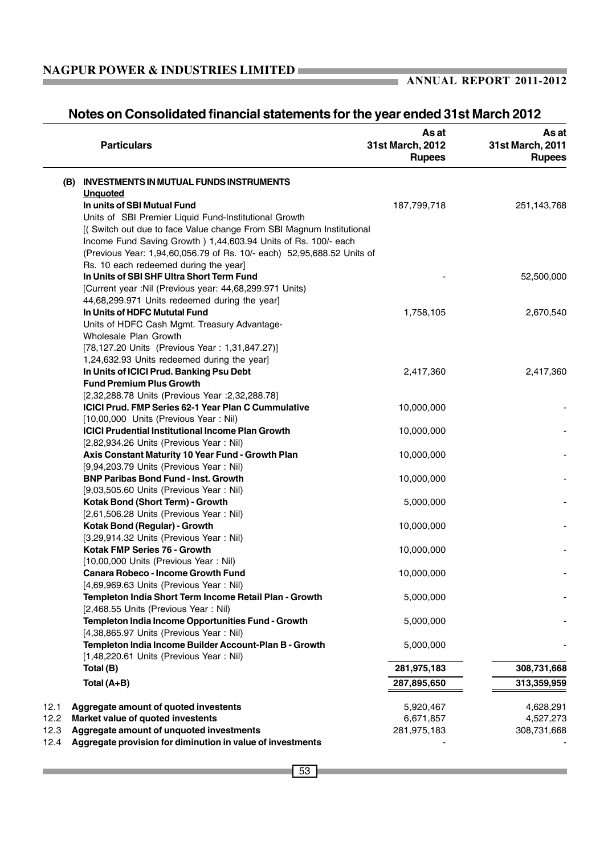$\overline{\phantom{0}}$ 

### **ANNUAL REPORT 2011-2012**

# **Notes on Consolidated financial statements for the year ended 31st March 2012**

| <b>Particulars</b>                                                                                                                        | As at<br>31st March, 2012<br><b>Rupees</b> | As at<br>31st March, 2011<br><b>Rupees</b> |
|-------------------------------------------------------------------------------------------------------------------------------------------|--------------------------------------------|--------------------------------------------|
| (B) INVESTMENTS IN MUTUAL FUNDS INSTRUMENTS                                                                                               |                                            |                                            |
| <b>Unquoted</b>                                                                                                                           |                                            |                                            |
| In units of SBI Mutual Fund                                                                                                               | 187,799,718                                | 251,143,768                                |
| Units of SBI Premier Liquid Fund-Institutional Growth                                                                                     |                                            |                                            |
| [(Switch out due to face Value change From SBI Magnum Institutional                                                                       |                                            |                                            |
| Income Fund Saving Growth ) 1,44,603.94 Units of Rs. 100/- each<br>(Previous Year: 1,94,60,056.79 of Rs. 10/- each) 52,95,688.52 Units of |                                            |                                            |
| Rs. 10 each redeemed during the year]                                                                                                     |                                            |                                            |
| In Units of SBI SHF Ultra Short Term Fund                                                                                                 |                                            | 52,500,000                                 |
| [Current year :Nil (Previous year: 44,68,299.971 Units)                                                                                   |                                            |                                            |
| 44,68,299.971 Units redeemed during the year]                                                                                             |                                            |                                            |
| In Units of HDFC Mututal Fund                                                                                                             | 1,758,105                                  | 2,670,540                                  |
| Units of HDFC Cash Mgmt. Treasury Advantage-                                                                                              |                                            |                                            |
| Wholesale Plan Growth                                                                                                                     |                                            |                                            |
| [78,127.20 Units (Previous Year: 1,31,847.27)]                                                                                            |                                            |                                            |
| 1,24,632.93 Units redeemed during the year]                                                                                               |                                            |                                            |
| In Units of ICICI Prud. Banking Psu Debt                                                                                                  | 2,417,360                                  | 2,417,360                                  |
| <b>Fund Premium Plus Growth</b>                                                                                                           |                                            |                                            |
| [2,32,288.78 Units (Previous Year : 2,32,288.78]                                                                                          |                                            |                                            |
| <b>ICICI Prud. FMP Series 62-1 Year Plan C Cummulative</b>                                                                                | 10,000,000                                 |                                            |
| [10,00,000 Units (Previous Year: Nil)                                                                                                     |                                            |                                            |
| <b>ICICI Prudential Institutional Income Plan Growth</b>                                                                                  | 10,000,000                                 |                                            |
| [2,82,934.26 Units (Previous Year: Nil)                                                                                                   |                                            |                                            |
| Axis Constant Maturity 10 Year Fund - Growth Plan                                                                                         | 10,000,000                                 |                                            |
| [9,94,203.79 Units (Previous Year: Nil)                                                                                                   |                                            |                                            |
| <b>BNP Paribas Bond Fund - Inst. Growth</b>                                                                                               | 10,000,000                                 |                                            |
| [9,03,505.60 Units (Previous Year: Nil)                                                                                                   |                                            |                                            |
| Kotak Bond (Short Term) - Growth                                                                                                          | 5,000,000                                  |                                            |
| [2,61,506.28 Units (Previous Year: Nil)                                                                                                   |                                            |                                            |
| Kotak Bond (Regular) - Growth                                                                                                             | 10,000,000                                 |                                            |
| [3,29,914.32 Units (Previous Year: Nil)                                                                                                   |                                            |                                            |
| Kotak FMP Series 76 - Growth                                                                                                              | 10,000,000                                 |                                            |
| [10,00,000 Units (Previous Year: Nil)                                                                                                     |                                            |                                            |
| <b>Canara Robeco - Income Growth Fund</b>                                                                                                 | 10,000,000                                 |                                            |
| [4,69,969.63 Units (Previous Year: Nil)                                                                                                   |                                            |                                            |
| Templeton India Short Term Income Retail Plan - Growth                                                                                    | 5,000,000                                  |                                            |
| [2,468.55 Units (Previous Year: Nil)                                                                                                      |                                            |                                            |
| Templeton India Income Opportunities Fund - Growth<br>[4,38,865.97 Units (Previous Year: Nil)                                             | 5,000,000                                  |                                            |
| Templeton India Income Builder Account-Plan B - Growth                                                                                    | 5,000,000                                  |                                            |
| [1,48,220.61 Units (Previous Year: Nil)                                                                                                   |                                            |                                            |
| Total (B)                                                                                                                                 | 281,975,183                                | 308,731,668                                |
|                                                                                                                                           |                                            |                                            |
| Total (A+B)                                                                                                                               | 287,895,650                                | 313,359,959                                |
| 12.1<br>Aggregate amount of quoted investents                                                                                             | 5,920,467                                  | 4,628,291                                  |
| 12.2<br>Market value of quoted investents                                                                                                 | 6,671,857                                  | 4,527,273                                  |
| Aggregate amount of unquoted investments<br>12.3                                                                                          | 281,975,183                                | 308,731,668                                |
| Aggregate provision for diminution in value of investments<br>12.4                                                                        |                                            |                                            |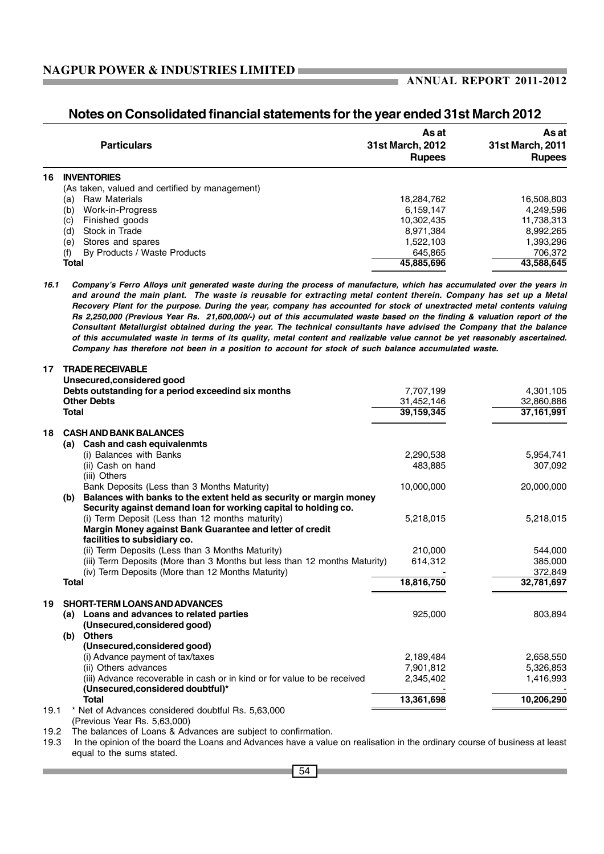### **Notes on Consolidated financial statements for the year ended 31st March 2012**

|    | <b>Particulars</b>                             | As at<br><b>31st March, 2012</b><br><b>Rupees</b> | As at<br>31st March, 2011<br><b>Rupees</b> |
|----|------------------------------------------------|---------------------------------------------------|--------------------------------------------|
| 16 | <b>INVENTORIES</b>                             |                                                   |                                            |
|    | (As taken, valued and certified by management) |                                                   |                                            |
|    | <b>Raw Materials</b><br>(a)                    | 18,284,762                                        | 16,508,803                                 |
|    | Work-in-Progress<br>(b)                        | 6,159,147                                         | 4,249,596                                  |
|    | Finished goods<br>(c)                          | 10,302,435                                        | 11,738,313                                 |
|    | Stock in Trade<br>(d)                          | 8,971,384                                         | 8,992,265                                  |
|    | Stores and spares<br>(e)                       | 1,522,103                                         | 1,393,296                                  |
|    | By Products / Waste Products<br>(f)            | 645,865                                           | 706,372                                    |
|    | <b>Total</b>                                   | 45,885,696                                        | 43,588,645                                 |

*16.1 Company's Ferro Alloys unit generated waste during the process of manufacture, which has accumulated over the years in and around the main plant. The waste is reusable for extracting metal content therein. Company has set up a Metal Recovery Plant for the purpose. During the year, company has accounted for stock of unextracted metal contents valuing Rs 2,250,000 (Previous Year Rs. 21,600,000/-) out of this accumulated waste based on the finding & valuation report of the Consultant Metallurgist obtained during the year. The technical consultants have advised the Company that the balance of this accumulated waste in terms of its quality, metal content and realizable value cannot be yet reasonably ascertained. Company has therefore not been in a position to account for stock of such balance accumulated waste.*

| 19.1 | * Net of Advances considered doubtful Rs. 5,63,000<br>(Previous Year Rs. 5,63,000)                            |            |            |
|------|---------------------------------------------------------------------------------------------------------------|------------|------------|
|      | <b>Total</b>                                                                                                  | 13,361,698 | 10,206,290 |
|      | (iii) Advance recoverable in cash or in kind or for value to be received<br>(Unsecured, considered doubtful)* | 2,345,402  | 1,416,993  |
|      | (ii) Others advances                                                                                          | 7,901,812  | 5,326,853  |
|      | (i) Advance payment of tax/taxes                                                                              | 2,189,484  | 2,658,550  |
|      | (Unsecured, considered good)                                                                                  |            |            |
|      | (b)                                                                                                           |            |            |
|      | (Unsecured, considered good)<br><b>Others</b>                                                                 |            |            |
|      | (a) Loans and advances to related parties                                                                     | 925,000    | 803,894    |
| 19   | SHORT-TERM LOANS AND ADVANCES                                                                                 |            |            |
|      | <b>Total</b>                                                                                                  | 18,816,750 | 32,781,697 |
|      | (iv) Term Deposits (More than 12 Months Maturity)                                                             |            | 372,849    |
|      | (iii) Term Deposits (More than 3 Months but less than 12 months Maturity)                                     | 614,312    | 385,000    |
|      | (ii) Term Deposits (Less than 3 Months Maturity)                                                              | 210.000    | 544,000    |
|      | facilities to subsidiary co.                                                                                  |            |            |
|      | Margin Money against Bank Guarantee and letter of credit                                                      |            |            |
|      | (i) Term Deposit (Less than 12 months maturity)                                                               | 5,218,015  | 5,218,015  |
|      | Security against demand loan for working capital to holding co.                                               |            |            |
|      | Balances with banks to the extent held as security or margin money<br>(b)                                     |            |            |
|      | Bank Deposits (Less than 3 Months Maturity)                                                                   | 10,000,000 | 20,000,000 |
|      | (iii) Others                                                                                                  |            |            |
|      | (ii) Cash on hand                                                                                             | 483,885    | 307,092    |
|      | (a) Cash and cash equivalenmts<br>(i) Balances with Banks                                                     | 2,290,538  | 5,954,741  |
| 18   | <b>CASH AND BANK BALANCES</b>                                                                                 |            |            |
|      | <b>Total</b>                                                                                                  | 39,159,345 | 37,161,991 |
|      | <b>Other Debts</b>                                                                                            | 31,452,146 | 32,860,886 |
|      | Debts outstanding for a period exceedind six months                                                           | 7,707,199  | 4,301,105  |
|      | Unsecured, considered good                                                                                    |            |            |
| 17   | <b>TRADE RECEIVABLE</b>                                                                                       |            |            |

19.2 The balances of Loans & Advances are subject to confirmation.

19.3 In the opinion of the board the Loans and Advances have a value on realisation in the ordinary course of business at least equal to the sums stated.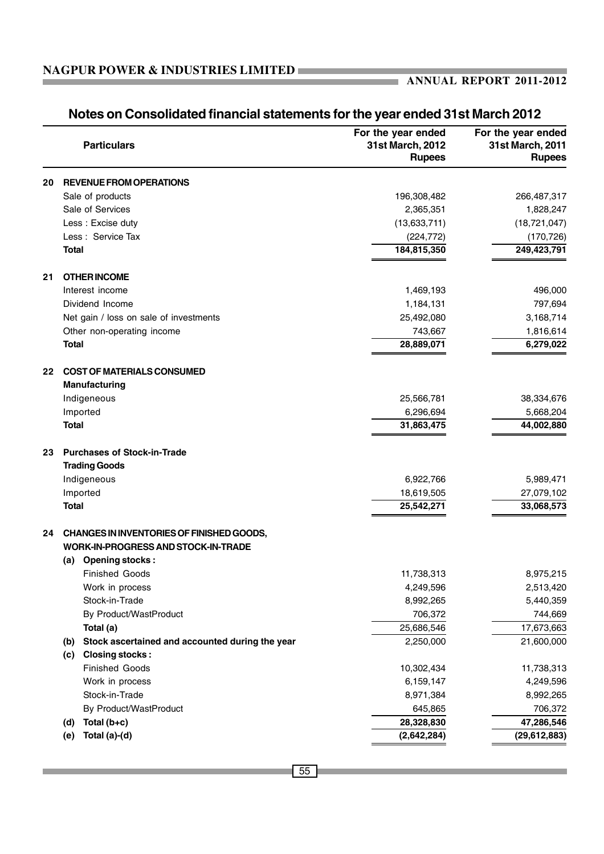### **ANNUAL REPORT 2011-2012**

|    | <b>Particulars</b>                                     | For the year ended<br>31st March, 2012<br><b>Rupees</b> | For the year ended<br>31st March, 2011<br><b>Rupees</b> |
|----|--------------------------------------------------------|---------------------------------------------------------|---------------------------------------------------------|
| 20 | <b>REVENUE FROM OPERATIONS</b>                         |                                                         |                                                         |
|    | Sale of products                                       | 196,308,482                                             | 266,487,317                                             |
|    | Sale of Services                                       | 2,365,351                                               | 1,828,247                                               |
|    | Less : Excise duty                                     | (13,633,711)                                            | (18, 721, 047)                                          |
|    | Less: Service Tax                                      | (224, 772)                                              | (170, 726)                                              |
|    | <b>Total</b>                                           | 184,815,350                                             | 249,423,791                                             |
| 21 | <b>OTHER INCOME</b>                                    |                                                         |                                                         |
|    | Interest income                                        | 1,469,193                                               | 496,000                                                 |
|    | Dividend Income                                        | 1,184,131                                               | 797,694                                                 |
|    | Net gain / loss on sale of investments                 | 25,492,080                                              | 3,168,714                                               |
|    | Other non-operating income                             | 743,667                                                 | 1,816,614                                               |
|    | <b>Total</b>                                           | 28,889,071                                              | 6,279,022                                               |
| 22 | <b>COST OF MATERIALS CONSUMED</b>                      |                                                         |                                                         |
|    | Manufacturing                                          |                                                         |                                                         |
|    | Indigeneous                                            | 25,566,781                                              | 38,334,676                                              |
|    | Imported                                               | 6,296,694                                               | 5,668,204                                               |
|    | <b>Total</b>                                           | 31,863,475                                              | 44,002,880                                              |
| 23 | <b>Purchases of Stock-in-Trade</b>                     |                                                         |                                                         |
|    | <b>Trading Goods</b>                                   |                                                         |                                                         |
|    | Indigeneous                                            | 6,922,766                                               | 5,989,471                                               |
|    | Imported                                               | 18,619,505                                              | 27,079,102                                              |
|    | <b>Total</b>                                           | 25,542,271                                              | 33,068,573                                              |
| 24 | CHANGES IN INVENTORIES OF FINISHED GOODS,              |                                                         |                                                         |
|    | <b>WORK-IN-PROGRESS AND STOCK-IN-TRADE</b>             |                                                         |                                                         |
|    | <b>Opening stocks:</b><br>(a)                          |                                                         |                                                         |
|    | <b>Finished Goods</b>                                  | 11,738,313                                              | 8,975,215                                               |
|    | Work in process                                        | 4,249,596                                               | 2,513,420                                               |
|    | Stock-in-Trade                                         | 8,992,265                                               | 5,440,359                                               |
|    | By Product/WastProduct                                 | 706,372                                                 | 744,669                                                 |
|    | Total (a)                                              | 25,686,546                                              | 17,673,663                                              |
|    | Stock ascertained and accounted during the year<br>(b) | 2,250,000                                               | 21,600,000                                              |
|    | <b>Closing stocks:</b><br>(c)                          |                                                         |                                                         |
|    | <b>Finished Goods</b>                                  | 10,302,434                                              | 11,738,313                                              |
|    | Work in process                                        | 6,159,147                                               | 4,249,596                                               |
|    | Stock-in-Trade                                         | 8,971,384                                               | 8,992,265                                               |
|    | By Product/WastProduct                                 | 645,865                                                 | 706,372                                                 |
|    | Total (b+c)<br>(d)                                     | 28,328,830                                              | 47,286,546                                              |
|    | Total (a)-(d)<br>(e)                                   | (2,642,284)                                             | (29, 612, 883)                                          |

## **Notes on Consolidated financial statements for the year ended 31st March 2012**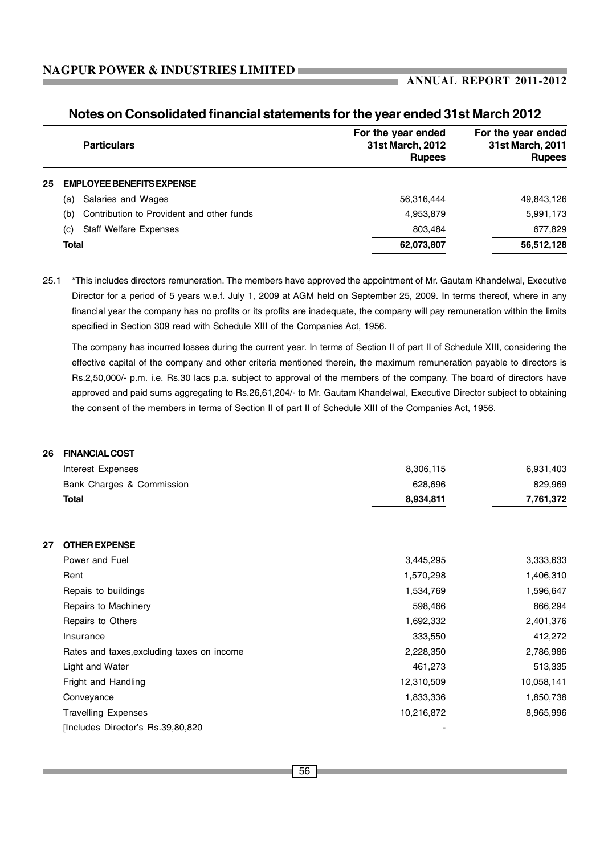|    | <b>Particulars</b>                               | For the year ended<br>31st March, 2012<br><b>Rupees</b> | For the year ended<br>31st March, 2011<br><b>Rupees</b> |
|----|--------------------------------------------------|---------------------------------------------------------|---------------------------------------------------------|
| 25 | <b>EMPLOYEE BENEFITS EXPENSE</b>                 |                                                         |                                                         |
|    | Salaries and Wages<br>(a)                        | 56,316,444                                              | 49,843,126                                              |
|    | Contribution to Provident and other funds<br>(b) | 4,953,879                                               | 5,991,173                                               |
|    | <b>Staff Welfare Expenses</b><br>(C)             | 803.484                                                 | 677,829                                                 |
|    | <b>Total</b>                                     | 62,073,807                                              | 56,512,128                                              |

### **Notes on Consolidated financial statements for the year ended 31st March 2012**

25.1 \*This includes directors remuneration. The members have approved the appointment of Mr. Gautam Khandelwal, Executive Director for a period of 5 years w.e.f. July 1, 2009 at AGM held on September 25, 2009. In terms thereof, where in any financial year the company has no profits or its profits are inadequate, the company will pay remuneration within the limits specified in Section 309 read with Schedule XIII of the Companies Act, 1956.

The company has incurred losses during the current year. In terms of Section II of part II of Schedule XIII, considering the effective capital of the company and other criteria mentioned therein, the maximum remuneration payable to directors is Rs.2,50,000/- p.m. i.e. Rs.30 lacs p.a. subject to approval of the members of the company. The board of directors have approved and paid sums aggregating to Rs.26,61,204/- to Mr. Gautam Khandelwal, Executive Director subject to obtaining the consent of the members in terms of Section II of part II of Schedule XIII of the Companies Act, 1956.

| <b>FINANCIAL COST</b><br>26                |                          |            |
|--------------------------------------------|--------------------------|------------|
| Interest Expenses                          | 8,306,115                | 6,931,403  |
| Bank Charges & Commission                  | 628,696                  | 829,969    |
| Total                                      | 8,934,811                | 7,761,372  |
| <b>OTHER EXPENSE</b><br>27                 |                          |            |
| Power and Fuel                             | 3,445,295                | 3,333,633  |
| Rent                                       | 1,570,298                | 1,406,310  |
| Repais to buildings                        | 1,534,769                | 1,596,647  |
| Repairs to Machinery                       | 598,466                  | 866,294    |
| Repairs to Others                          | 1,692,332                | 2,401,376  |
| Insurance                                  | 333,550                  | 412,272    |
| Rates and taxes, excluding taxes on income | 2,228,350                | 2,786,986  |
| Light and Water                            | 461,273                  | 513,335    |
| Fright and Handling                        | 12,310,509               | 10,058,141 |
| Conveyance                                 | 1,833,336                | 1,850,738  |
| <b>Travelling Expenses</b>                 | 10,216,872               | 8,965,996  |
| [Includes Director's Rs.39,80,820]         | $\overline{\phantom{0}}$ |            |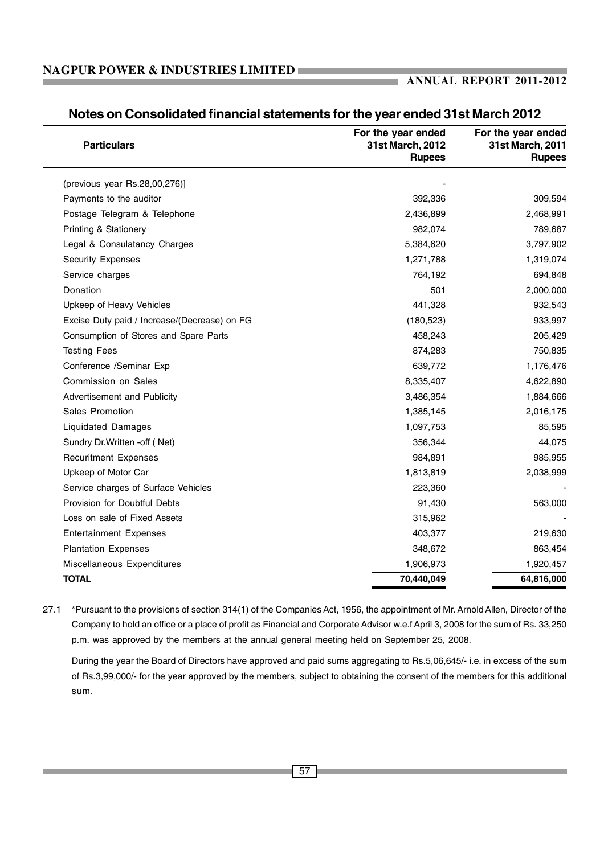### **ANNUAL REPORT 2011-2012**

| <b>Particulars</b>                           | For the year ended<br>31st March, 2012<br><b>Rupees</b> | For the year ended<br>31st March, 2011<br><b>Rupees</b> |
|----------------------------------------------|---------------------------------------------------------|---------------------------------------------------------|
| (previous year Rs.28,00,276)]                |                                                         |                                                         |
| Payments to the auditor                      | 392,336                                                 | 309,594                                                 |
| Postage Telegram & Telephone                 | 2,436,899                                               | 2,468,991                                               |
| <b>Printing &amp; Stationery</b>             | 982,074                                                 | 789,687                                                 |
| Legal & Consulatancy Charges                 | 5,384,620                                               | 3,797,902                                               |
| <b>Security Expenses</b>                     | 1,271,788                                               | 1,319,074                                               |
| Service charges                              | 764,192                                                 | 694,848                                                 |
| Donation                                     | 501                                                     | 2,000,000                                               |
| Upkeep of Heavy Vehicles                     | 441,328                                                 | 932,543                                                 |
| Excise Duty paid / Increase/(Decrease) on FG | (180, 523)                                              | 933,997                                                 |
| Consumption of Stores and Spare Parts        | 458,243                                                 | 205,429                                                 |
| <b>Testing Fees</b>                          | 874,283                                                 | 750,835                                                 |
| Conference /Seminar Exp                      | 639,772                                                 | 1,176,476                                               |
| Commission on Sales                          | 8,335,407                                               | 4,622,890                                               |
| Advertisement and Publicity                  | 3,486,354                                               | 1,884,666                                               |
| Sales Promotion                              | 1,385,145                                               | 2,016,175                                               |
| Liquidated Damages                           | 1,097,753                                               | 85,595                                                  |
| Sundry Dr. Written -off (Net)                | 356,344                                                 | 44,075                                                  |
| <b>Recuritment Expenses</b>                  | 984,891                                                 | 985,955                                                 |
| Upkeep of Motor Car                          | 1,813,819                                               | 2,038,999                                               |
| Service charges of Surface Vehicles          | 223,360                                                 |                                                         |
| Provision for Doubtful Debts                 | 91,430                                                  | 563,000                                                 |
| Loss on sale of Fixed Assets                 | 315,962                                                 |                                                         |
| <b>Entertainment Expenses</b>                | 403,377                                                 | 219,630                                                 |
| <b>Plantation Expenses</b>                   | 348,672                                                 | 863,454                                                 |
| Miscellaneous Expenditures                   | 1,906,973                                               | 1,920,457                                               |
| <b>TOTAL</b>                                 | 70,440,049                                              | 64,816,000                                              |

### **Notes on Consolidated financial statements for the year ended 31st March 2012**

27.1 \*Pursuant to the provisions of section 314(1) of the Companies Act, 1956, the appointment of Mr. Arnold Allen, Director of the Company to hold an office or a place of profit as Financial and Corporate Advisor w.e.f April 3, 2008 for the sum of Rs. 33,250 p.m. was approved by the members at the annual general meeting held on September 25, 2008.

During the year the Board of Directors have approved and paid sums aggregating to Rs.5,06,645/- i.e. in excess of the sum of Rs.3,99,000/- for the year approved by the members, subject to obtaining the consent of the members for this additional sum.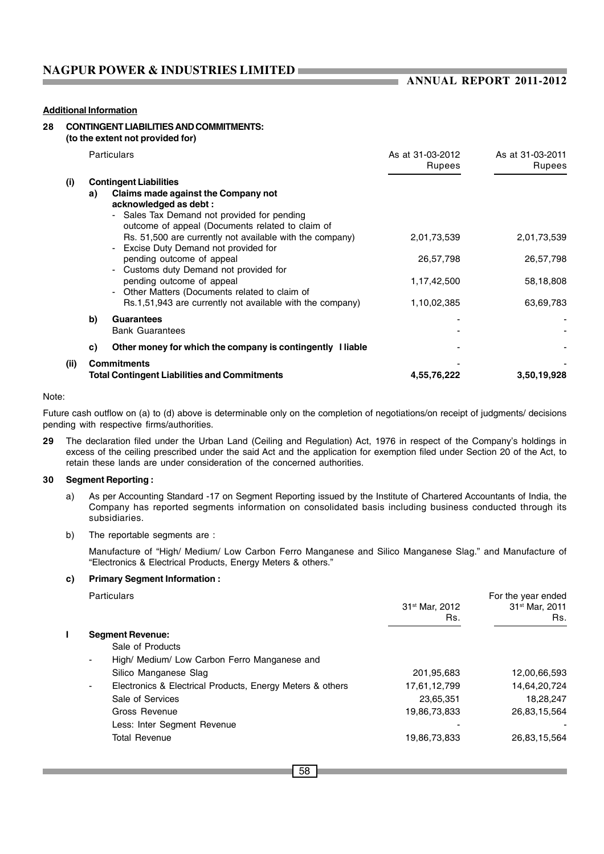÷

#### **Additional Information**

### **28 CONTINGENT LIABILITIES AND COMMITMENTS:**

**(to the extent not provided for)**

|       |    | <b>Particulars</b>                                                                                                                                                                               | As at 31-03-2012<br><b>Rupees</b> | As at 31-03-2011<br><b>Rupees</b> |
|-------|----|--------------------------------------------------------------------------------------------------------------------------------------------------------------------------------------------------|-----------------------------------|-----------------------------------|
| (i)   | a) | <b>Contingent Liabilities</b><br>Claims made against the Company not<br>acknowledged as debt:<br>- Sales Tax Demand not provided for pending<br>outcome of appeal (Documents related to claim of |                                   |                                   |
|       |    | Rs. 51,500 are currently not available with the company)<br>- Excise Duty Demand not provided for                                                                                                | 2,01,73,539                       | 2,01,73,539                       |
|       |    | pending outcome of appeal<br>Customs duty Demand not provided for                                                                                                                                | 26,57,798                         | 26,57,798                         |
|       |    | pending outcome of appeal<br>Other Matters (Documents related to claim of                                                                                                                        | 1,17,42,500                       | 58,18,808                         |
|       |    | Rs.1,51,943 are currently not available with the company)                                                                                                                                        | 1,10,02,385                       | 63,69,783                         |
|       | b) | <b>Guarantees</b><br><b>Bank Guarantees</b>                                                                                                                                                      |                                   |                                   |
|       | C) | Other money for which the company is contingently I liable                                                                                                                                       |                                   |                                   |
| (iii) |    | <b>Commitments</b><br><b>Total Contingent Liabilities and Commitments</b>                                                                                                                        | 4,55,76,222                       | 3,50,19,928                       |

#### Note:

Future cash outflow on (a) to (d) above is determinable only on the completion of negotiations/on receipt of judgments/ decisions pending with respective firms/authorities.

**29** The declaration filed under the Urban Land (Ceiling and Regulation) Act, 1976 in respect of the Company's holdings in excess of the ceiling prescribed under the said Act and the application for exemption filed under Section 20 of the Act, to retain these lands are under consideration of the concerned authorities.

#### **30 Segment Reporting :**

- a) As per Accounting Standard -17 on Segment Reporting issued by the Institute of Chartered Accountants of India, the Company has reported segments information on consolidated basis including business conducted through its subsidiaries.
- b) The reportable segments are :

Manufacture of "High/ Medium/ Low Carbon Ferro Manganese and Silico Manganese Slag." and Manufacture of "Electronics & Electrical Products, Energy Meters & others."

#### **c) Primary Segment Information :**

| <b>Particulars</b>                                                          | 31 <sup>st</sup> Mar, 2012 | For the year ended<br>31 <sup>st</sup> Mar, 2011 |
|-----------------------------------------------------------------------------|----------------------------|--------------------------------------------------|
|                                                                             | Rs.                        | Rs.                                              |
| <b>Segment Revenue:</b>                                                     |                            |                                                  |
| Sale of Products                                                            |                            |                                                  |
| High/ Medium/ Low Carbon Ferro Manganese and<br>$\blacksquare$              |                            |                                                  |
| Silico Manganese Slag                                                       | 201,95,683                 | 12,00,66,593                                     |
| Electronics & Electrical Products, Energy Meters & others<br>$\blacksquare$ | 17,61,12,799               | 14,64,20,724                                     |
| Sale of Services                                                            | 23,65,351                  | 18,28,247                                        |
| Gross Revenue                                                               | 19,86,73,833               | 26.83.15.564                                     |
| Less: Inter Segment Revenue                                                 |                            |                                                  |
| <b>Total Revenue</b>                                                        | 19,86,73,833               | 26,83,15,564                                     |
|                                                                             |                            |                                                  |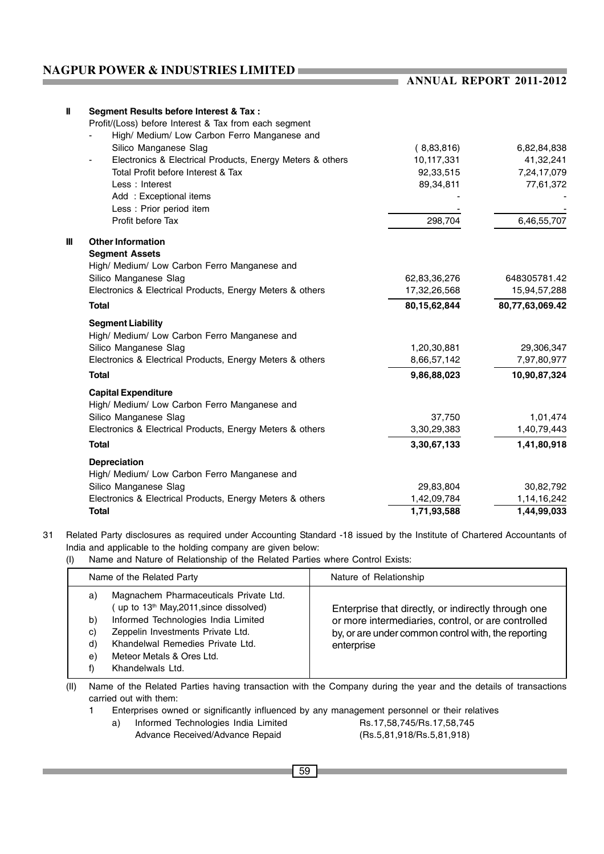| Ш            | Segment Results before Interest & Tax :                   |              |                 |
|--------------|-----------------------------------------------------------|--------------|-----------------|
|              | Profit/(Loss) before Interest & Tax from each segment     |              |                 |
|              | High/ Medium/ Low Carbon Ferro Manganese and              |              |                 |
|              | Silico Manganese Slag                                     | (8,83,816)   | 6,82,84,838     |
|              | Electronics & Electrical Products, Energy Meters & others | 10,117,331   | 41,32,241       |
|              | Total Profit before Interest & Tax                        | 92,33,515    | 7,24,17,079     |
|              | Less: Interest                                            | 89,34,811    | 77,61,372       |
|              | Add: Exceptional items                                    |              |                 |
|              | Less: Prior period item                                   |              |                 |
|              | Profit before Tax                                         | 298,704      | 6,46,55,707     |
| $\mathbf{m}$ | <b>Other Information</b>                                  |              |                 |
|              | <b>Segment Assets</b>                                     |              |                 |
|              | High/ Medium/ Low Carbon Ferro Manganese and              |              |                 |
|              | Silico Manganese Slag                                     | 62,83,36,276 | 648305781.42    |
|              | Electronics & Electrical Products, Energy Meters & others | 17,32,26,568 | 15,94,57,288    |
|              | <b>Total</b>                                              | 80,15,62,844 | 80,77,63,069.42 |
|              | <b>Segment Liability</b>                                  |              |                 |
|              | High/ Medium/ Low Carbon Ferro Manganese and              |              |                 |
|              | Silico Manganese Slag                                     | 1,20,30,881  | 29,306,347      |
|              | Electronics & Electrical Products, Energy Meters & others | 8,66,57,142  | 7,97,80,977     |
|              | <b>Total</b>                                              | 9,86,88,023  | 10,90,87,324    |
|              | <b>Capital Expenditure</b>                                |              |                 |
|              | High/ Medium/ Low Carbon Ferro Manganese and              |              |                 |
|              | Silico Manganese Slag                                     | 37,750       | 1,01,474        |
|              | Electronics & Electrical Products, Energy Meters & others | 3,30,29,383  | 1,40,79,443     |
|              | <b>Total</b>                                              | 3,30,67,133  | 1,41,80,918     |
|              | <b>Depreciation</b>                                       |              |                 |
|              | High/ Medium/ Low Carbon Ferro Manganese and              |              |                 |
|              | Silico Manganese Slag                                     | 29,83,804    | 30,82,792       |
|              | Electronics & Electrical Products, Energy Meters & others | 1,42,09,784  | 1,14,16,242     |
|              | <b>Total</b>                                              | 1,71,93,588  | 1,44,99,033     |

31 Related Party disclosures as required under Accounting Standard -18 issued by the Institute of Chartered Accountants of India and applicable to the holding company are given below:

### (I) Name and Nature of Relationship of the Related Parties where Control Exists:

| Name of the Related Party                                                                                                                                                                                                                                                                   | Nature of Relationship                                                                                                                                                         |
|---------------------------------------------------------------------------------------------------------------------------------------------------------------------------------------------------------------------------------------------------------------------------------------------|--------------------------------------------------------------------------------------------------------------------------------------------------------------------------------|
| Magnachem Pharmaceuticals Private Ltd.<br>a)<br>up to 13 <sup>th</sup> May, 2011, since dissolved)<br>Informed Technologies India Limited<br>b)<br>Zeppelin Investments Private Ltd.<br>C)<br>Khandelwal Remedies Private Ltd.<br>d)<br>Meteor Metals & Ores Ltd.<br>e)<br>Khandelwals Ltd. | Enterprise that directly, or indirectly through one<br>or more intermediaries, control, or are controlled<br>by, or are under common control with, the reporting<br>enterprise |

(II) Name of the Related Parties having transaction with the Company during the year and the details of transactions carried out with them:

1 Enterprises owned or significantly influenced by any management personnel or their relatives

a) Informed Technologies India Limited Rs.17,58,745/Rs.17,58,745

Advance Received/Advance Repaid (Rs.5,81,918/Rs.5,81,918)

**ANNUAL REPORT 2011-2012**

**State State**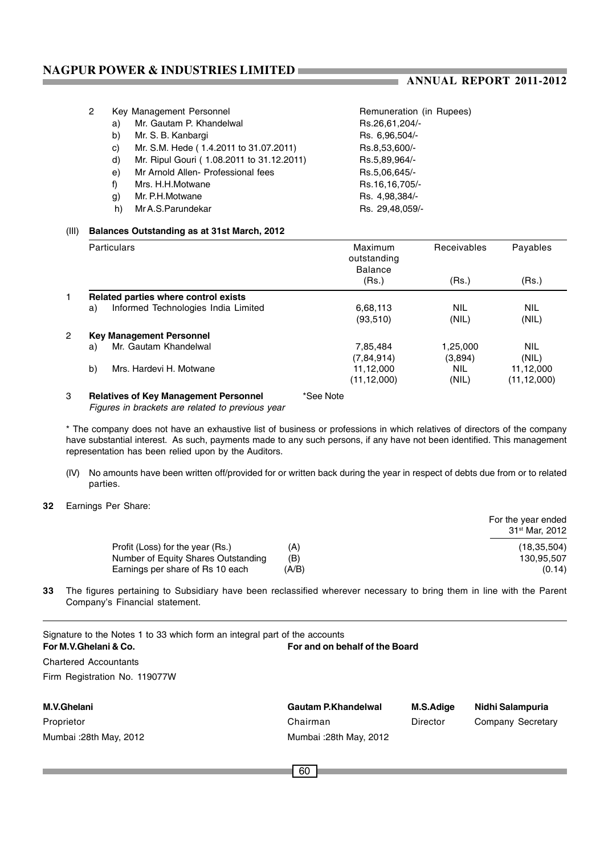a.

| 2 |    | Key Management Personnel                  | Remuneration (in Rupees) |  |  |
|---|----|-------------------------------------------|--------------------------|--|--|
|   | a) | Mr. Gautam P. Khandelwal                  | Rs.26,61,204/-           |  |  |
|   | b) | Mr. S. B. Kanbargi                        | Rs. 6,96,504/-           |  |  |
|   | C) | Mr. S.M. Hede (1.4.2011 to 31.07.2011)    | Rs.8,53,600/-            |  |  |
|   | d) | Mr. Ripul Gouri (1.08.2011 to 31.12.2011) | Rs.5,89,964/-            |  |  |
|   | e) | Mr Arnold Allen- Professional fees        | Rs.5,06,645/-            |  |  |
|   | f) | Mrs. H.H.Motwane                          | Rs.16,16,705/-           |  |  |
|   | g) | Mr. P.H.Motwane                           | Rs. 4,98,384/-           |  |  |
|   | h) | Mr A.S. Parundekar                        | Rs. 29,48,059/-          |  |  |
|   |    |                                           |                          |  |  |

#### (III) **Balances Outstanding as at 31st March, 2012**

| <b>Particulars</b>                           | Maximum<br>outstanding<br><b>Balance</b> | Receivables         | Payables<br>(Rs.)          |  |  |
|----------------------------------------------|------------------------------------------|---------------------|----------------------------|--|--|
|                                              | (Rs.)                                    | (Rs.)               |                            |  |  |
| Related parties where control exists         |                                          |                     |                            |  |  |
| Informed Technologies India Limited<br>a)    | 6,68,113<br>(93,510)                     | <b>NIL</b><br>(NIL) | <b>NIL</b><br>(NIL)        |  |  |
| <b>Key Management Personnel</b>              |                                          |                     |                            |  |  |
| Mr. Gautam Khandelwal<br>a)                  | 7.85.484<br>(7,84,914)                   | 1,25,000<br>(3,894) | <b>NIL</b><br>(NIL)        |  |  |
| b)<br>Mrs. Hardevi H. Motwane                | 11,12,000<br>(11, 12, 000)               | <b>NIL</b><br>(NIL) | 11,12,000<br>(11, 12, 000) |  |  |
| <b>Relatives of Key Management Personnel</b> | *See Note                                |                     |                            |  |  |

*Figures in brackets are related to previous year*

\* The company does not have an exhaustive list of business or professions in which relatives of directors of the company have substantial interest. As such, payments made to any such persons, if any have not been identified. This management representation has been relied upon by the Auditors.

- (IV) No amounts have been written off/provided for or written back during the year in respect of debts due from or to related parties.
- **32** Earnings Per Share:

|                                     |       | For the year ended<br>31 <sup>st</sup> Mar. 2012 |
|-------------------------------------|-------|--------------------------------------------------|
| Profit (Loss) for the year (Rs.)    | (A)   | (18, 35, 504)                                    |
| Number of Equity Shares Outstanding | (B)   | 130.95.507                                       |
| Earnings per share of Rs 10 each    | (A/B) | (0.14)                                           |

**33** The figures pertaining to Subsidiary have been reclassified wherever necessary to bring them in line with the Parent Company's Financial statement.

| Signature to the Notes 1 to 33 which form an integral part of the accounts<br>For and on behalf of the Board<br>For M.V.Ghelani & Co. |                            |           |                   |  |  |  |  |
|---------------------------------------------------------------------------------------------------------------------------------------|----------------------------|-----------|-------------------|--|--|--|--|
| <b>Chartered Accountants</b>                                                                                                          |                            |           |                   |  |  |  |  |
| Firm Registration No. 119077W                                                                                                         |                            |           |                   |  |  |  |  |
|                                                                                                                                       |                            |           |                   |  |  |  |  |
| M.V.Ghelani                                                                                                                           | <b>Gautam P.Khandelwal</b> | M.S.Adige | Nidhi Salampuria  |  |  |  |  |
| Proprietor                                                                                                                            | Chairman                   | Director  | Company Secretary |  |  |  |  |
| Mumbai: 28th May, 2012                                                                                                                | Mumbai: 28th May, 2012     |           |                   |  |  |  |  |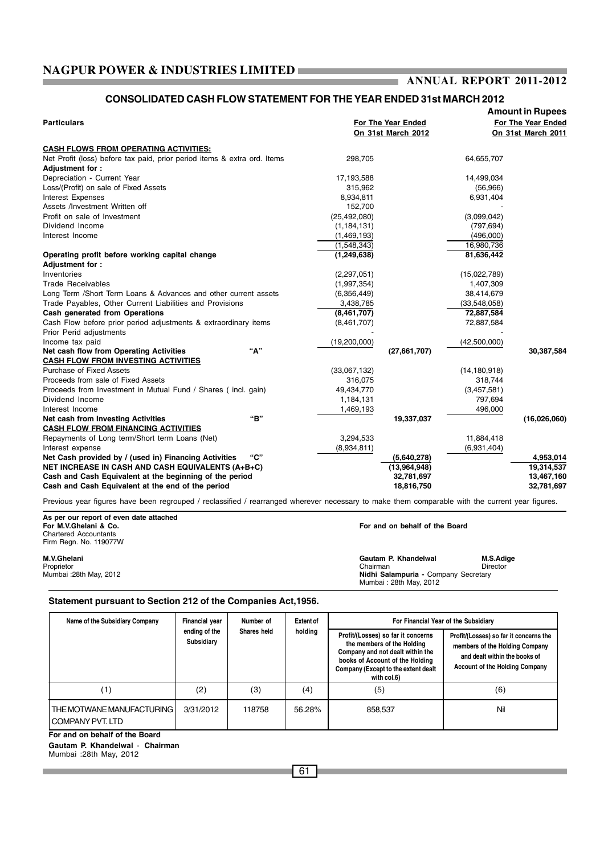#### **ANNUAL REPORT 2011-2012** ı.

### **CONSOLIDATED CASH FLOW STATEMENT FOR THE YEAR ENDED 31st MARCH 2012**

|                | For The Year Ended<br>On 31st March 2012                                  |                                                                       | For The Year Ended                                                                                                                                                                                                   |  |
|----------------|---------------------------------------------------------------------------|-----------------------------------------------------------------------|----------------------------------------------------------------------------------------------------------------------------------------------------------------------------------------------------------------------|--|
|                |                                                                           |                                                                       |                                                                                                                                                                                                                      |  |
|                |                                                                           |                                                                       | On 31st March 2011                                                                                                                                                                                                   |  |
|                |                                                                           |                                                                       |                                                                                                                                                                                                                      |  |
|                |                                                                           |                                                                       |                                                                                                                                                                                                                      |  |
|                |                                                                           |                                                                       |                                                                                                                                                                                                                      |  |
|                |                                                                           |                                                                       |                                                                                                                                                                                                                      |  |
|                |                                                                           |                                                                       |                                                                                                                                                                                                                      |  |
| 8,934,811      |                                                                           | 6,931,404                                                             |                                                                                                                                                                                                                      |  |
| 152,700        |                                                                           |                                                                       |                                                                                                                                                                                                                      |  |
| (25, 492, 080) |                                                                           | (3,099,042)                                                           |                                                                                                                                                                                                                      |  |
| (1, 184, 131)  |                                                                           | (797, 694)                                                            |                                                                                                                                                                                                                      |  |
| (1,469,193)    |                                                                           | (496,000)                                                             |                                                                                                                                                                                                                      |  |
| (1,548,343)    |                                                                           | 16,980,736                                                            |                                                                                                                                                                                                                      |  |
| (1, 249, 638)  |                                                                           | 81,636,442                                                            |                                                                                                                                                                                                                      |  |
|                |                                                                           |                                                                       |                                                                                                                                                                                                                      |  |
| (2,297,051)    |                                                                           | (15,022,789)                                                          |                                                                                                                                                                                                                      |  |
| (1,997,354)    |                                                                           | 1,407,309                                                             |                                                                                                                                                                                                                      |  |
| (6,356,449)    |                                                                           | 38,414,679                                                            |                                                                                                                                                                                                                      |  |
| 3,438,785      |                                                                           | (33,548,058)                                                          |                                                                                                                                                                                                                      |  |
| (8,461,707)    |                                                                           | 72,887,584                                                            |                                                                                                                                                                                                                      |  |
| (8,461,707)    |                                                                           | 72,887,584                                                            |                                                                                                                                                                                                                      |  |
|                |                                                                           |                                                                       |                                                                                                                                                                                                                      |  |
| (19,200,000)   |                                                                           | (42,500,000)                                                          |                                                                                                                                                                                                                      |  |
|                | (27,661,707)                                                              |                                                                       | 30,387,584                                                                                                                                                                                                           |  |
|                |                                                                           |                                                                       |                                                                                                                                                                                                                      |  |
| (33,067,132)   |                                                                           | (14, 180, 918)                                                        |                                                                                                                                                                                                                      |  |
| 316,075        |                                                                           | 318,744                                                               |                                                                                                                                                                                                                      |  |
| 49,434,770     |                                                                           | (3,457,581)                                                           |                                                                                                                                                                                                                      |  |
| 1,184,131      |                                                                           | 797,694                                                               |                                                                                                                                                                                                                      |  |
|                |                                                                           | 496,000                                                               |                                                                                                                                                                                                                      |  |
|                |                                                                           |                                                                       | (16,026,060)                                                                                                                                                                                                         |  |
|                |                                                                           |                                                                       |                                                                                                                                                                                                                      |  |
|                |                                                                           |                                                                       |                                                                                                                                                                                                                      |  |
|                |                                                                           |                                                                       |                                                                                                                                                                                                                      |  |
|                |                                                                           |                                                                       | 4,953,014                                                                                                                                                                                                            |  |
|                |                                                                           |                                                                       | 19,314,537                                                                                                                                                                                                           |  |
|                |                                                                           |                                                                       | 13,467,160                                                                                                                                                                                                           |  |
|                |                                                                           |                                                                       | 32,781,697                                                                                                                                                                                                           |  |
|                | 298,705<br>17,193,588<br>315,962<br>1,469,193<br>3,294,533<br>(8,934,811) | 19,337,037<br>(5,640,278)<br>(13,964,948)<br>32,781,697<br>18,816,750 | 64,655,707<br>14,499,034<br>(56,966)<br>11,884,418<br>(6,931,404)<br>Previous year figures have been regrouped / reclassified / rearranged wherever necessary to make them comparable with the current year figures. |  |

**As per our report of even date attached**

Chartered Accountants Firm Regn. No. 119077W

For and on behalf of the Board

**M.V.Ghelani Gautam P. Khandelwal M.S.Adige** Proprietor Chairman Director Mumbai :28th May, 2012 **Nidhi Salampuria -** Company Secretary Mumbai : 28th May, 2012

#### **Statement pursuant to Section 212 of the Companies Act,1956.**

| Name of the Subsidiary Company                             | Financial year<br>ending of the<br>Subsidiary | Number of<br>Shares held | <b>Extent of</b><br>holding | For Financial Year of the Subsidiary                                                                                                                                                          |                                                                                                                                                    |  |
|------------------------------------------------------------|-----------------------------------------------|--------------------------|-----------------------------|-----------------------------------------------------------------------------------------------------------------------------------------------------------------------------------------------|----------------------------------------------------------------------------------------------------------------------------------------------------|--|
|                                                            |                                               |                          |                             | Profit/(Losses) so far it concerns<br>the members of the Holding<br>Company and not dealt within the<br>books of Account of the Holding<br>Company (Except to the extent dealt<br>with col.6) | Profit/(Losses) so far it concerns the<br>members of the Holding Company<br>and dealt within the books of<br><b>Account of the Holding Company</b> |  |
| (1)                                                        | (2)                                           | (3)                      | (4)                         | (5)                                                                                                                                                                                           | (6)                                                                                                                                                |  |
| <b>I</b> THE MOTWANE MANUFACTURING I<br>I COMPANY PVT. LTD | 3/31/2012                                     | 118758                   | 56.28%                      | 858.537                                                                                                                                                                                       | Nil                                                                                                                                                |  |

**For and on behalf of the Board**

**Gautam P. Khandelwal** - **Chairman**

Mumbai :28th May, 2012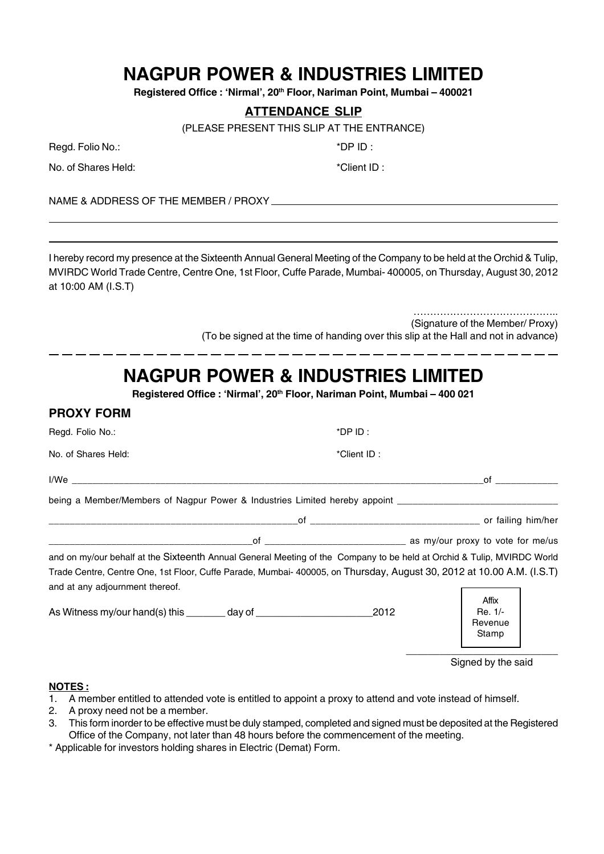Registered Office : 'Nirmal', 20<sup>th</sup> Floor, Nariman Point, Mumbai - 400021

### **ATTENDANCE SLIP**

(PLEASE PRESENT THIS SLIP AT THE ENTRANCE)

Regd. Folio No.:  $*DP ID:$ 

No. of Shares Held:  $*$ Client ID :

**PROXY FORM**

NAME & ADDRESS OF THE MEMBER / PROXY

I hereby record my presence at the Sixteenth Annual General Meeting of the Company to be held at the Orchid & Tulip, MVIRDC World Trade Centre, Centre One, 1st Floor, Cuffe Parade, Mumbai- 400005, on Thursday, August 30, 2012 at 10:00 AM (I.S.T)

> ……………………………………… (Signature of the Member/ Proxy) (To be signed at the time of handing over this slip at the Hall and not in advance)

# **NAGPUR POWER & INDUSTRIES LIMITED**

**Registered Office : 'Nirmal', 20th Floor, Nariman Point, Mumbai – 400 021**

| I IIVAI I VIIII                                                                                                                                         |             |                                      |
|---------------------------------------------------------------------------------------------------------------------------------------------------------|-------------|--------------------------------------|
| Regd. Folio No.:                                                                                                                                        | $*$ DP ID:  |                                      |
| No. of Shares Held:                                                                                                                                     | *Client ID: |                                      |
| l/Weisser and the state of the state of the state of the state of the state of the state of the state of the s                                          |             | of                                   |
| being a Member/Members of Nagpur Power & Industries Limited hereby appoint                                                                              |             |                                      |
|                                                                                                                                                         |             |                                      |
|                                                                                                                                                         |             |                                      |
| and on my/our behalf at the Sixteenth Annual General Meeting of the Company to be held at Orchid & Tulip, MVIRDC World                                  |             |                                      |
| Trade Centre, Centre One, 1st Floor, Cuffe Parade, Mumbai-400005, on Thursday, August 30, 2012 at 10.00 A.M. (I.S.T)<br>and at any adjournment thereof. |             |                                      |
| As Witness my/our hand(s) this ________ day of _________________________________                                                                        | 2012        | Affix<br>Re. 1/-<br>Revenue<br>Stamp |
|                                                                                                                                                         |             |                                      |

Signed by the said

### **NOTES :**

- 1. A member entitled to attended vote is entitled to appoint a proxy to attend and vote instead of himself.
- 2. A proxy need not be a member.
- 3. This form inorder to be effective must be duly stamped, completed and signed must be deposited at the Registered Office of the Company, not later than 48 hours before the commencement of the meeting.

\* Applicable for investors holding shares in Electric (Demat) Form.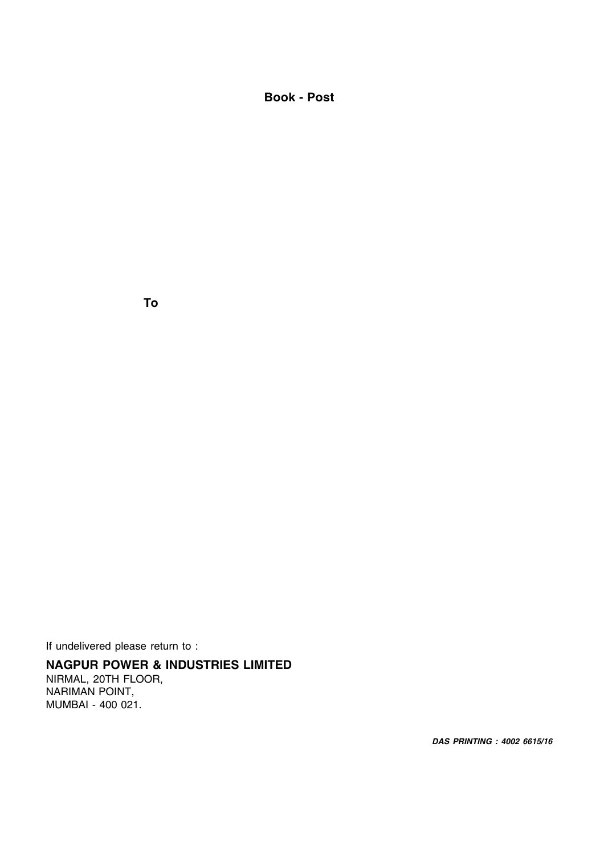**Book - Post**

**To**

If undelivered please return to :

## **NAGPUR POWER & INDUSTRIES LIMITED**

NIRMAL, 20TH FLOOR, NARIMAN POINT, MUMBAI - 400 021.

*DAS PRINTING : 4002 6615/16*